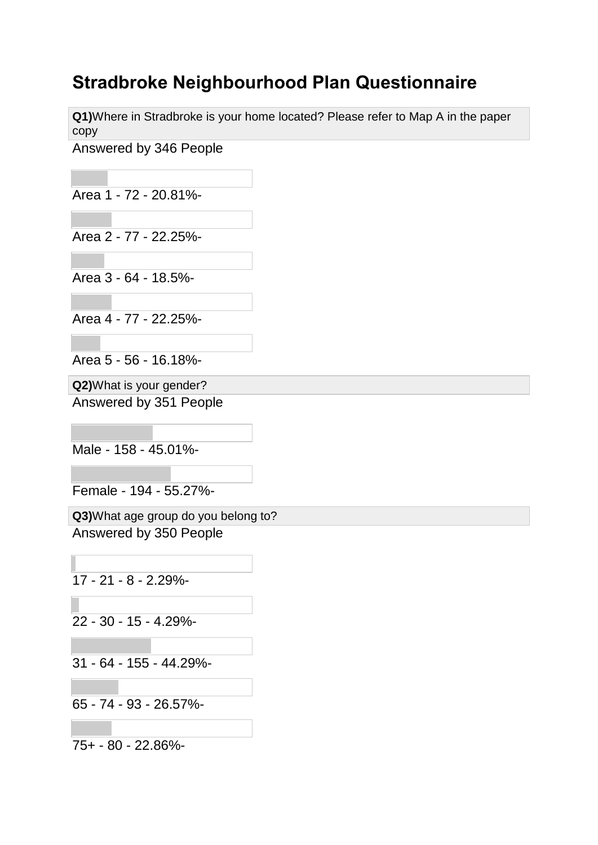## **Stradbroke Neighbourhood Plan Questionnaire**

**Q1)**Where in Stradbroke is your home located? Please refer to Map A in the paper copy

Answered by 346 People

Area 1 - 72 - 20.81%-

Area 2 - 77 - 22.25%-

Area 3 - 64 - 18.5%-

Area 4 - 77 - 22.25%-

Area 5 - 56 - 16.18%-

**Q2)**What is your gender?

Answered by 351 People

Male - 158 - 45.01%-

Female - 194 - 55.27%-

**Q3)**What age group do you belong to? Answered by 350 People

17 - 21 - 8 - 2.29%-

22 - 30 - 15 - 4.29%-

31 - 64 - 155 - 44.29%-

65 - 74 - 93 - 26.57%-

75+ - 80 - 22.86%-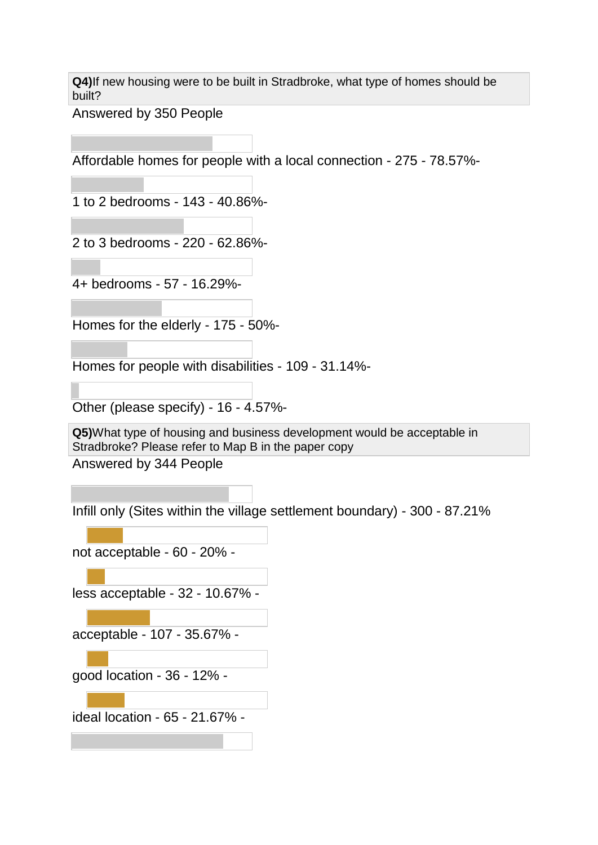**Q4)**If new housing were to be built in Stradbroke, what type of homes should be built?

Answered by 350 People

Affordable homes for people with a local connection - 275 - 78.57%-

1 to 2 bedrooms - 143 - 40.86%-

2 to 3 bedrooms - 220 - 62.86%-

4+ bedrooms - 57 - 16.29%-

Homes for the elderly - 175 - 50%-

Homes for people with disabilities - 109 - 31.14%-

Other (please specify) - 16 - 4.57%-

**Q5)**What type of housing and business development would be acceptable in Stradbroke? Please refer to Map B in the paper copy

Answered by 344 People

Infill only (Sites within the village settlement boundary) - 300 - 87.21%

not acceptable - 60 - 20% -

less acceptable - 32 - 10.67% -

acceptable - 107 - 35.67% -

good location - 36 - 12% -

ideal location - 65 - 21.67% -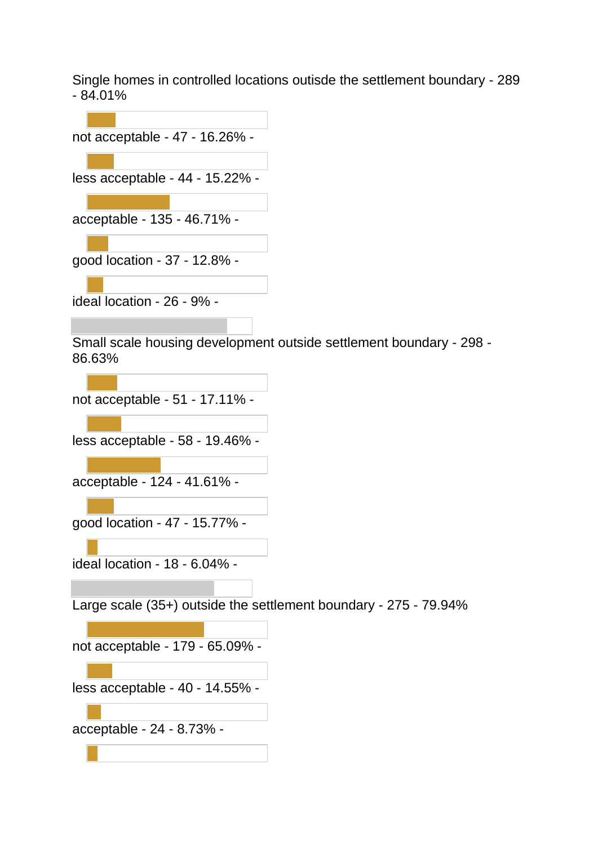Single homes in controlled locations outisde the settlement boundary - 289  $-84.01%$ 

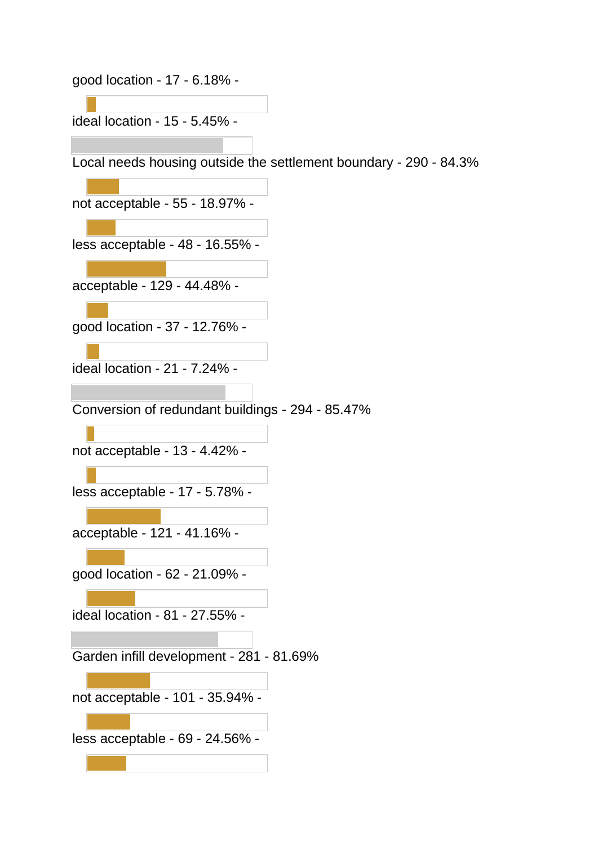good location - 17 - 6.18% -

ideal location - 15 - 5.45% -

Local needs housing outside the settlement boundary - 290 - 84.3%

not acceptable - 55 - 18.97% -

less acceptable - 48 - 16.55% -

acceptable - 129 - 44.48% -

good location - 37 - 12.76% -

ideal location - 21 - 7.24% -

Conversion of redundant buildings - 294 - 85.47%

not acceptable - 13 - 4.42% -

less acceptable - 17 - 5.78% -

acceptable - 121 - 41.16% -

good location - 62 - 21.09% -

ideal location - 81 - 27.55% -

Garden infill development - 281 - 81.69%

not acceptable - 101 - 35.94% -

less acceptable - 69 - 24.56% -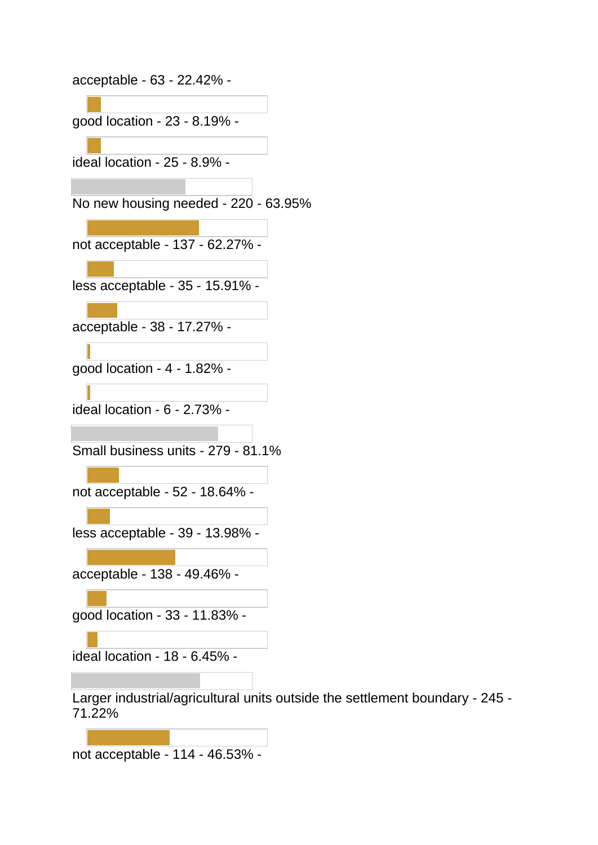acceptable - 63 - 22.42% -

good location - 23 - 8.19% -

ideal location - 25 - 8.9% -

No new housing needed - 220 - 63.95%

not acceptable - 137 - 62.27% -

less acceptable - 35 - 15.91% -

acceptable - 38 - 17.27% -

good location - 4 - 1.82% -

ideal location - 6 - 2.73% -

Small business units - 279 - 81.1%

not acceptable - 52 - 18.64% -

less acceptable - 39 - 13.98% -

acceptable - 138 - 49.46% -

good location - 33 - 11.83% -

ideal location - 18 - 6.45% -

Larger industrial/agricultural units outside the settlement boundary - 245 - 71.22%

not acceptable - 114 - 46.53% -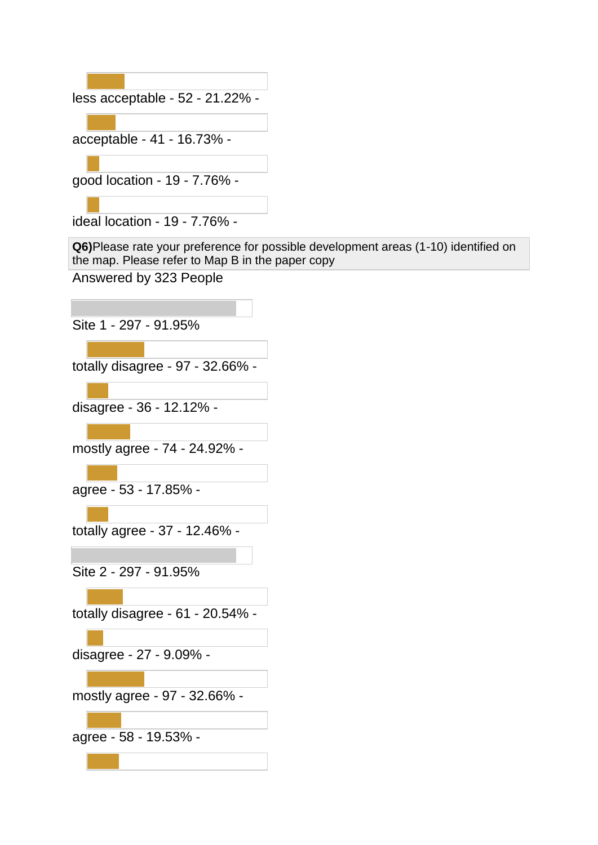

ideal location - 19 - 7.76% -

**Q6)**Please rate your preference for possible development areas (1-10) identified on the map. Please refer to Map B in the paper copy

Answered by 323 People

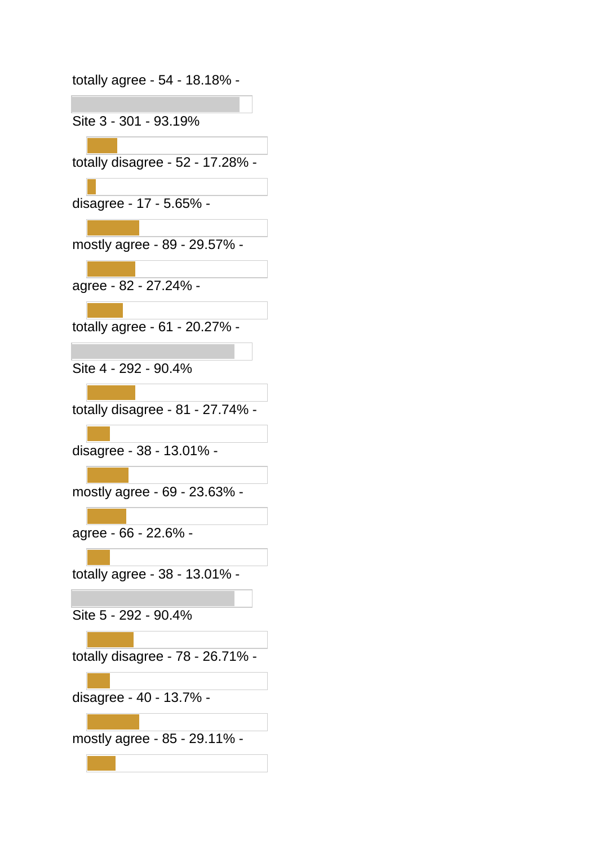totally agree - 54 - 18.18% -

Site 3 - 301 - 93.19%

totally disagree - 52 - 17.28% -

disagree - 17 - 5.65% -

mostly agree - 89 - 29.57% -

agree - 82 - 27.24% -

totally agree - 61 - 20.27% -

Site 4 - 292 - 90.4%

totally disagree - 81 - 27.74% -

disagree - 38 - 13.01% -

mostly agree - 69 - 23.63% -

agree - 66 - 22.6% -

totally agree - 38 - 13.01% -

Site 5 - 292 - 90.4%

totally disagree - 78 - 26.71% -

disagree - 40 - 13.7% -

mostly agree - 85 - 29.11% -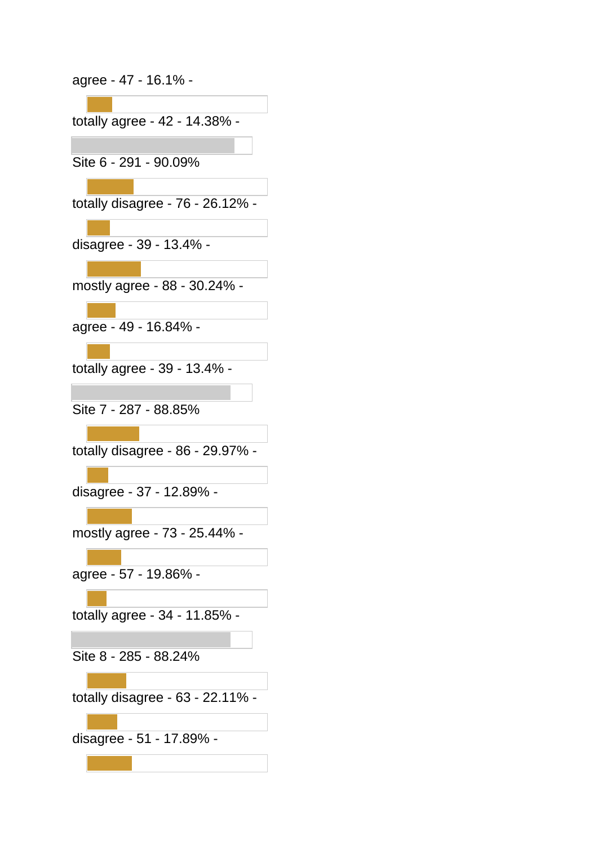agree - 47 - 16.1% -

| totally agree - 42 - 14.38% -    |
|----------------------------------|
|                                  |
| Site 6 - 291 - 90.09%            |
|                                  |
|                                  |
| totally disagree - 76 - 26.12%   |
|                                  |
| disagree - 39 - 13.4% -          |
|                                  |
| mostly agree - 88 - 30.24% -     |
|                                  |
| agree - 49 - 16.84% -            |
|                                  |
|                                  |
| totally agree - 39 - 13.4% -     |
|                                  |
| Site 7 - 287 - 88.85%            |
|                                  |
| totally disagree - 86 - 29.97%   |
|                                  |
|                                  |
| disagree - 37 - 12.89% -         |
|                                  |
| mostly agree - 73 - 25.44% -     |
|                                  |
| agree - 57 - 19.86% -            |
|                                  |
| totally agree - 34 - 11.85%      |
|                                  |
|                                  |
| Site 8 - 285 - 88.24%            |
|                                  |
| totally disagree - 63 - 22.11% - |
|                                  |
| disagree - 51 - 17.89% -         |
|                                  |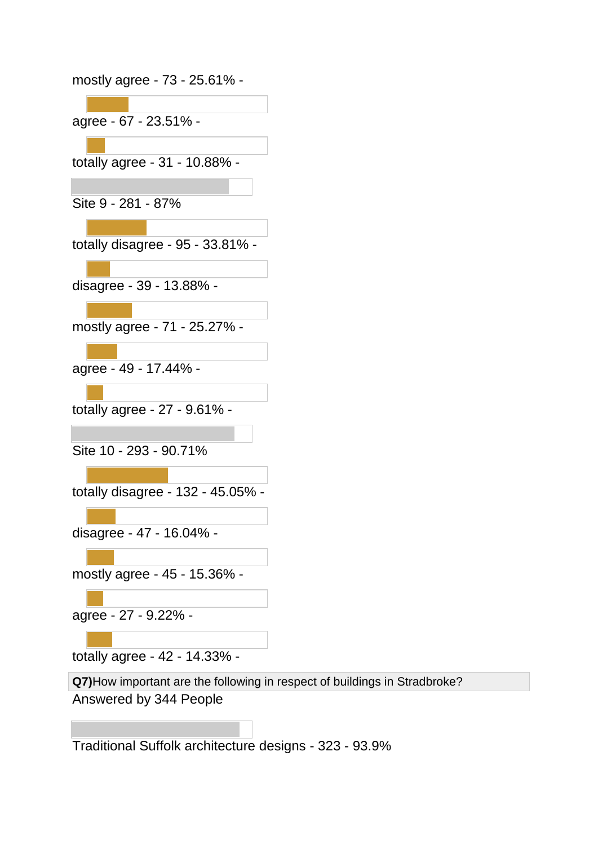| mostly agree - 73 - 25.61% -      |
|-----------------------------------|
|                                   |
| agree - 67 - 23.51% -             |
|                                   |
| totally agree - 31 - 10.88% -     |
|                                   |
| Site 9 - 281 - 87%                |
|                                   |
| totally disagree - 95 - 33.81% -  |
|                                   |
| disagree - 39 - 13.88% -          |
| mostly agree - 71 - 25.27% -      |
|                                   |
| agree - 49 - 17.44% -             |
|                                   |
| totally agree - 27 - 9.61% -      |
|                                   |
| Site 10 - 293 - 90.71%            |
|                                   |
| totally disagree - 132 - 45.05% - |
|                                   |
| disagree - 47 - 16.04% -          |
|                                   |
| mostly agree - 45 - 15.36% -      |
|                                   |
| agree - 27 - 9.22% -              |
|                                   |
| totally agree - 42 - 14.33% -     |

**Q7)**How important are the following in respect of buildings in Stradbroke? Answered by 344 People

Traditional Suffolk architecture designs - 323 - 93.9%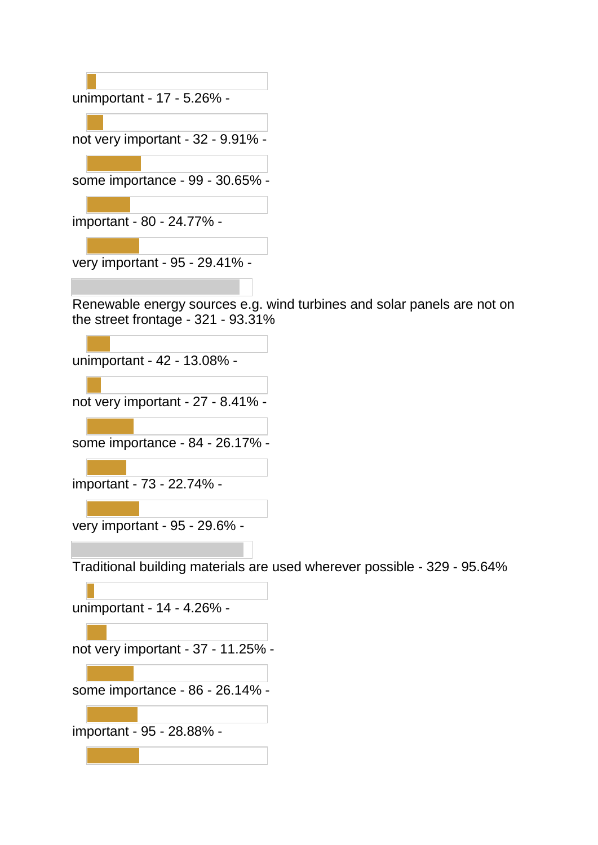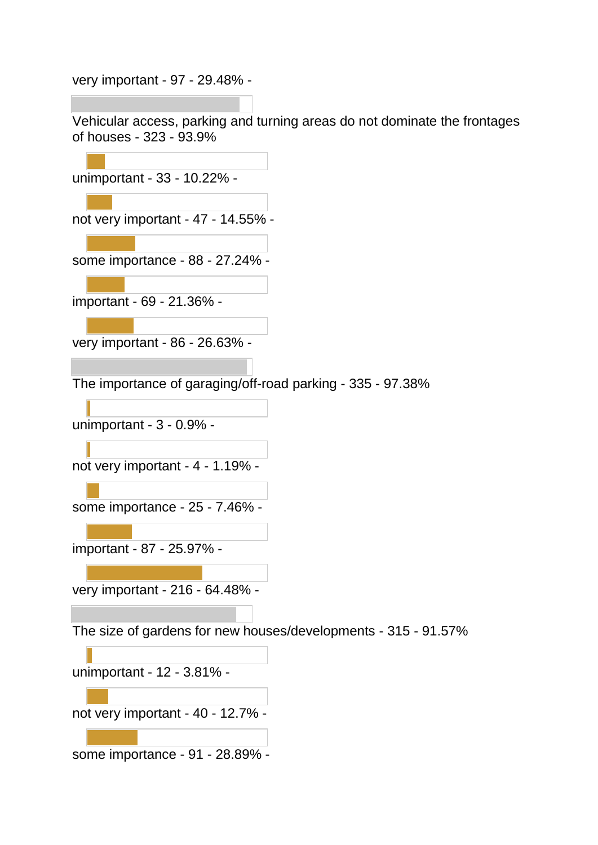very important - 97 - 29.48% -

Vehicular access, parking and turning areas do not dominate the frontages of houses - 323 - 93.9%

unimportant - 33 - 10.22% -

not very important - 47 - 14.55% -

some importance - 88 - 27.24% -

important - 69 - 21.36% -

very important - 86 - 26.63% -

The importance of garaging/off-road parking - 335 - 97.38%

unimportant - 3 - 0.9% -

not very important - 4 - 1.19% -

some importance - 25 - 7.46% -

important - 87 - 25.97% -

very important - 216 - 64.48% -

The size of gardens for new houses/developments - 315 - 91.57%

unimportant - 12 - 3.81% -

not very important - 40 - 12.7% -

some importance - 91 - 28.89% -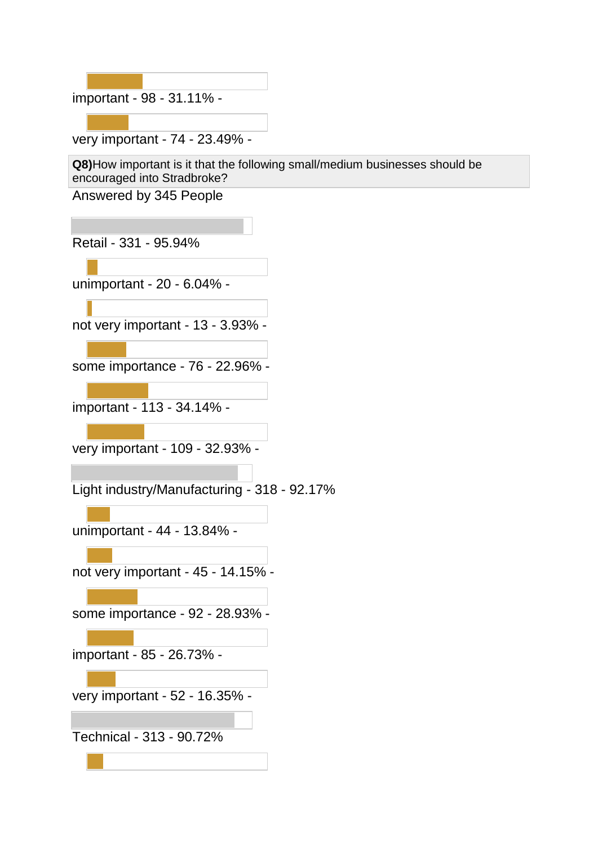important - 98 - 31.11% -

very important - 74 - 23.49% -

**Q8)**How important is it that the following small/medium businesses should be encouraged into Stradbroke?

Answered by 345 People

Retail - 331 - 95.94%

unimportant - 20 - 6.04% -

not very important - 13 - 3.93% -

some importance - 76 - 22.96% -

important - 113 - 34.14% -

very important - 109 - 32.93% -

Light industry/Manufacturing - 318 - 92.17%

unimportant - 44 - 13.84% -

not very important - 45 - 14.15% -

some importance - 92 - 28.93% -

important - 85 - 26.73% -

very important - 52 - 16.35% -

Technical - 313 - 90.72%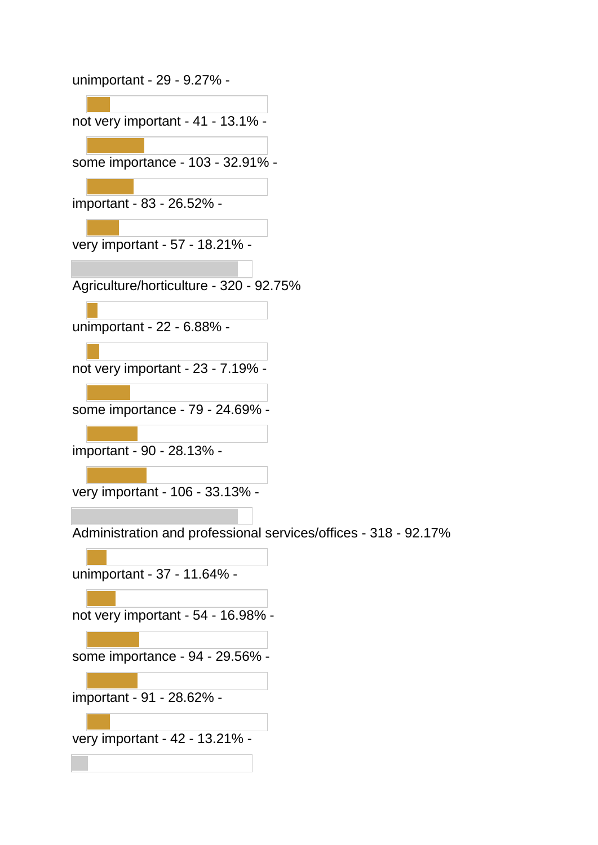unimportant - 29 - 9.27% not very important - 41 - 13.1% some importance - 103 - 32.91% important - 83 - 26.52% very important - 57 - 18.21% - Agriculture/horticulture - 320 - 92.75% unimportant - 22 - 6.88% not very important - 23 - 7.19% some importance - 79 - 24.69% important - 90 - 28.13% very important - 106 - 33.13% - Administration and professional services/offices - 318 - 92.17% unimportant - 37 - 11.64% not very important - 54 - 16.98% some importance - 94 - 29.56% important - 91 - 28.62% very important - 42 - 13.21% -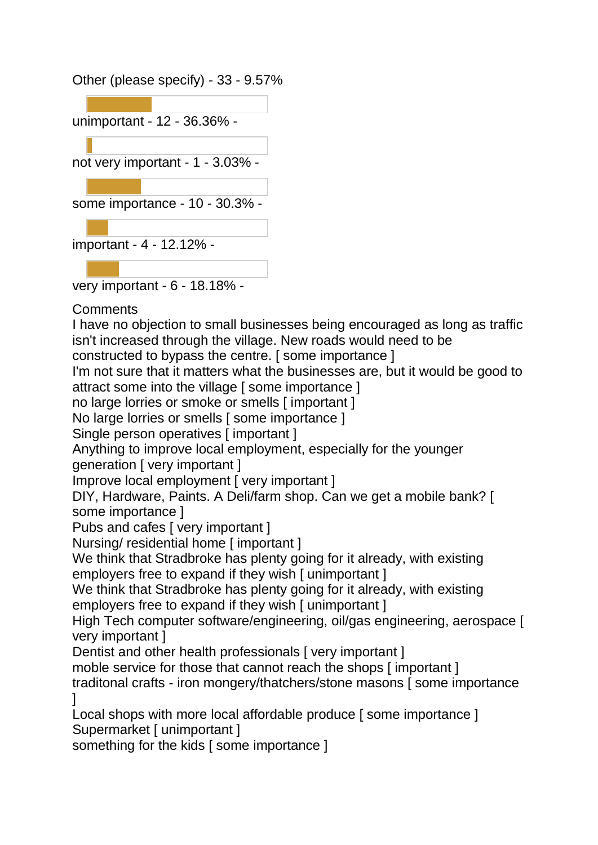Other (please specify) - 33 - 9.57%



very important - 6 - 18.18% -

**Comments** 

I have no objection to small businesses being encouraged as long as traffic isn't increased through the village. New roads would need to be

constructed to bypass the centre. [ some importance ]

I'm not sure that it matters what the businesses are, but it would be good to attract some into the village [ some importance ]

no large lorries or smoke or smells [ important ]

No large lorries or smells [ some importance ]

Single person operatives [important ]

Anything to improve local employment, especially for the younger generation [ very important ]

Improve local employment [ very important ]

DIY, Hardware, Paints. A Deli/farm shop. Can we get a mobile bank? [ some importance ]

Pubs and cafes [ very important ]

Nursing/ residential home [ important ]

We think that Stradbroke has plenty going for it already, with existing employers free to expand if they wish [ unimportant ]

We think that Stradbroke has plenty going for it already, with existing employers free to expand if they wish [ unimportant ]

High Tech computer software/engineering, oil/gas engineering, aerospace [ very important ]

Dentist and other health professionals [ very important ]

moble service for those that cannot reach the shops [important]

traditonal crafts - iron mongery/thatchers/stone masons [ some importance ]

Local shops with more local affordable produce [ some importance ] Supermarket [ unimportant ]

something for the kids [ some importance ]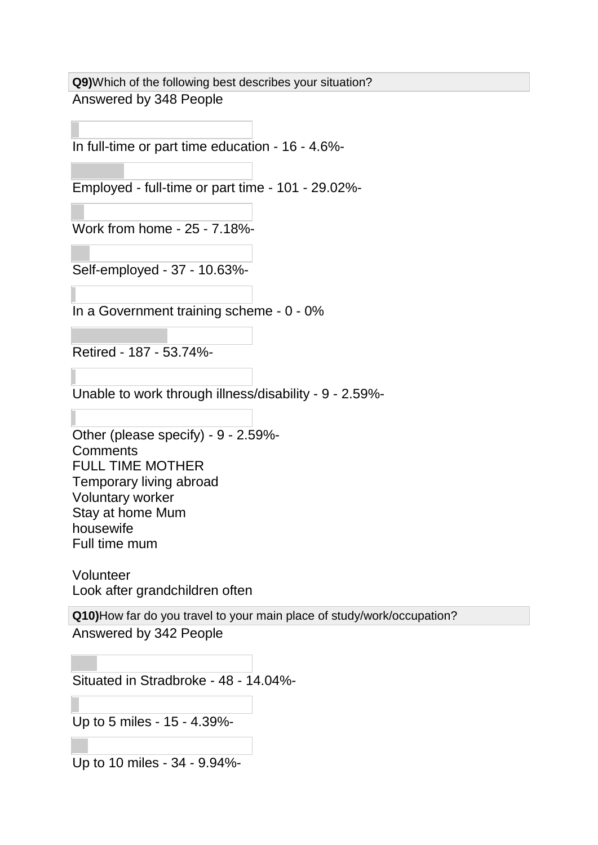**Q9)**Which of the following best describes your situation? Answered by 348 People

In full-time or part time education - 16 - 4.6%-

Employed - full-time or part time - 101 - 29.02%-

Work from home - 25 - 7.18%-

Self-employed - 37 - 10.63%-

In a Government training scheme - 0 - 0%

Retired - 187 - 53.74%-

Unable to work through illness/disability - 9 - 2.59%-

Other (please specify) - 9 - 2.59%- **Comments** FULL TIME MOTHER Temporary living abroad Voluntary worker Stay at home Mum housewife Full time mum

Volunteer Look after grandchildren often

**Q10)**How far do you travel to your main place of study/work/occupation? Answered by 342 People

Situated in Stradbroke - 48 - 14.04%-

Up to 5 miles - 15 - 4.39%-

Up to 10 miles - 34 - 9.94%-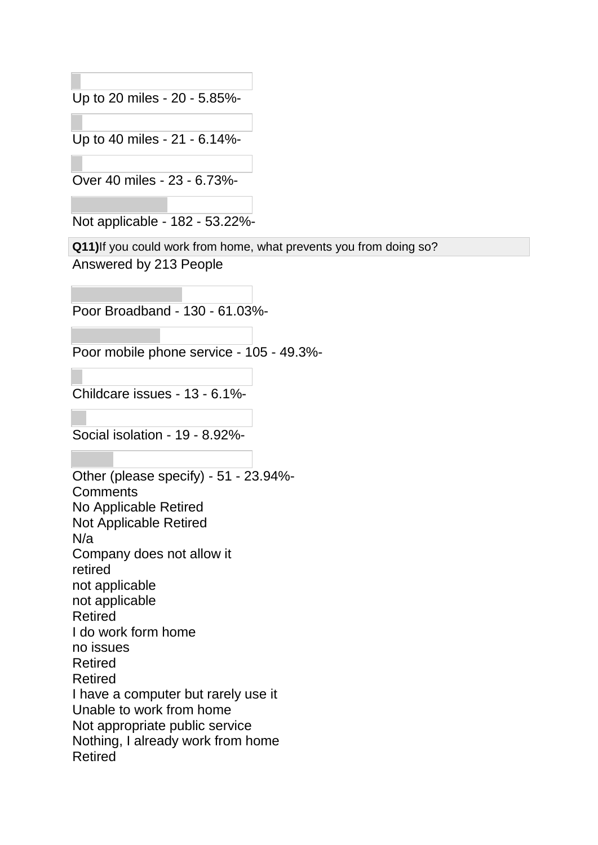Up to 20 miles - 20 - 5.85%-

Up to 40 miles - 21 - 6.14%-

Over 40 miles - 23 - 6.73%-

Not applicable - 182 - 53.22%-

**Q11)**If you could work from home, what prevents you from doing so? Answered by 213 People

Poor Broadband - 130 - 61.03%-

Poor mobile phone service - 105 - 49.3%-

Childcare issues - 13 - 6.1%-

Social isolation - 19 - 8.92%-

Other (please specify) - 51 - 23.94%- **Comments** No Applicable Retired Not Applicable Retired N/a Company does not allow it retired not applicable not applicable Retired I do work form home no issues Retired Retired I have a computer but rarely use it Unable to work from home Not appropriate public service Nothing, I already work from home Retired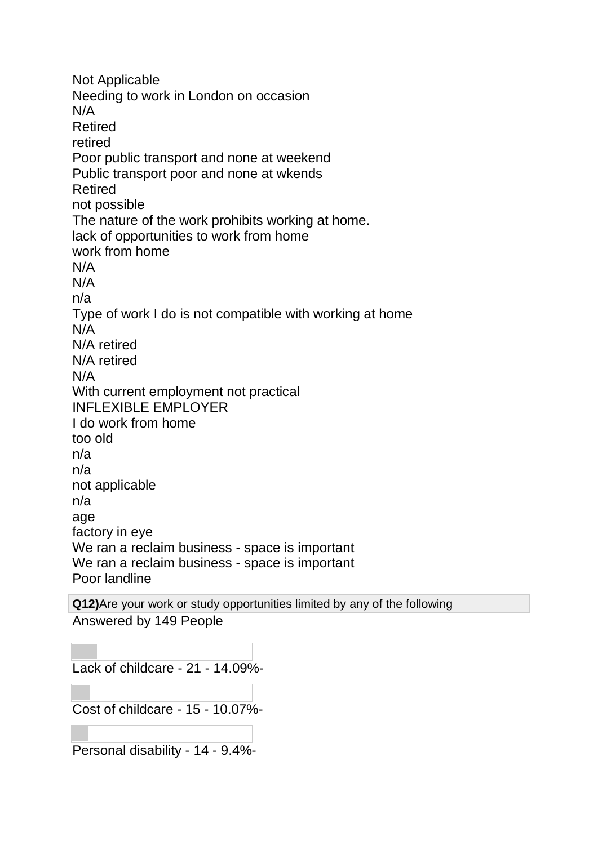Not Applicable Needing to work in London on occasion N/A Retired retired Poor public transport and none at weekend Public transport poor and none at wkends Retired not possible The nature of the work prohibits working at home. lack of opportunities to work from home work from home N/A N/A n/a Type of work I do is not compatible with working at home N/A N/A retired N/A retired N/A With current employment not practical INFLEXIBLE EMPLOYER I do work from home too old n/a n/a not applicable n/a age factory in eye We ran a reclaim business - space is important We ran a reclaim business - space is important Poor landline

**Q12)**Are your work or study opportunities limited by any of the following Answered by 149 People

Lack of childcare - 21 - 14.09%-

Cost of childcare - 15 - 10.07%-

Personal disability - 14 - 9.4%-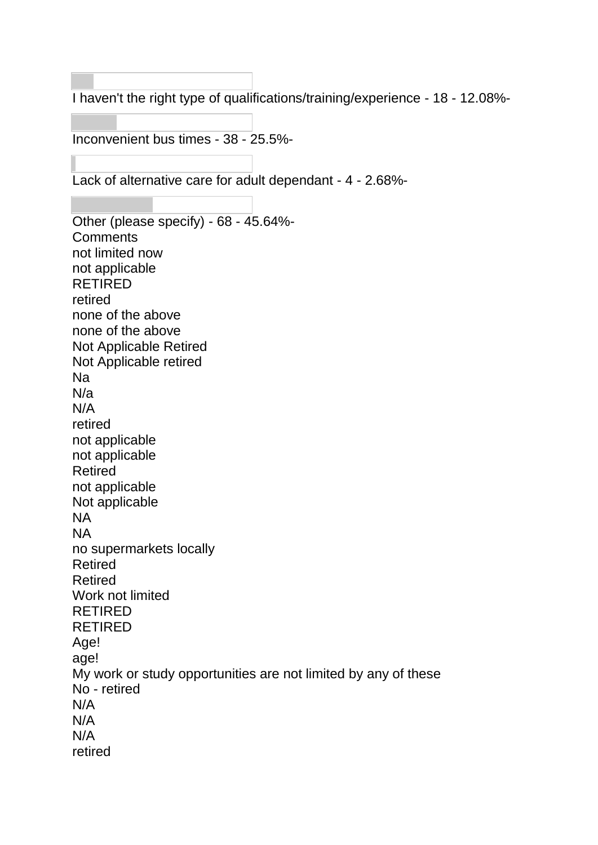I haven't the right type of qualifications/training/experience - 18 - 12.08%-

Inconvenient bus times - 38 - 25.5%-

Lack of alternative care for adult dependant - 4 - 2.68%-

Other (please specify) - 68 - 45.64%- **Comments** not limited now not applicable RETIRED retired none of the above none of the above Not Applicable Retired Not Applicable retired Na N/a N/A retired not applicable not applicable Retired not applicable Not applicable NA NA no supermarkets locally Retired Retired Work not limited RETIRED RETIRED Age! age! My work or study opportunities are not limited by any of these No - retired N/A N/A N/A retired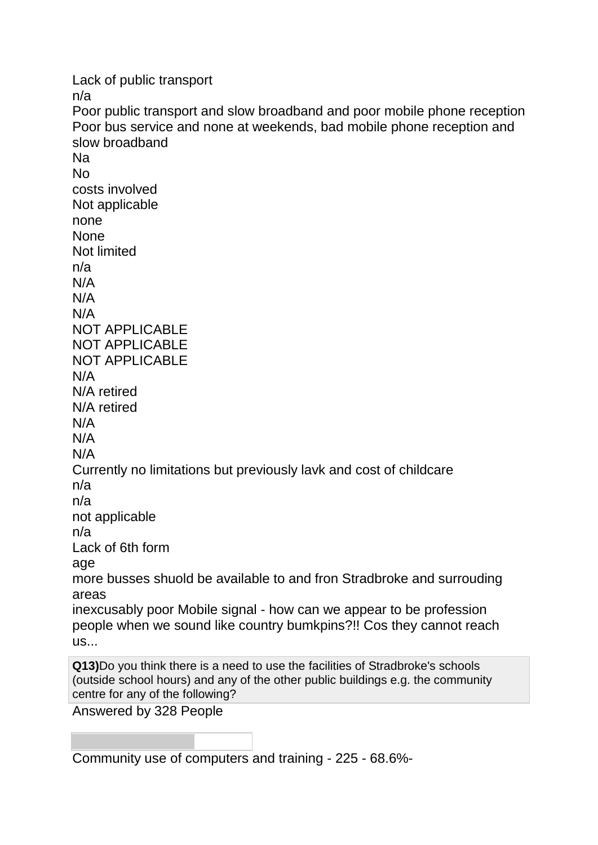Lack of public transport n/a Poor public transport and slow broadband and poor mobile phone reception Poor bus service and none at weekends, bad mobile phone reception and slow broadband Na No costs involved Not applicable none **None** Not limited n/a N/A N/A N/A NOT APPLICABLE NOT APPLICABLE NOT APPLICABLE N/A N/A retired N/A retired N/A N/A N/A Currently no limitations but previously lavk and cost of childcare n/a n/a not applicable n/a Lack of 6th form age more busses shuold be available to and fron Stradbroke and surrouding areas inexcusably poor Mobile signal - how can we appear to be profession people when we sound like country bumkpins?!! Cos they cannot reach us... **Q13)**Do you think there is a need to use the facilities of Stradbroke's schools (outside school hours) and any of the other public buildings e.g. the community centre for any of the following? Answered by 328 People

Community use of computers and training - 225 - 68.6%-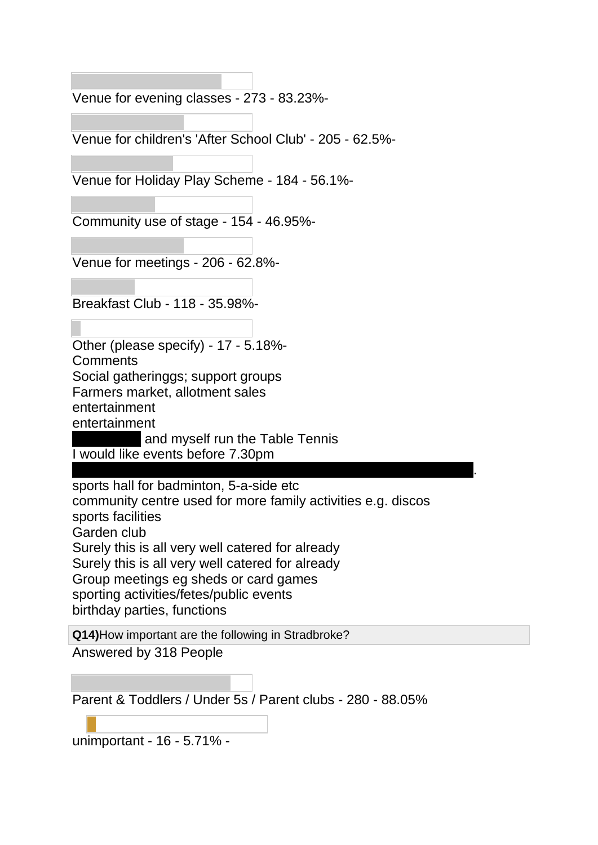Venue for evening classes - 273 - 83.23%-

Venue for children's 'After School Club' - 205 - 62.5%-

Venue for Holiday Play Scheme - 184 - 56.1%-

Community use of stage - 154 - 46.95%-

Venue for meetings - 206 - 62.8%-

Breakfast Club - 118 - 35.98%-

Other (please specify) - 17 - 5.18%- **Comments** Social gatheringgs; support groups Farmers market, allotment sales entertainment entertainment and myself run the Table Tennis

I would like events before 7.30pm

The court House should not be run as an exclusive "Maureen" club. The run as an exclusive "Maureen" club. sports hall for badminton, 5-a-side etc community centre used for more family activities e.g. discos sports facilities Garden club Surely this is all very well catered for already Surely this is all very well catered for already Group meetings eg sheds or card games sporting activities/fetes/public events birthday parties, functions

**Q14)**How important are the following in Stradbroke? Answered by 318 People

| Parent & Toddlers / Under 5s / Parent clubs - 280 - 88.05% |  |
|------------------------------------------------------------|--|
|------------------------------------------------------------|--|

unimportant - 16 - 5.71% -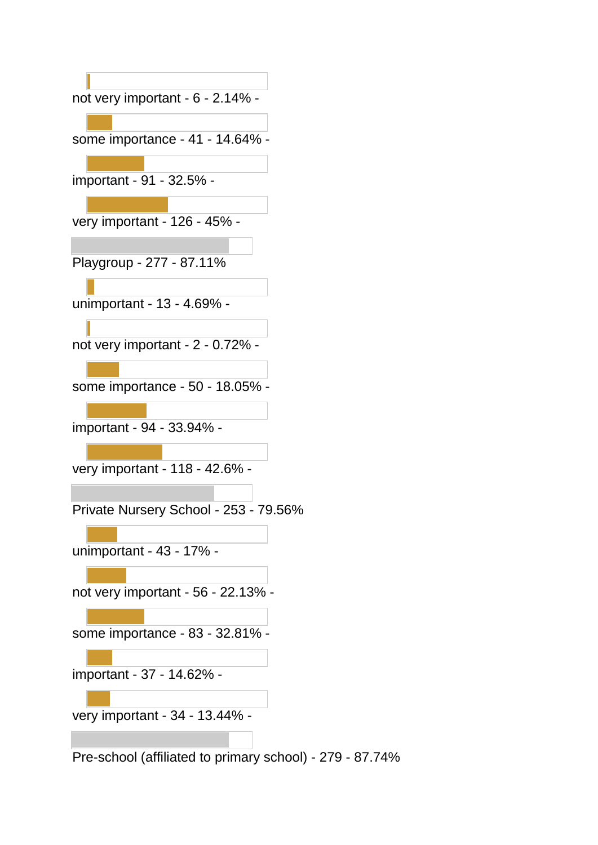| not very important - 6 - 2.14% -                         |
|----------------------------------------------------------|
|                                                          |
| some importance - 41 - 14.64% -                          |
|                                                          |
| important - 91 - 32.5% -                                 |
|                                                          |
| very important - 126 - 45% -                             |
|                                                          |
| Playgroup - 277 - 87.11%                                 |
|                                                          |
| unimportant - 13 - 4.69% -                               |
|                                                          |
| not very important - 2 - 0.72% -                         |
|                                                          |
| some importance - 50 - 18.05% -                          |
| important - 94 - 33.94% -                                |
|                                                          |
| very important - 118 - 42.6% -                           |
|                                                          |
| Private Nursery School - 253 - 79.56%                    |
|                                                          |
| unimportant - 43 - 17% -                                 |
|                                                          |
| not very important - 56 - 22.13% -                       |
|                                                          |
| some importance - 83 - 32.81% -                          |
|                                                          |
| important - 37 - 14.62% -                                |
|                                                          |
| very important - 34 - 13.44% -                           |
|                                                          |
| Pre-school (affiliated to primary school) - 279 - 87.74% |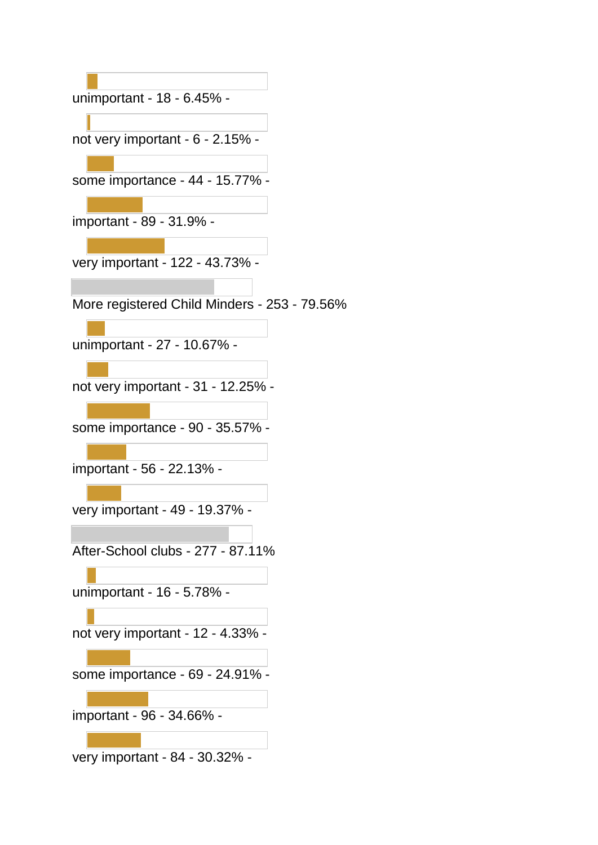unimportant - 18 - 6.45% -

not very important - 6 - 2.15% -

some importance - 44 - 15.77% -

important - 89 - 31.9% -

very important - 122 - 43.73% -

More registered Child Minders - 253 - 79.56%

unimportant - 27 - 10.67% -

not very important - 31 - 12.25% -

some importance - 90 - 35.57% -

important - 56 - 22.13% -

very important - 49 - 19.37% -

After-School clubs - 277 - 87.11%

unimportant - 16 - 5.78% -

not very important - 12 - 4.33% -

some importance - 69 - 24.91% -

important - 96 - 34.66% -

very important - 84 - 30.32% -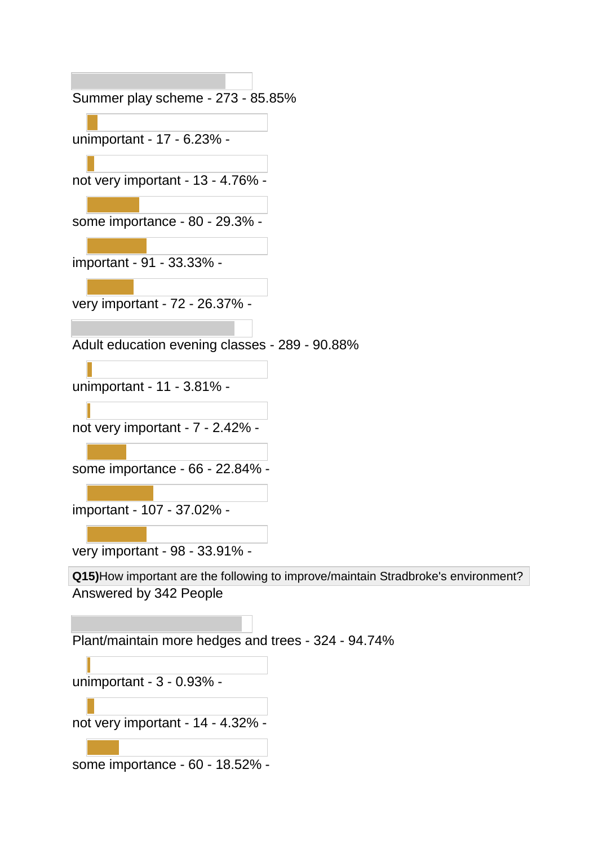Summer play scheme - 273 - 85.85% unimportant - 17 - 6.23% not very important - 13 - 4.76% some importance - 80 - 29.3% important - 91 - 33.33% very important - 72 - 26.37% - Adult education evening classes - 289 - 90.88% unimportant - 11 - 3.81% not very important - 7 - 2.42% some importance - 66 - 22.84% important - 107 - 37.02% very important - 98 - 33.91% - **Q15)**How important are the following to improve/maintain Stradbroke's environment? Answered by 342 People Plant/maintain more hedges and trees - 324 - 94.74% unimportant - 3 - 0.93% not very important - 14 - 4.32% -

some importance - 60 - 18.52% -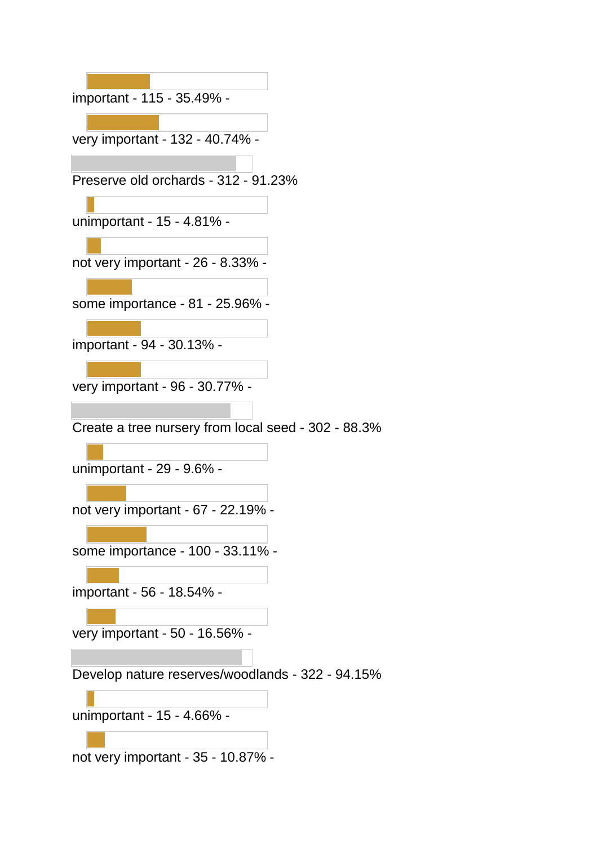important - 115 - 35.49% very important - 132 - 40.74% - Preserve old orchards - 312 - 91.23% unimportant - 15 - 4.81% not very important - 26 - 8.33% some importance - 81 - 25.96% important - 94 - 30.13% very important - 96 - 30.77% - Create a tree nursery from local seed - 302 - 88.3% unimportant - 29 - 9.6% not very important - 67 - 22.19% some importance - 100 - 33.11% important - 56 - 18.54% very important - 50 - 16.56% - Develop nature reserves/woodlands - 322 - 94.15% unimportant - 15 - 4.66% not very important - 35 - 10.87% -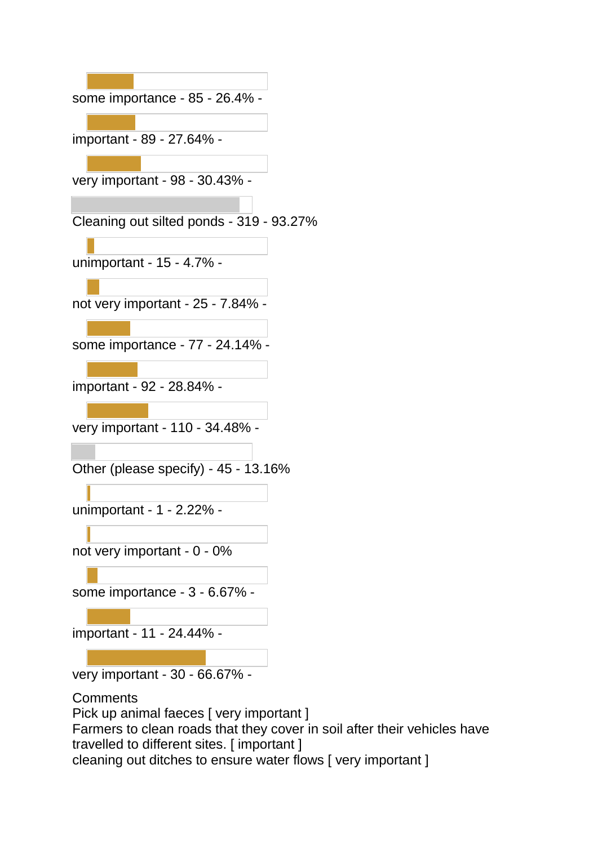| some importance - 85 - 26.4% -           |
|------------------------------------------|
| important - 89 - 27.64% -                |
| very important - 98 - 30.43% -           |
|                                          |
| Cleaning out silted ponds - 319 - 93.27% |
| unimportant - 15 - 4.7% -                |
| not very important - 25 - 7.84% -        |
| some importance - 77 - 24.14% -          |
| important - 92 - 28.84% -                |
|                                          |
| very important - 110 - 34.48% -          |
| Other (please specify) - 45 - 13.16%     |
| unimportant - 1 - 2.22% -                |
| not very important - 0 - 0%              |
| some importance - 3 - 6.67% -            |
| important - 11 - 24.44% -                |
|                                          |

very important - 30 - 66.67% -

**Comments** Pick up animal faeces [ very important ] Farmers to clean roads that they cover in soil after their vehicles have travelled to different sites. [ important ] cleaning out ditches to ensure water flows [ very important ]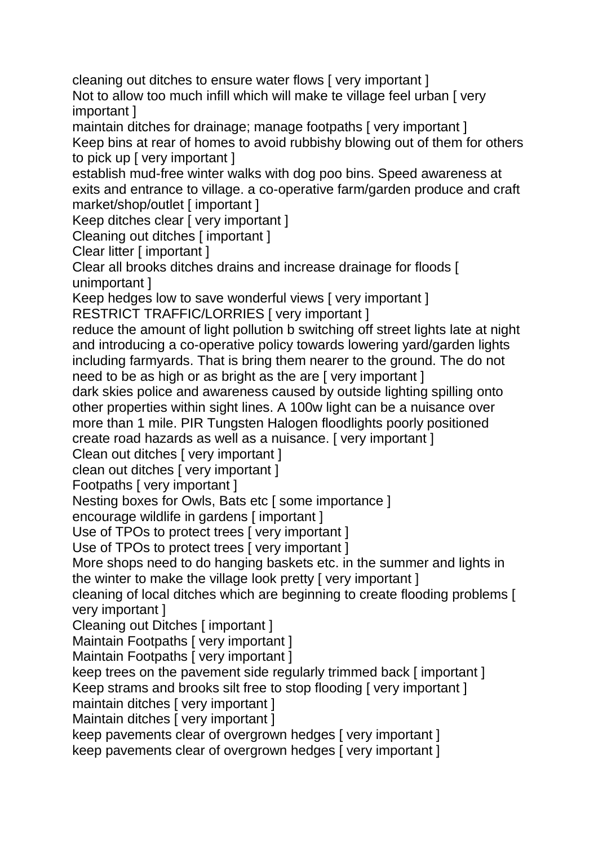cleaning out ditches to ensure water flows [ very important ]

Not to allow too much infill which will make te village feel urban [ very important ]

maintain ditches for drainage; manage footpaths [ very important ] Keep bins at rear of homes to avoid rubbishy blowing out of them for others to pick up [ very important ]

establish mud-free winter walks with dog poo bins. Speed awareness at exits and entrance to village. a co-operative farm/garden produce and craft market/shop/outlet [ important ]

Keep ditches clear [ very important ]

Cleaning out ditches [ important ]

Clear litter [ important ]

Clear all brooks ditches drains and increase drainage for floods [ unimportant ]

Keep hedges low to save wonderful views [ very important ] RESTRICT TRAFFIC/LORRIES [ very important ]

reduce the amount of light pollution b switching off street lights late at night and introducing a co-operative policy towards lowering yard/garden lights including farmyards. That is bring them nearer to the ground. The do not need to be as high or as bright as the are [ very important ]

dark skies police and awareness caused by outside lighting spilling onto other properties within sight lines. A 100w light can be a nuisance over more than 1 mile. PIR Tungsten Halogen floodlights poorly positioned create road hazards as well as a nuisance. [ very important ]

Clean out ditches [ very important ]

clean out ditches [ very important ]

Footpaths [ very important ]

Nesting boxes for Owls, Bats etc [ some importance ]

encourage wildlife in gardens [ important ]

Use of TPOs to protect trees I very important 1

Use of TPOs to protect trees [ very important ]

More shops need to do hanging baskets etc. in the summer and lights in the winter to make the village look pretty [ very important ]

cleaning of local ditches which are beginning to create flooding problems [ very important ]

Cleaning out Ditches [ important ]

Maintain Footpaths [ very important ]

Maintain Footpaths [ very important ]

keep trees on the pavement side regularly trimmed back [ important ]

Keep strams and brooks silt free to stop flooding I very important I

maintain ditches [ very important ]

Maintain ditches [ very important ]

keep pavements clear of overgrown hedges [ very important ]

keep pavements clear of overgrown hedges [ very important ]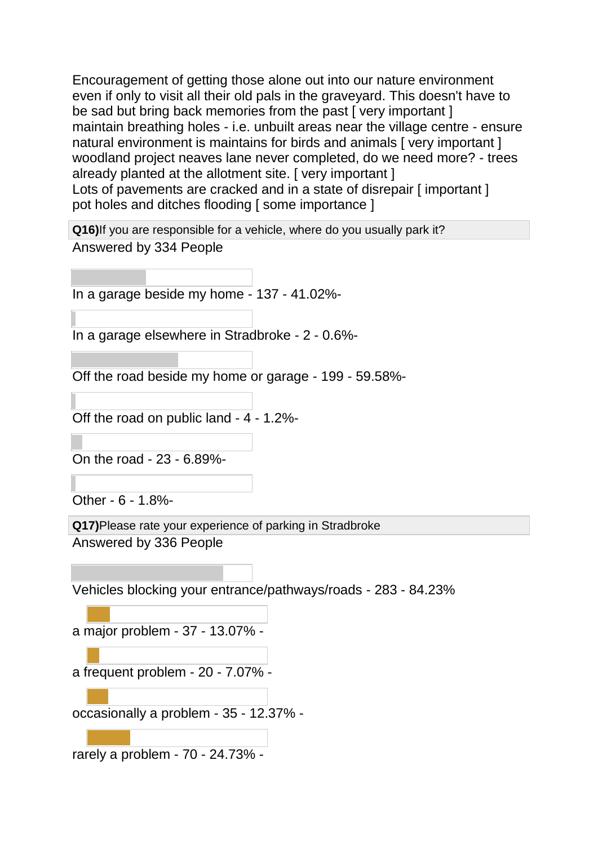Encouragement of getting those alone out into our nature environment even if only to visit all their old pals in the graveyard. This doesn't have to be sad but bring back memories from the past [ very important ] maintain breathing holes - i.e. unbuilt areas near the village centre - ensure natural environment is maintains for birds and animals [ very important ] woodland project neaves lane never completed, do we need more? - trees already planted at the allotment site. [ very important ] Lots of pavements are cracked and in a state of disrepair [important] pot holes and ditches flooding [ some importance ]

**Q16)**If you are responsible for a vehicle, where do you usually park it? Answered by 334 People

In a garage beside my home - 137 - 41.02%-

In a garage elsewhere in Stradbroke - 2 - 0.6%-

Off the road beside my home or garage - 199 - 59.58%-

Off the road on public land - 4 - 1.2%-

On the road - 23 - 6.89%-

Other - 6 - 1.8%-

**Q17)**Please rate your experience of parking in Stradbroke Answered by 336 People

Vehicles blocking your entrance/pathways/roads - 283 - 84.23%

a major problem - 37 - 13.07% -

a frequent problem - 20 - 7.07% -

occasionally a problem - 35 - 12.37% -

rarely a problem - 70 - 24.73% -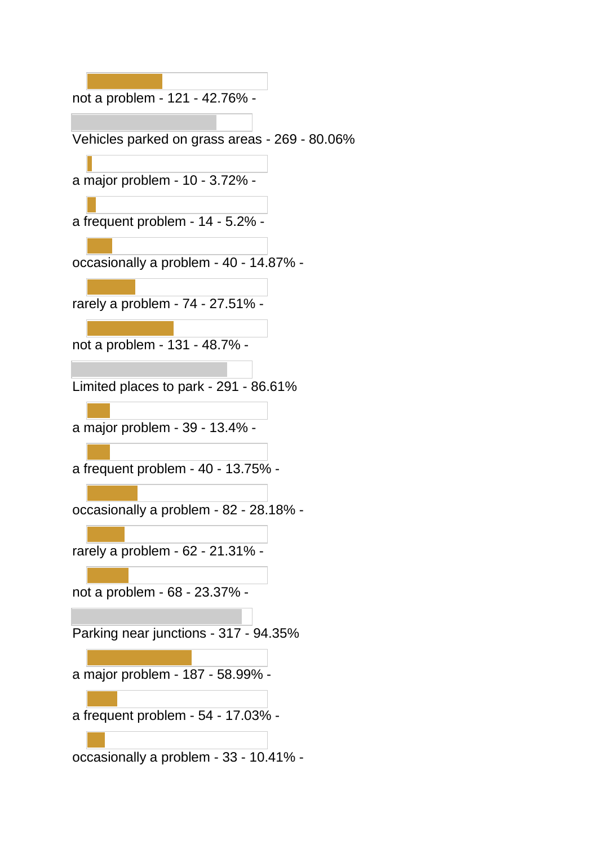not a problem - 121 - 42.76% - Vehicles parked on grass areas - 269 - 80.06% a major problem - 10 - 3.72% a frequent problem - 14 - 5.2% occasionally a problem - 40 - 14.87% rarely a problem - 74 - 27.51% not a problem - 131 - 48.7% - Limited places to park - 291 - 86.61% a major problem - 39 - 13.4% a frequent problem - 40 - 13.75% occasionally a problem - 82 - 28.18% rarely a problem - 62 - 21.31% not a problem - 68 - 23.37% - Parking near junctions - 317 - 94.35% a major problem - 187 - 58.99% a frequent problem - 54 - 17.03% occasionally a problem - 33 - 10.41% -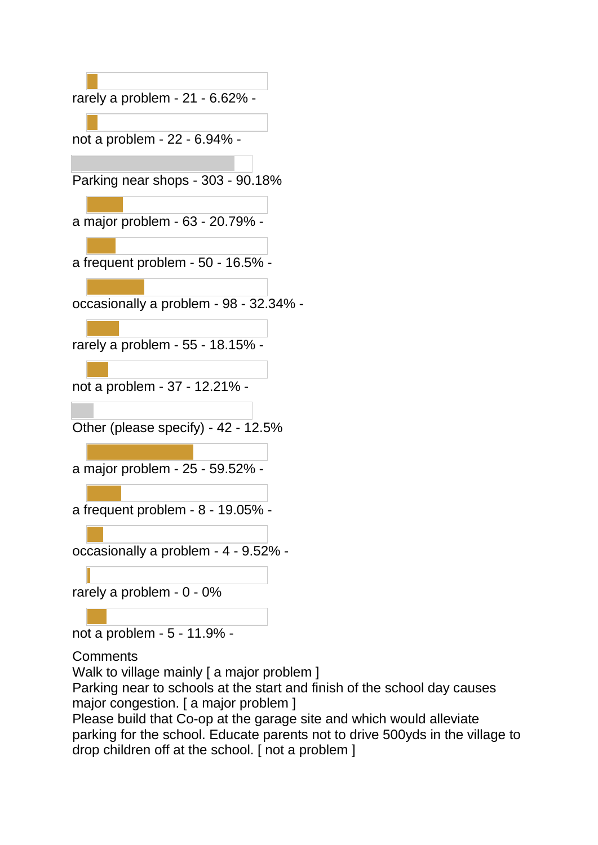

not a problem - 5 - 11.9% -

**Comments** 

Walk to village mainly [ a major problem ] Parking near to schools at the start and finish of the school day causes major congestion. [ a major problem ]

Please build that Co-op at the garage site and which would alleviate parking for the school. Educate parents not to drive 500yds in the village to drop children off at the school. [ not a problem ]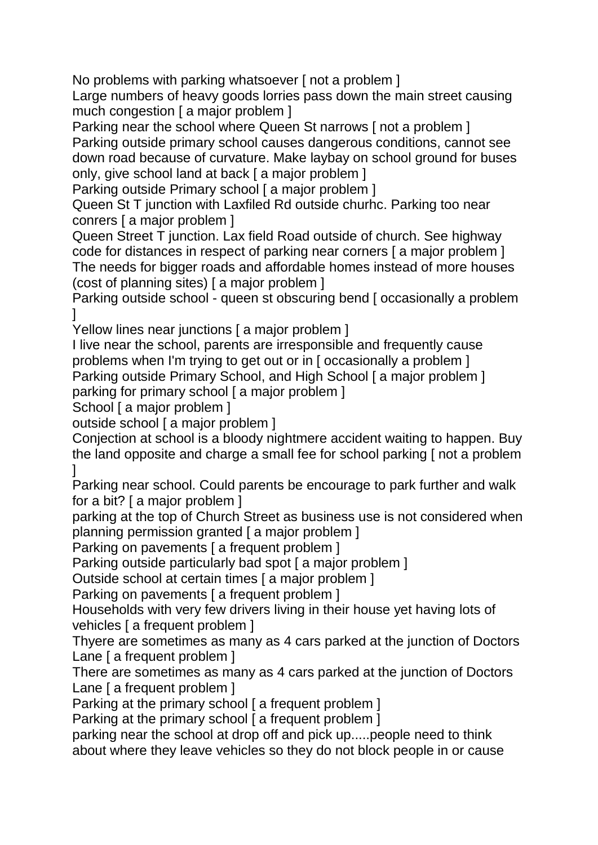No problems with parking whatsoever [ not a problem ]

Large numbers of heavy goods lorries pass down the main street causing much congestion [ a major problem ]

Parking near the school where Queen St narrows [ not a problem ] Parking outside primary school causes dangerous conditions, cannot see down road because of curvature. Make laybay on school ground for buses only, give school land at back [ a major problem ]

Parking outside Primary school [ a major problem ]

Queen St T junction with Laxfiled Rd outside churhc. Parking too near conrers [ a major problem ]

Queen Street T junction. Lax field Road outside of church. See highway code for distances in respect of parking near corners [ a major problem ] The needs for bigger roads and affordable homes instead of more houses (cost of planning sites) [ a major problem ]

Parking outside school - queen st obscuring bend [ occasionally a problem ]

Yellow lines near junctions [ a major problem ]

I live near the school, parents are irresponsible and frequently cause problems when I'm trying to get out or in [ occasionally a problem ] Parking outside Primary School, and High School [ a major problem ]

parking for primary school [ a major problem ]

School [ a major problem ]

outside school [ a major problem ]

Conjection at school is a bloody nightmere accident waiting to happen. Buy the land opposite and charge a small fee for school parking [ not a problem ]

Parking near school. Could parents be encourage to park further and walk for a bit? [ a major problem ]

parking at the top of Church Street as business use is not considered when planning permission granted [ a major problem ]

Parking on pavements [ a frequent problem ]

Parking outside particularly bad spot [ a major problem ]

Outside school at certain times [ a major problem ]

Parking on pavements [ a frequent problem ]

Households with very few drivers living in their house yet having lots of vehicles [ a frequent problem ]

Thyere are sometimes as many as 4 cars parked at the junction of Doctors Lane [ a frequent problem ]

There are sometimes as many as 4 cars parked at the junction of Doctors Lane I a frequent problem 1

Parking at the primary school [ a frequent problem ]

Parking at the primary school [ a frequent problem ]

parking near the school at drop off and pick up.....people need to think about where they leave vehicles so they do not block people in or cause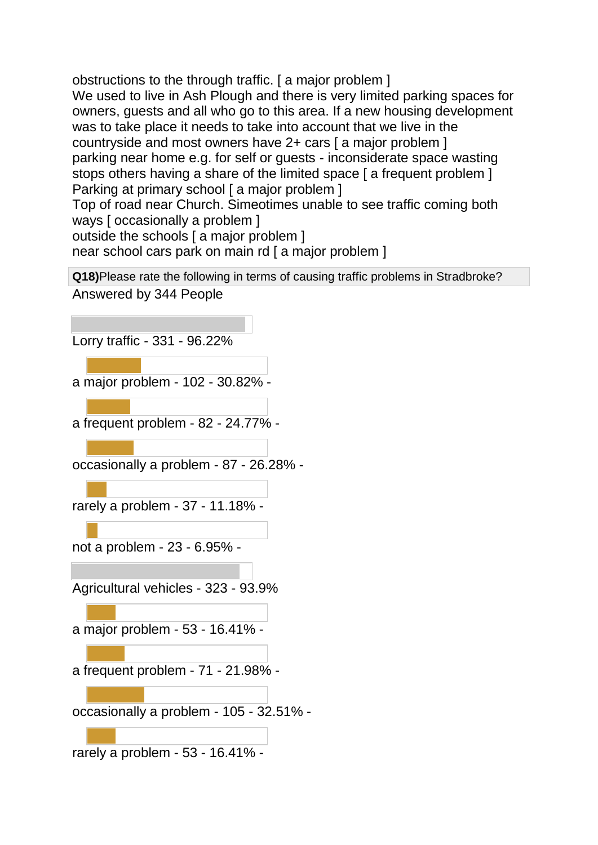obstructions to the through traffic. [ a major problem ] We used to live in Ash Plough and there is very limited parking spaces for owners, guests and all who go to this area. If a new housing development was to take place it needs to take into account that we live in the countryside and most owners have 2+ cars [ a major problem ] parking near home e.g. for self or guests - inconsiderate space wasting stops others having a share of the limited space [a frequent problem ] Parking at primary school [ a major problem ]

Top of road near Church. Simeotimes unable to see traffic coming both ways [ occasionally a problem ]

outside the schools [ a major problem ]

near school cars park on main rd [ a major problem ]

**Q18)**Please rate the following in terms of causing traffic problems in Stradbroke?

Answered by 344 People

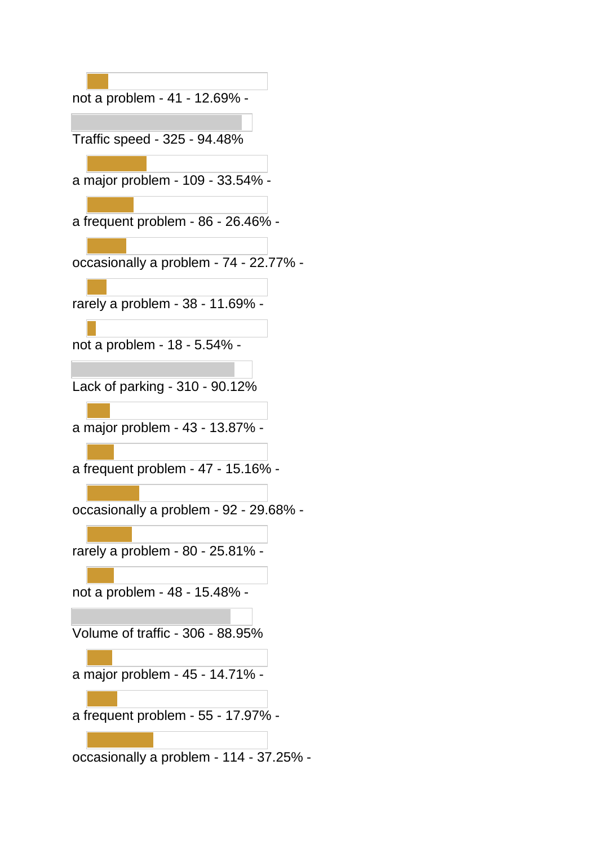| not a problem - 41 - 12.69% -           |
|-----------------------------------------|
|                                         |
| Traffic speed - 325 - 94.48%            |
|                                         |
| a major problem - 109 - 33.54% -        |
|                                         |
| a frequent problem - 86 - 26.46% -      |
|                                         |
| occasionally a problem - 74 - 22.77% -  |
|                                         |
| rarely a problem - 38 - 11.69% -        |
| not a problem - 18 - 5.54% -            |
|                                         |
| Lack of parking - 310 - 90.12%          |
|                                         |
| a major problem - 43 - 13.87% -         |
|                                         |
| a frequent problem - 47 - 15.16% -      |
|                                         |
| occasionally a problem - 92 - 29.68% -  |
|                                         |
| rarely a problem - 80 - 25.81% -        |
|                                         |
| not a problem - 48 - 15.48% -           |
|                                         |
| Volume of traffic - 306 - 88.95%        |
|                                         |
| a major problem - 45 - 14.71% -         |
|                                         |
| a frequent problem - 55 - 17.97% -      |
|                                         |
| occasionally a problem - 114 - 37.25% - |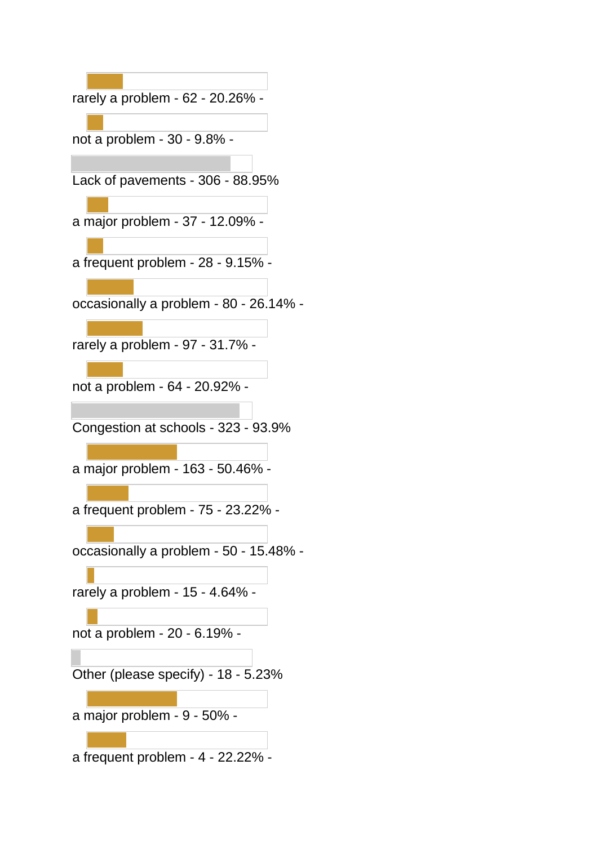| rarely a problem - 62 - 20.26% -       |
|----------------------------------------|
|                                        |
| not a problem - 30 - 9.8% -            |
|                                        |
| Lack of pavements - 306 - 88.95%       |
| a major problem - 37 - 12.09% -        |
| a frequent problem - 28 - 9.15% -      |
| occasionally a problem - 80 - 26.14% - |
| rarely a problem - 97 - 31.7% -        |
| not a problem - 64 - 20.92% -          |
| Congestion at schools - 323 - 93.9%    |
| a major problem - 163 - 50.46% ·       |
| a frequent problem - 75 - 23.22% -     |
| occasionally a problem - 50 - 15.48% - |
| rarely a problem - 15 - 4.64% -        |
| not a problem - 20 - 6.19% -           |
| Other (please specify) - 18 - 5.23%    |
| a major problem - 9 - 50% -            |
| a frequent problem - 4 - 22.22% -      |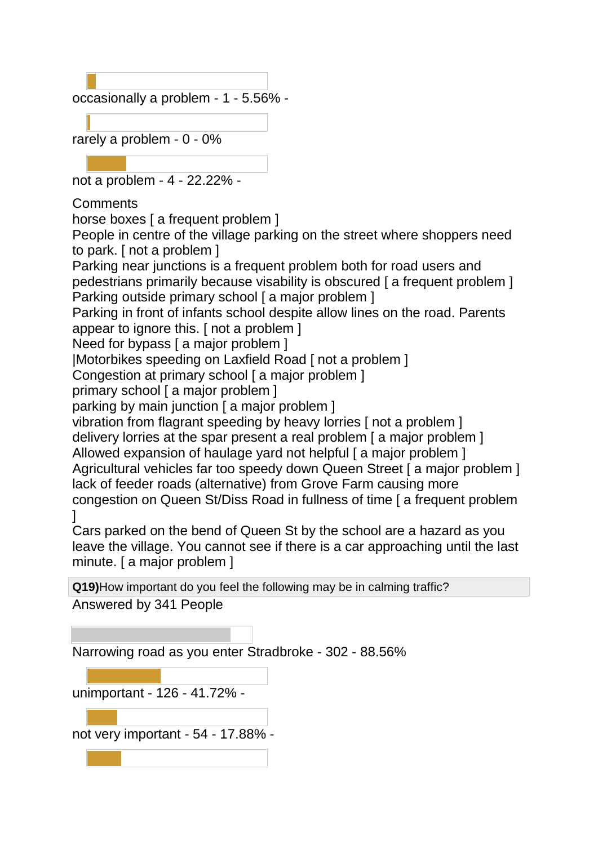occasionally a problem - 1 - 5.56% -

rarely a problem - 0 - 0%

not a problem - 4 - 22.22% -

**Comments** 

horse boxes [ a frequent problem ]

People in centre of the village parking on the street where shoppers need to park. [ not a problem ]

Parking near junctions is a frequent problem both for road users and pedestrians primarily because visability is obscured [ a frequent problem ] Parking outside primary school [ a major problem ]

Parking in front of infants school despite allow lines on the road. Parents appear to ignore this. [ not a problem ]

Need for bypass [ a major problem ]

|Motorbikes speeding on Laxfield Road [ not a problem ]

Congestion at primary school [ a major problem ]

primary school [ a major problem ]

parking by main junction [ a major problem ]

vibration from flagrant speeding by heavy lorries [ not a problem ]

delivery lorries at the spar present a real problem [ a major problem ]

Allowed expansion of haulage yard not helpful [ a major problem ] Agricultural vehicles far too speedy down Queen Street [ a major problem ] lack of feeder roads (alternative) from Grove Farm causing more congestion on Queen St/Diss Road in fullness of time [ a frequent problem  $\mathbf{I}$ 

Cars parked on the bend of Queen St by the school are a hazard as you leave the village. You cannot see if there is a car approaching until the last minute. [ a major problem ]

**Q19)**How important do you feel the following may be in calming traffic? Answered by 341 People

Narrowing road as you enter Stradbroke - 302 - 88.56%

unimportant - 126 - 41.72% not very important - 54 - 17.88% -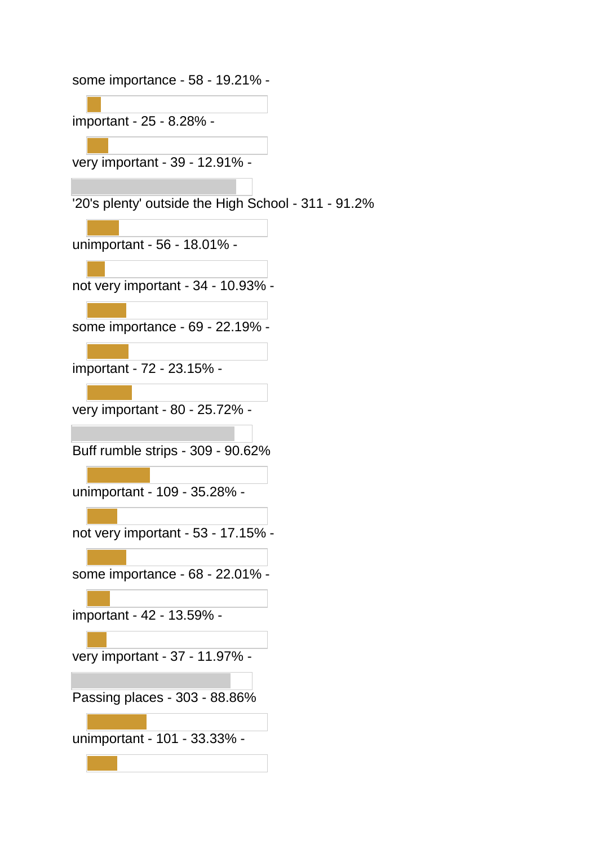some importance - 58 - 19.21% -

important - 25 - 8.28% -

very important - 39 - 12.91% -

'20's plenty' outside the High School - 311 - 91.2%

unimportant - 56 - 18.01% -

not very important - 34 - 10.93% -

some importance - 69 - 22.19% -

important - 72 - 23.15% -

very important - 80 - 25.72% -

Buff rumble strips - 309 - 90.62%

unimportant - 109 - 35.28% -

not very important - 53 - 17.15% -

some importance - 68 - 22.01% -

important - 42 - 13.59% -

very important - 37 - 11.97% -

Passing places - 303 - 88.86%

unimportant - 101 - 33.33% -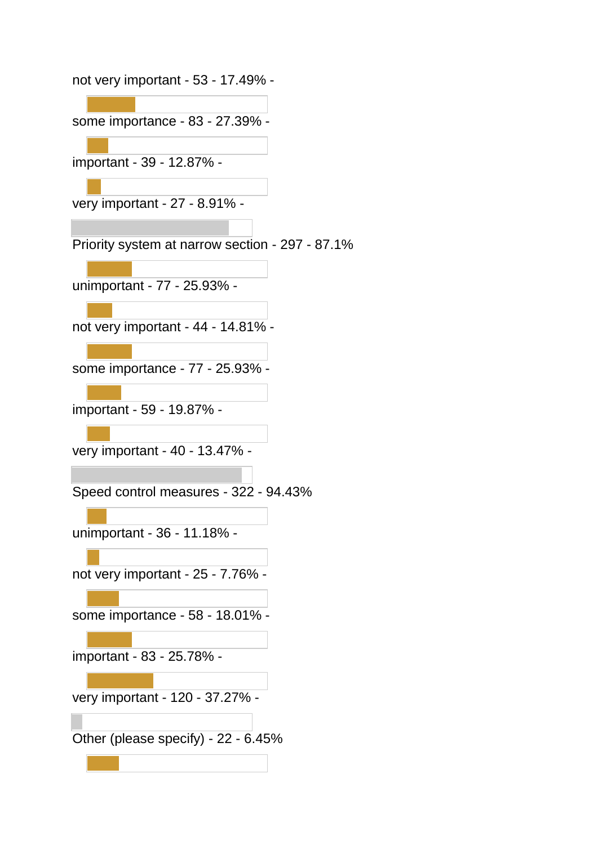not very important - 53 - 17.49% -

some importance - 83 - 27.39% -

important - 39 - 12.87% -

very important - 27 - 8.91% -

Priority system at narrow section - 297 - 87.1%

unimportant - 77 - 25.93% -

not very important - 44 - 14.81% -

some importance - 77 - 25.93% -

important - 59 - 19.87% -

very important - 40 - 13.47% -

Speed control measures - 322 - 94.43%

unimportant - 36 - 11.18% -

not very important - 25 - 7.76% -

some importance - 58 - 18.01% -

important - 83 - 25.78% -

very important - 120 - 37.27% -

Other (please specify) - 22 - 6.45%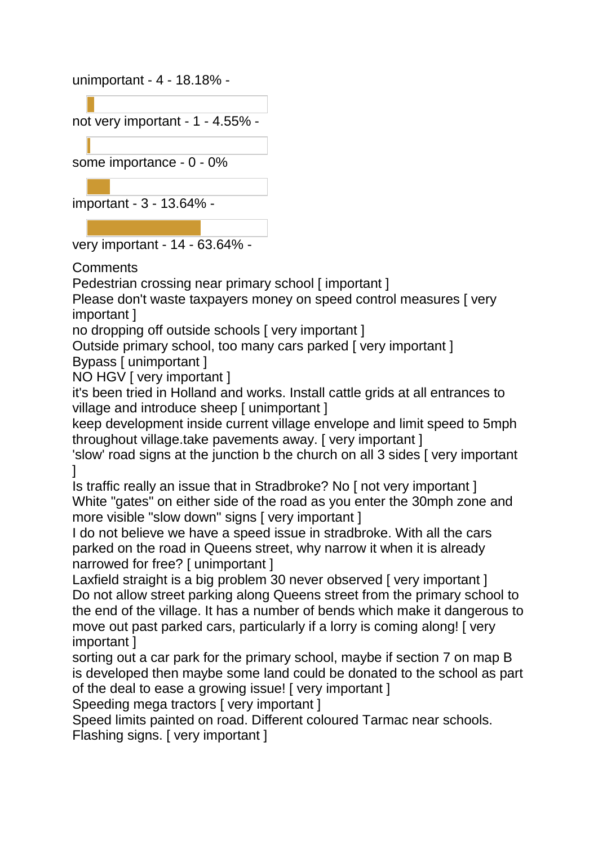unimportant - 4 - 18.18% -

not very important - 1 - 4.55% some importance - 0 - 0% important - 3 - 13.64% -

very important - 14 - 63.64% -

Comments

Pedestrian crossing near primary school [ important ]

Please don't waste taxpayers money on speed control measures [ very important ]

no dropping off outside schools [ very important ]

Outside primary school, too many cars parked [ very important ]

Bypass [ unimportant ]

NO HGV [ very important ]

it's been tried in Holland and works. Install cattle grids at all entrances to village and introduce sheep [ unimportant ]

keep development inside current village envelope and limit speed to 5mph throughout village.take pavements away. [ very important ]

'slow' road signs at the junction b the church on all 3 sides [ very important  $\mathbf{I}$ 

Is traffic really an issue that in Stradbroke? No [ not very important ] White "gates" on either side of the road as you enter the 30mph zone and more visible "slow down" signs [ very important ]

I do not believe we have a speed issue in stradbroke. With all the cars parked on the road in Queens street, why narrow it when it is already narrowed for free? [ unimportant ]

Laxfield straight is a big problem 30 never observed [ very important ] Do not allow street parking along Queens street from the primary school to the end of the village. It has a number of bends which make it dangerous to move out past parked cars, particularly if a lorry is coming along! [ very important ]

sorting out a car park for the primary school, maybe if section 7 on map B is developed then maybe some land could be donated to the school as part of the deal to ease a growing issue! [ very important ]

Speeding mega tractors [ very important ]

Speed limits painted on road. Different coloured Tarmac near schools.

Flashing signs. [ very important ]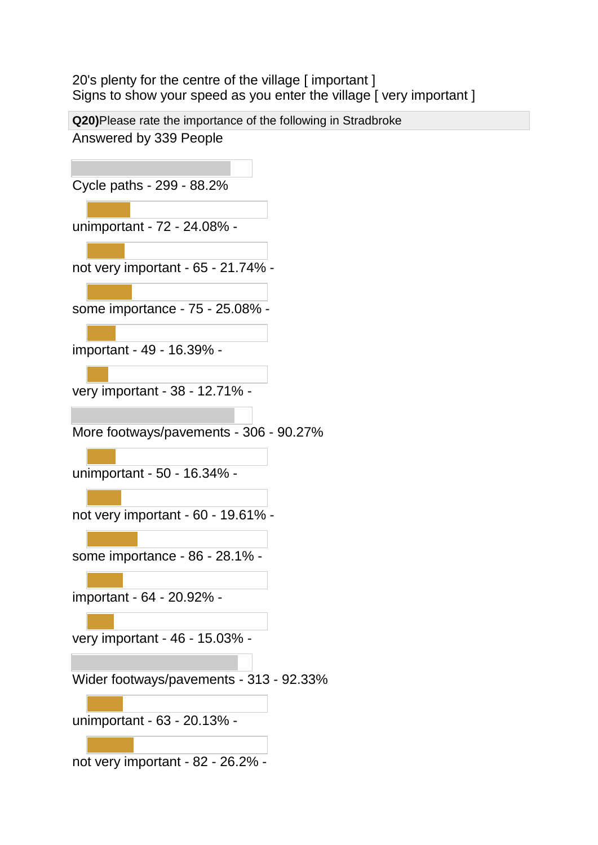20's plenty for the centre of the village [ important ] Signs to show your speed as you enter the village [ very important ]

**Q20)**Please rate the importance of the following in Stradbroke Answered by 339 People

Cycle paths - 299 - 88.2% unimportant - 72 - 24.08% not very important - 65 - 21.74% some importance - 75 - 25.08% important - 49 - 16.39% very important - 38 - 12.71% - More footways/pavements - 306 - 90.27% unimportant - 50 - 16.34% not very important - 60 - 19.61% some importance - 86 - 28.1% important - 64 - 20.92% very important - 46 - 15.03% - Wider footways/pavements - 313 - 92.33% unimportant - 63 - 20.13% not very important - 82 - 26.2% -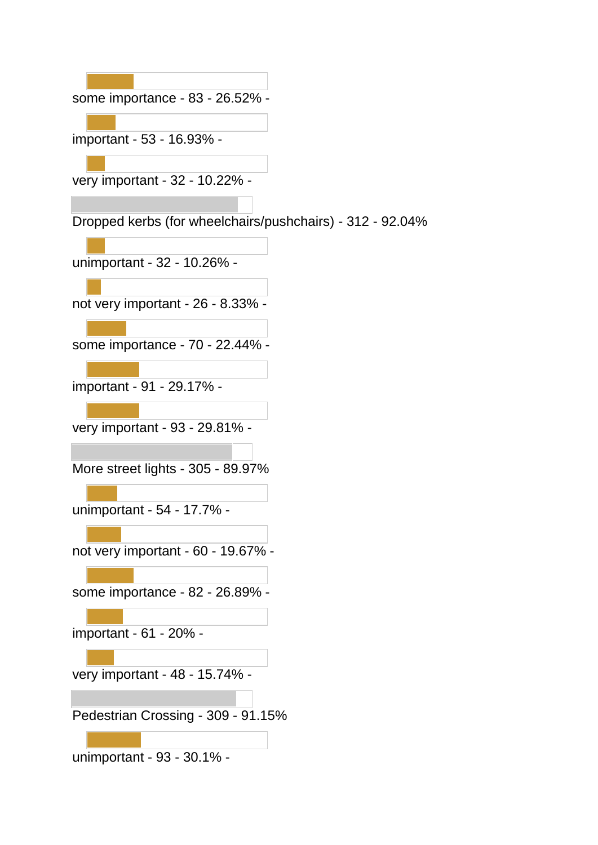some importance - 83 - 26.52% -

important - 53 - 16.93% -

very important - 32 - 10.22% -

Dropped kerbs (for wheelchairs/pushchairs) - 312 - 92.04%

unimportant - 32 - 10.26% -

not very important - 26 - 8.33% -

some importance - 70 - 22.44% -

important - 91 - 29.17% -

very important - 93 - 29.81% -

More street lights - 305 - 89.97%

unimportant - 54 - 17.7% -

not very important - 60 - 19.67% -

some importance - 82 - 26.89% -

important - 61 - 20% -

very important - 48 - 15.74% -

Pedestrian Crossing - 309 - 91.15%

unimportant - 93 - 30.1% -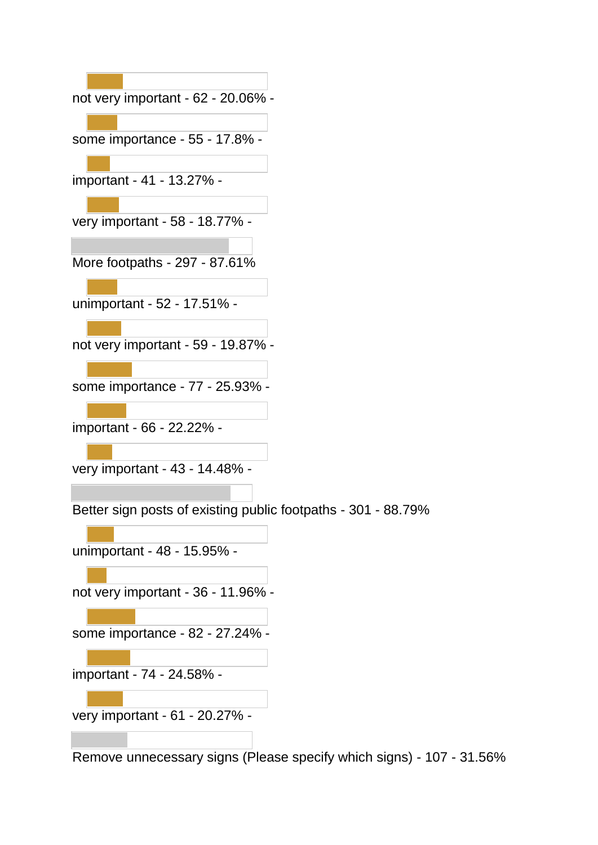| not very important - 62 - 20.06% -                            |
|---------------------------------------------------------------|
| some importance - 55 - 17.8% -                                |
| important - 41 - 13.27% -                                     |
| very important - 58 - 18.77% -                                |
| More footpaths - 297 - 87.61%                                 |
| unimportant - 52 - 17.51% -                                   |
| not very important - 59 - 19.87% -                            |
| some importance - 77 - 25.93% -                               |
| important - 66 - 22.22% -                                     |
| very important - 43 - 14.48% -                                |
| Better sign posts of existing public footpaths - 301 - 88.79% |
| unimportant - 48 - 15.95% -                                   |
| not very important - 36 - 11.96% -                            |
| some importance - 82 - 27.24% -                               |
| important - 74 - 24.58% -                                     |
| very important - 61 - 20.27% -                                |
|                                                               |

Remove unnecessary signs (Please specify which signs) - 107 - 31.56%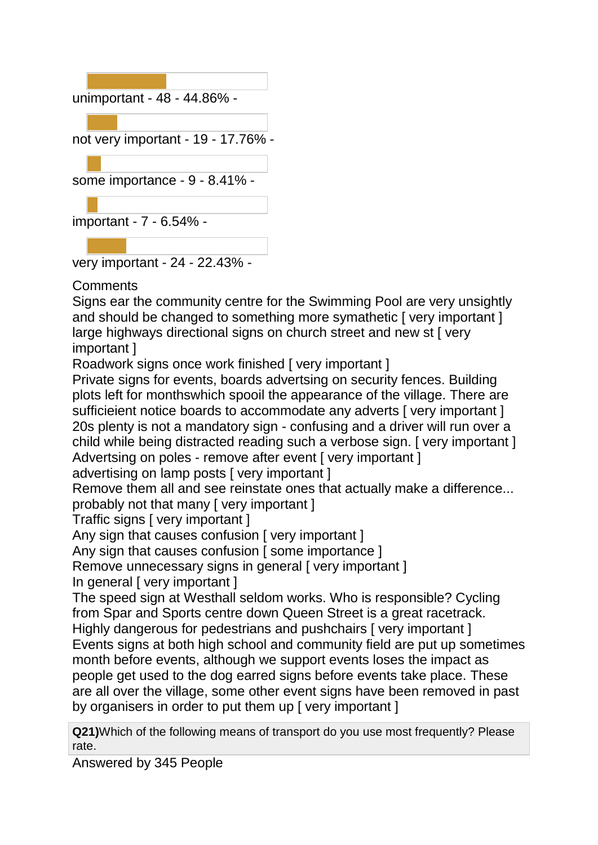

## **Comments**

Signs ear the community centre for the Swimming Pool are very unsightly and should be changed to something more symathetic [very important] large highways directional signs on church street and new st [ very important ]

Roadwork signs once work finished [ very important ]

Private signs for events, boards advertsing on security fences. Building plots left for monthswhich spooil the appearance of the village. There are sufficieient notice boards to accommodate any adverts [very important] 20s plenty is not a mandatory sign - confusing and a driver will run over a child while being distracted reading such a verbose sign. [ very important ] Advertsing on poles - remove after event [ very important ]

advertising on lamp posts [ very important ]

Remove them all and see reinstate ones that actually make a difference... probably not that many [ very important ]

Traffic signs [ very important ]

Any sign that causes confusion [ very important ]

Any sign that causes confusion [ some importance ]

Remove unnecessary signs in general [ very important ]

In general [ very important ]

The speed sign at Westhall seldom works. Who is responsible? Cycling from Spar and Sports centre down Queen Street is a great racetrack. Highly dangerous for pedestrians and pushchairs [ very important ] Events signs at both high school and community field are put up sometimes month before events, although we support events loses the impact as people get used to the dog earred signs before events take place. These are all over the village, some other event signs have been removed in past by organisers in order to put them up [ very important ]

**Q21)**Which of the following means of transport do you use most frequently? Please rate.

Answered by 345 People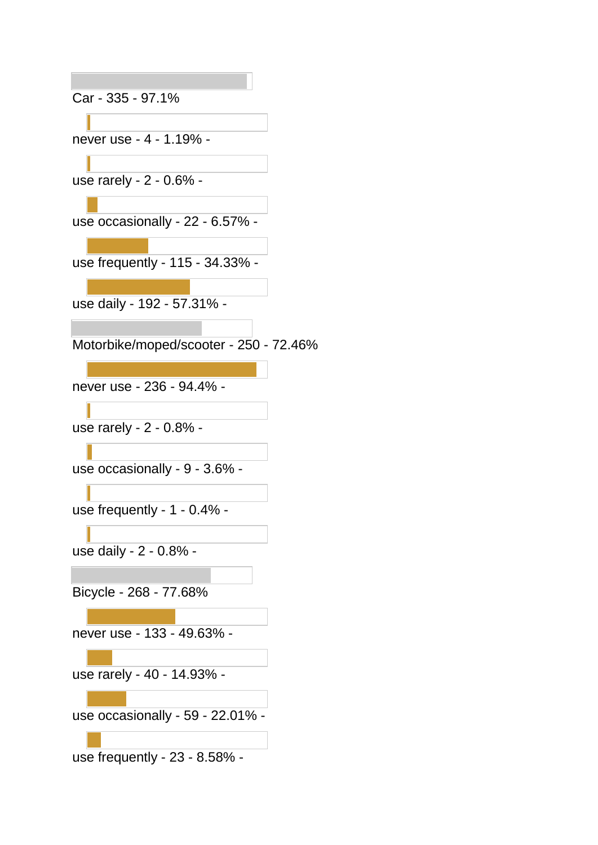Car - 335 - 97.1%

never use - 4 - 1.19% -

use rarely - 2 - 0.6% -

use occasionally - 22 - 6.57% -

use frequently - 115 - 34.33% -

use daily - 192 - 57.31% -

Motorbike/moped/scooter - 250 - 72.46%

never use - 236 - 94.4% -

use rarely - 2 - 0.8% -

use occasionally - 9 - 3.6% -

use frequently - 1 - 0.4% -

use daily - 2 - 0.8% -

Bicycle - 268 - 77.68%

never use - 133 - 49.63% -

use rarely - 40 - 14.93% -

use occasionally - 59 - 22.01% -

use frequently - 23 - 8.58% -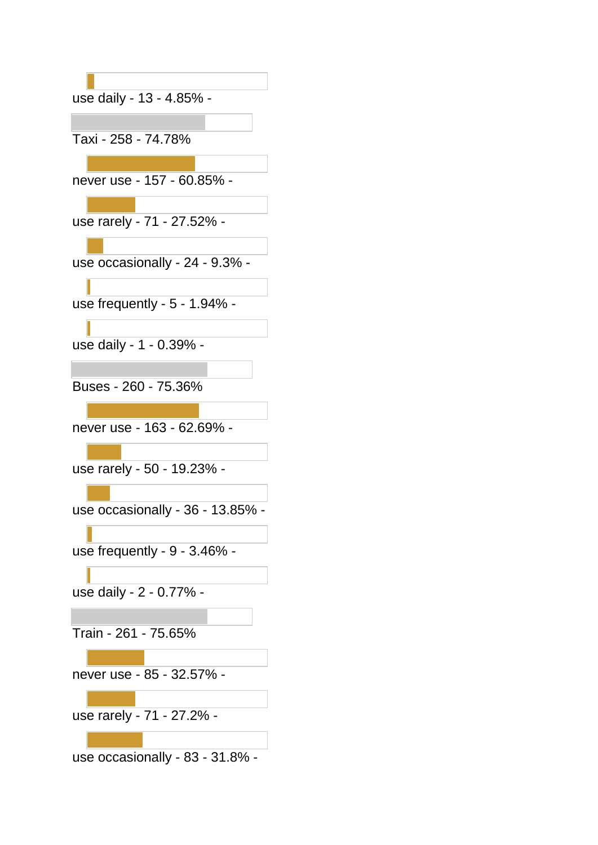| use daily - 13 - 4.85% -         |
|----------------------------------|
|                                  |
| Taxi - 258 - 74.78%              |
|                                  |
| never use - 157 - 60.85% -       |
|                                  |
| use rarely - 71 - 27.52% -       |
|                                  |
| use occasionally - 24 - 9.3% -   |
|                                  |
| use frequently - 5 - 1.94% -     |
|                                  |
| use daily - 1 - 0.39% -          |
| Buses - 260 - 75.36%             |
|                                  |
| never use - 163 - 62.69% -       |
|                                  |
| use rarely - 50 - 19.23% -       |
|                                  |
| use occasionally - 36 - 13.85% - |
|                                  |
| use frequently - 9 - 3.46% -     |
|                                  |
| use daily - 2 - 0.77% -          |
|                                  |
| Train - 261 - 75.65%             |
|                                  |
| never use - 85 - 32.57% -        |
|                                  |
| use rarely - 71 - 27.2% -        |
|                                  |
| use occasionally - 83 - 31.8% -  |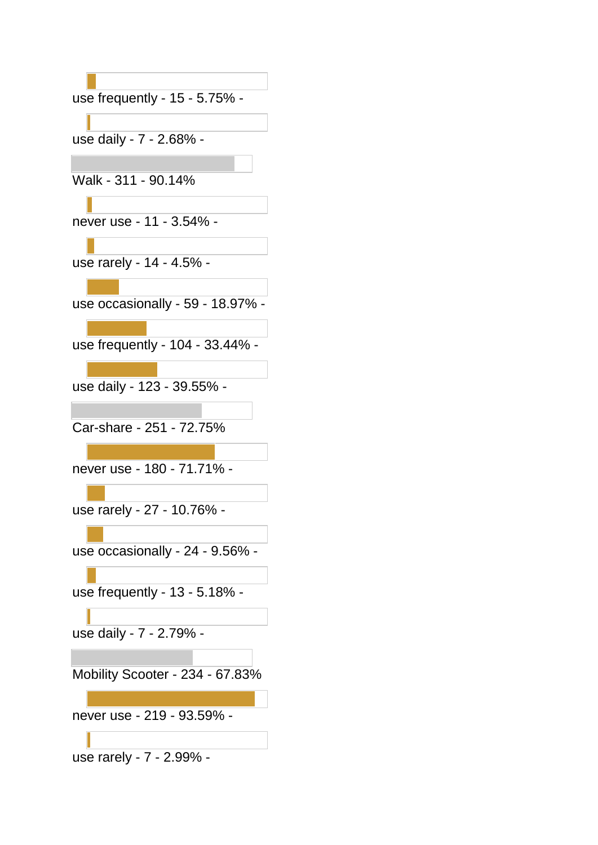use frequently - 15 - 5.75% -

use daily - 7 - 2.68% -

Walk - 311 - 90.14%

never use - 11 - 3.54% -

use rarely - 14 - 4.5% -

use occasionally - 59 - 18.97% -

use frequently - 104 - 33.44% -

use daily - 123 - 39.55% -

Car-share - 251 - 72.75%

never use - 180 - 71.71% -

use rarely - 27 - 10.76% -

use occasionally - 24 - 9.56% -

use frequently - 13 - 5.18% -

use daily - 7 - 2.79% -

Mobility Scooter - 234 - 67.83%

never use - 219 - 93.59% -

use rarely - 7 - 2.99% -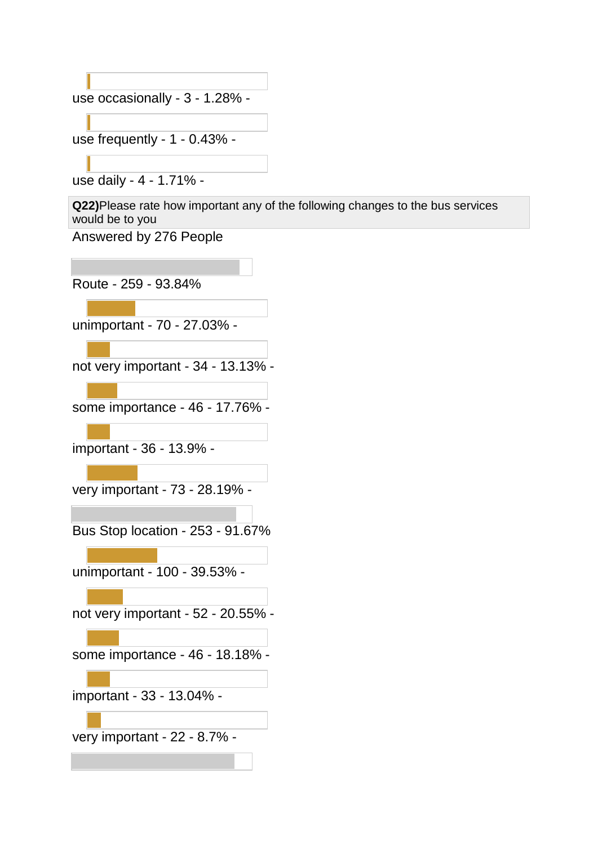use occasionally - 3 - 1.28% -

use frequently - 1 - 0.43% -

use daily - 4 - 1.71% -

**Q22)**Please rate how important any of the following changes to the bus services would be to you

Answered by 276 People

Route - 259 - 93.84%

unimportant - 70 - 27.03% -

not very important - 34 - 13.13% -

some importance - 46 - 17.76% -

important - 36 - 13.9% -

very important - 73 - 28.19% -

Bus Stop location - 253 - 91.67%

unimportant - 100 - 39.53% -

not very important - 52 - 20.55% -

some importance - 46 - 18.18% -

important - 33 - 13.04% -

very important - 22 - 8.7% -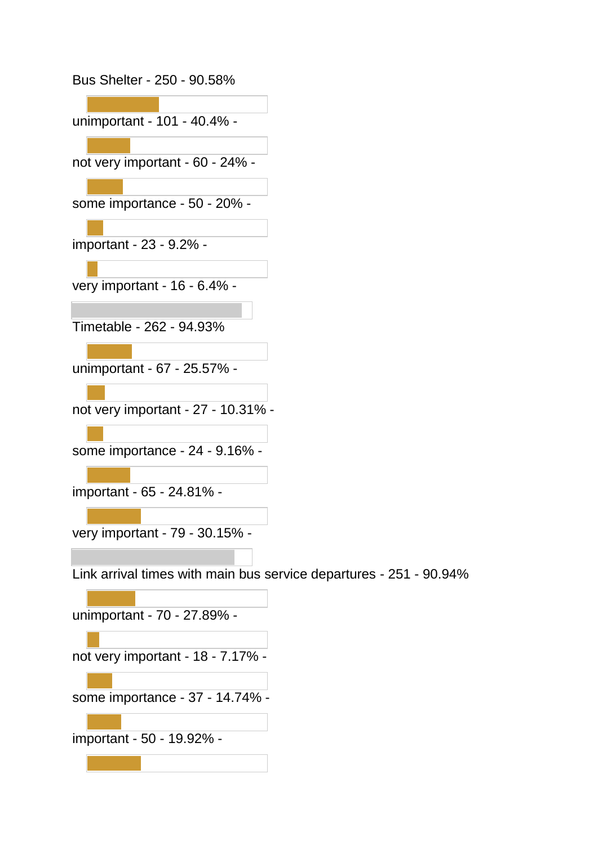Bus Shelter - 250 - 90.58% unimportant - 101 - 40.4% not very important - 60 - 24% some importance - 50 - 20% important - 23 - 9.2% very important - 16 - 6.4% - Timetable - 262 - 94.93% unimportant - 67 - 25.57% not very important - 27 - 10.31% some importance - 24 - 9.16% important - 65 - 24.81% very important - 79 - 30.15% - Link arrival times with main bus service departures - 251 - 90.94% unimportant - 70 - 27.89% not very important - 18 - 7.17% some importance - 37 - 14.74% important - 50 - 19.92% -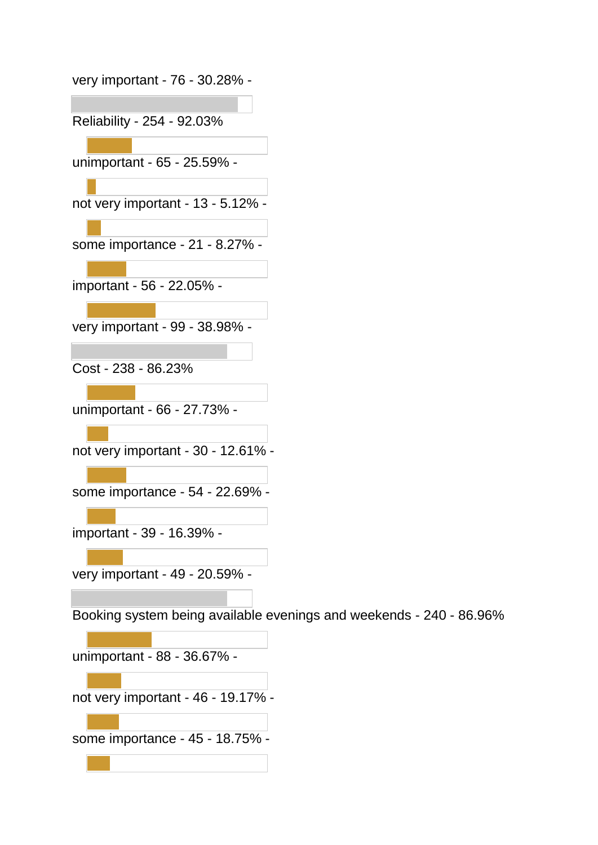| very important - 76 - 30.28% -                                      |
|---------------------------------------------------------------------|
|                                                                     |
| Reliability - 254 - 92.03%                                          |
|                                                                     |
| unimportant - 65 - 25.59% -                                         |
|                                                                     |
| not very important - 13 - 5.12% -                                   |
|                                                                     |
| some importance - 21 - 8.27% -                                      |
|                                                                     |
| important - 56 - 22.05% -                                           |
|                                                                     |
|                                                                     |
| very important - 99 - 38.98% -                                      |
|                                                                     |
| Cost - 238 - 86.23%                                                 |
|                                                                     |
| unimportant - 66 - 27.73% -                                         |
|                                                                     |
| not very important - 30 - 12.61% -                                  |
|                                                                     |
| some importance - 54 - 22.69% -                                     |
|                                                                     |
|                                                                     |
| important - 39 - 16.39% -                                           |
|                                                                     |
| very important - 49 - 20.59% -                                      |
|                                                                     |
| Booking system being available evenings and weekends - 240 - 86.96% |
|                                                                     |
| unimportant - 88 - 36.67% -                                         |
|                                                                     |
| not very important - 46 - 19.17% -                                  |
|                                                                     |
| some importance - 45 - 18.75% -                                     |
|                                                                     |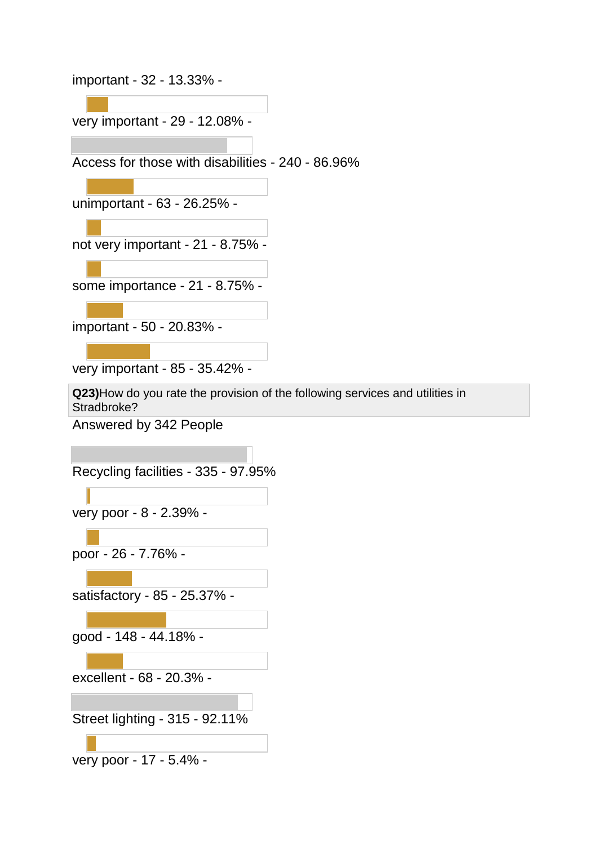important - 32 - 13.33% -

very important - 29 - 12.08% -

Access for those with disabilities - 240 - 86.96%

unimportant - 63 - 26.25% -

not very important - 21 - 8.75% -

some importance - 21 - 8.75% -

important - 50 - 20.83% -

very important - 85 - 35.42% -

**Q23)**How do you rate the provision of the following services and utilities in Stradbroke?

Answered by 342 People

Recycling facilities - 335 - 97.95%

very poor - 8 - 2.39% -

poor - 26 - 7.76% -

satisfactory - 85 - 25.37% -

good - 148 - 44.18% -

excellent - 68 - 20.3% -

Street lighting - 315 - 92.11%

very poor - 17 - 5.4% -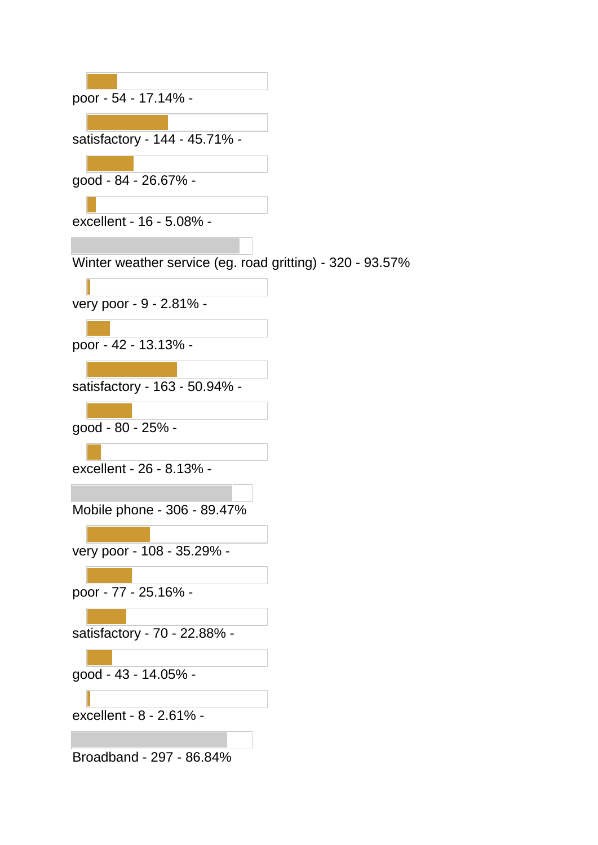| poor - 54 - 17.14% -                                      |
|-----------------------------------------------------------|
|                                                           |
| satisfactory - 144 - 45.71% -                             |
|                                                           |
| good - 84 - 26.67% -                                      |
|                                                           |
| excellent - 16 - 5.08% -                                  |
|                                                           |
| Winter weather service (eg. road gritting) - 320 - 93.57% |
| very poor - 9 - 2.81% -                                   |
|                                                           |
| poor - 42 - 13.13% -                                      |
|                                                           |
| satisfactory - 163 - 50.94% -                             |
|                                                           |
| good - 80 - 25% -                                         |
|                                                           |
| excellent - 26 - 8.13% -                                  |
|                                                           |
| Mobile phone - 306 - 89.47%                               |
| very poor - 108 - 35.29% -                                |
|                                                           |
| poor - 77 - 25.16% -                                      |
|                                                           |
| satisfactory - 70 - 22.88% -                              |
|                                                           |
| good - 43 - 14.05% -                                      |
|                                                           |
| excellent - 8 - 2.61% -                                   |
|                                                           |
| Broadband - 297 - 86.84%                                  |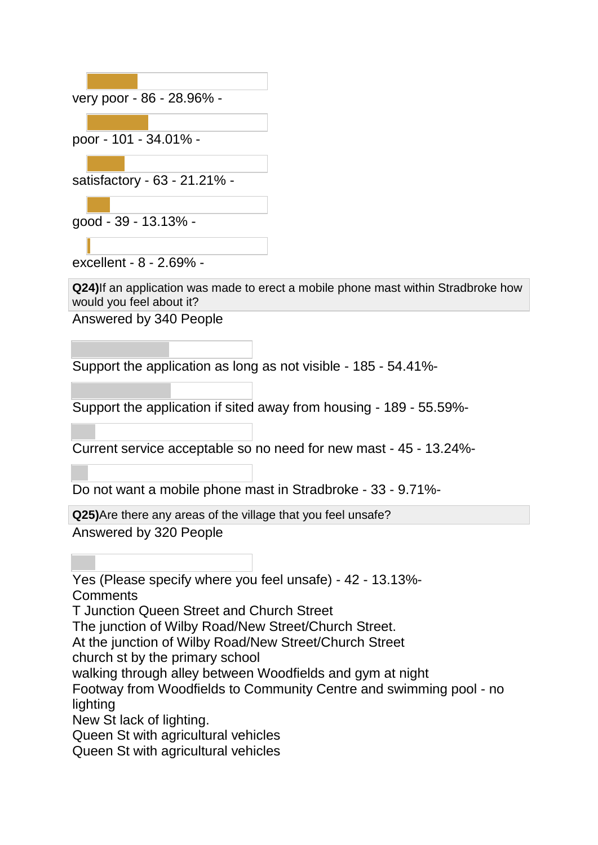|  | very poor - 86 - 28.96% -    |  |
|--|------------------------------|--|
|  |                              |  |
|  | poor - 101 - 34.01% -        |  |
|  |                              |  |
|  | satisfactory - 63 - 21.21% - |  |
|  |                              |  |
|  | good - 39 - 13.13% -         |  |
|  |                              |  |

excellent - 8 - 2.69% -

**Q24)**If an application was made to erect a mobile phone mast within Stradbroke how would you feel about it?

Answered by 340 People

Support the application as long as not visible - 185 - 54.41%-

Support the application if sited away from housing - 189 - 55.59%-

Current service acceptable so no need for new mast - 45 - 13.24%-

Do not want a mobile phone mast in Stradbroke - 33 - 9.71%-

**Q25)**Are there any areas of the village that you feel unsafe? Answered by 320 People

Yes (Please specify where you feel unsafe) - 42 - 13.13%- **Comments** 

T Junction Queen Street and Church Street

The junction of Wilby Road/New Street/Church Street.

At the junction of Wilby Road/New Street/Church Street

church st by the primary school

walking through alley between Woodfields and gym at night

Footway from Woodfields to Community Centre and swimming pool - no lighting

New St lack of lighting.

Queen St with agricultural vehicles

Queen St with agricultural vehicles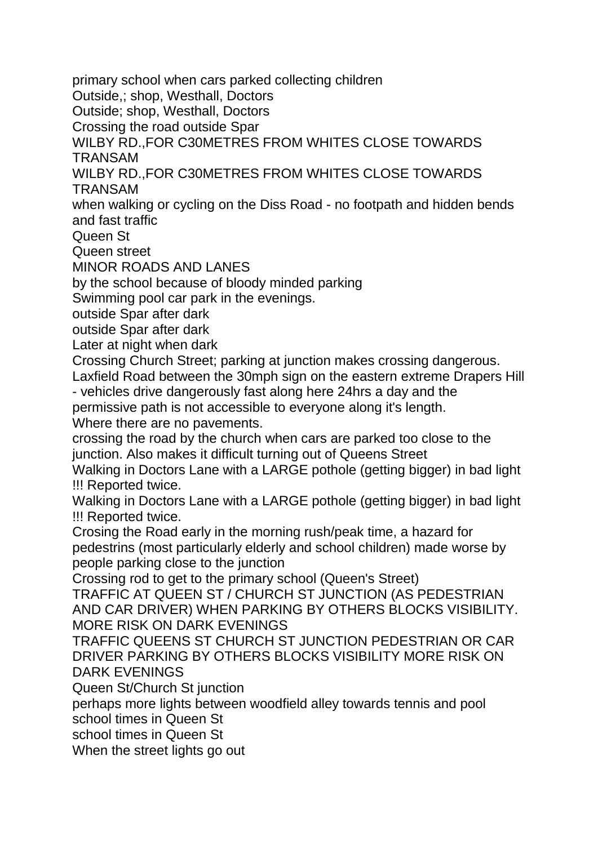primary school when cars parked collecting children

Outside,; shop, Westhall, Doctors

Outside; shop, Westhall, Doctors

Crossing the road outside Spar

WILBY RD., FOR C30METRES FROM WHITES CLOSE TOWARDS TRANSAM

WILBY RD.,FOR C30METRES FROM WHITES CLOSE TOWARDS TRANSAM

when walking or cycling on the Diss Road - no footpath and hidden bends and fast traffic

Queen St

Queen street

MINOR ROADS AND LANES

by the school because of bloody minded parking

Swimming pool car park in the evenings.

outside Spar after dark

outside Spar after dark

Later at night when dark

Crossing Church Street; parking at junction makes crossing dangerous.

Laxfield Road between the 30mph sign on the eastern extreme Drapers Hill - vehicles drive dangerously fast along here 24hrs a day and the

permissive path is not accessible to everyone along it's length.

Where there are no pavements.

crossing the road by the church when cars are parked too close to the junction. Also makes it difficult turning out of Queens Street

Walking in Doctors Lane with a LARGE pothole (getting bigger) in bad light !!! Reported twice.

Walking in Doctors Lane with a LARGE pothole (getting bigger) in bad light !!! Reported twice.

Crosing the Road early in the morning rush/peak time, a hazard for pedestrins (most particularly elderly and school children) made worse by people parking close to the junction

Crossing rod to get to the primary school (Queen's Street)

TRAFFIC AT QUEEN ST / CHURCH ST JUNCTION (AS PEDESTRIAN AND CAR DRIVER) WHEN PARKING BY OTHERS BLOCKS VISIBILITY. MORE RISK ON DARK EVENINGS

TRAFFIC QUEENS ST CHURCH ST JUNCTION PEDESTRIAN OR CAR DRIVER PARKING BY OTHERS BLOCKS VISIBILITY MORE RISK ON DARK EVENINGS

Queen St/Church St junction

perhaps more lights between woodfield alley towards tennis and pool school times in Queen St

school times in Queen St

When the street lights go out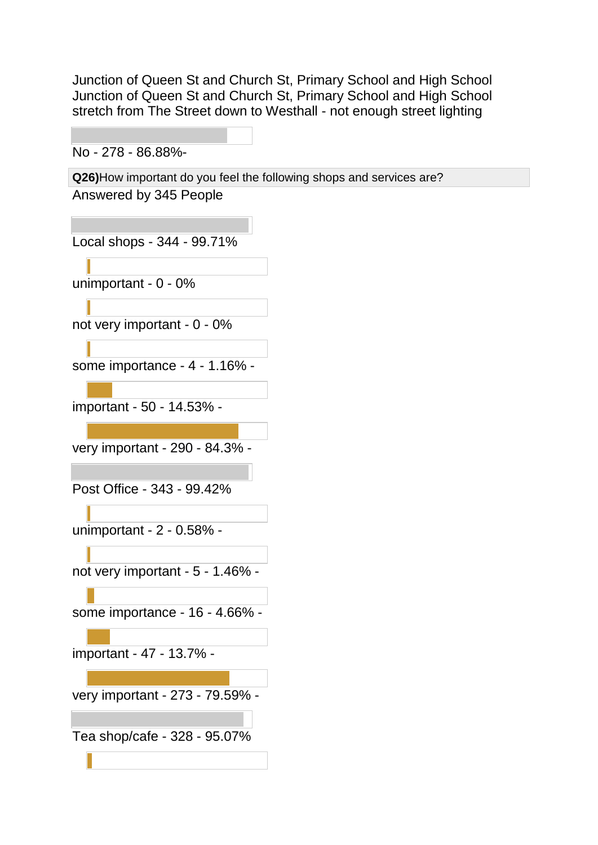Junction of Queen St and Church St, Primary School and High School Junction of Queen St and Church St, Primary School and High School stretch from The Street down to Westhall - not enough street lighting

No - 278 - 86.88%-

**Q26)**How important do you feel the following shops and services are? Answered by 345 People

Local shops - 344 - 99.71%

unimportant - 0 - 0%

not very important - 0 - 0%

some importance - 4 - 1.16% -

important - 50 - 14.53% -

very important - 290 - 84.3% -

Post Office - 343 - 99.42%

unimportant - 2 - 0.58% -

not very important - 5 - 1.46% -

some importance - 16 - 4.66% -

important - 47 - 13.7% -

very important - 273 - 79.59% -

Tea shop/cafe - 328 - 95.07%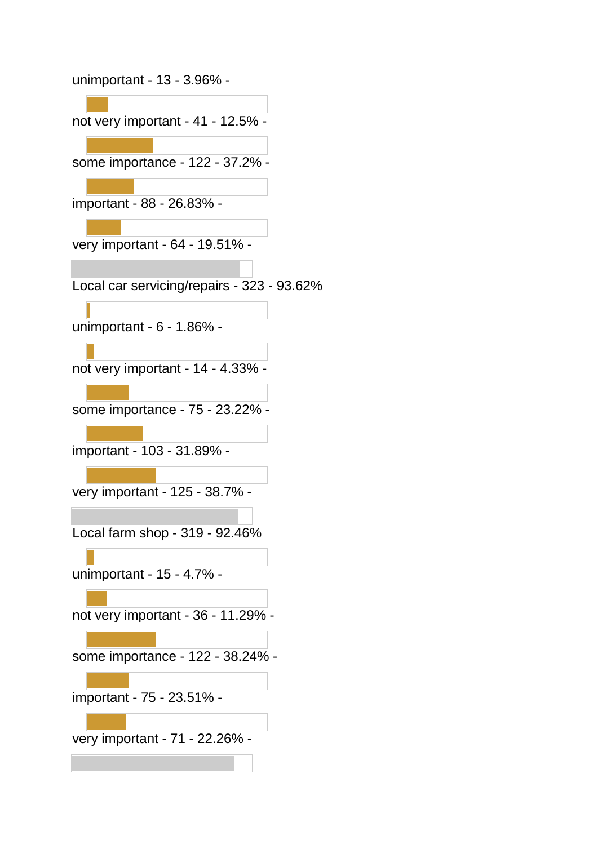unimportant - 13 - 3.96% not very important - 41 - 12.5% some importance - 122 - 37.2% important - 88 - 26.83% very important - 64 - 19.51% - Local car servicing/repairs - 323 - 93.62% unimportant - 6 - 1.86% not very important - 14 - 4.33% some importance - 75 - 23.22% important - 103 - 31.89% very important - 125 - 38.7% - Local farm shop - 319 - 92.46% unimportant - 15 - 4.7% not very important - 36 - 11.29% some importance - 122 - 38.24% important - 75 - 23.51% very important - 71 - 22.26% -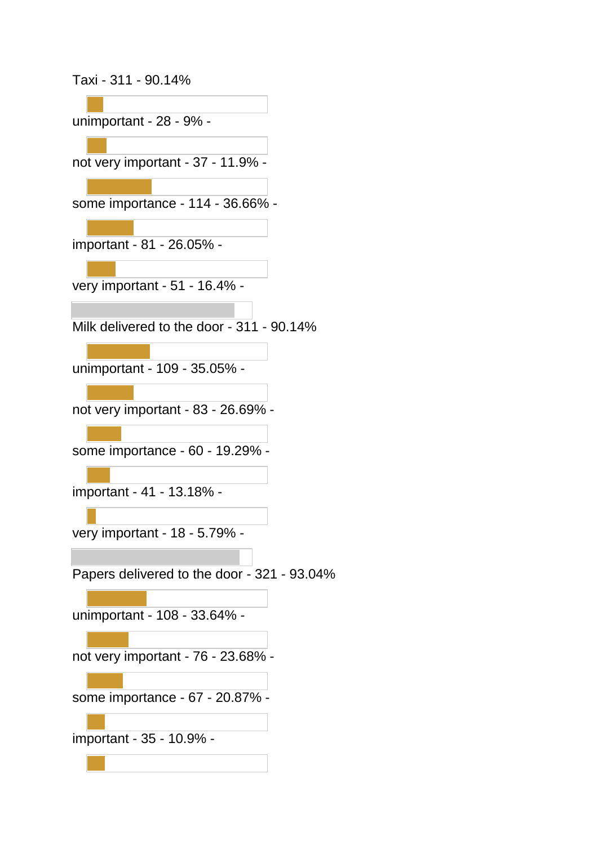Taxi - 311 - 90.14%

unimportant - 28 - 9% not very important - 37 - 11.9% some importance - 114 - 36.66% important - 81 - 26.05% very important - 51 - 16.4% - Milk delivered to the door - 311 - 90.14% unimportant - 109 - 35.05% not very important - 83 - 26.69% some importance - 60 - 19.29% important - 41 - 13.18% very important - 18 - 5.79% - Papers delivered to the door - 321 - 93.04% unimportant - 108 - 33.64% not very important - 76 - 23.68% some importance - 67 - 20.87% -

important - 35 - 10.9% -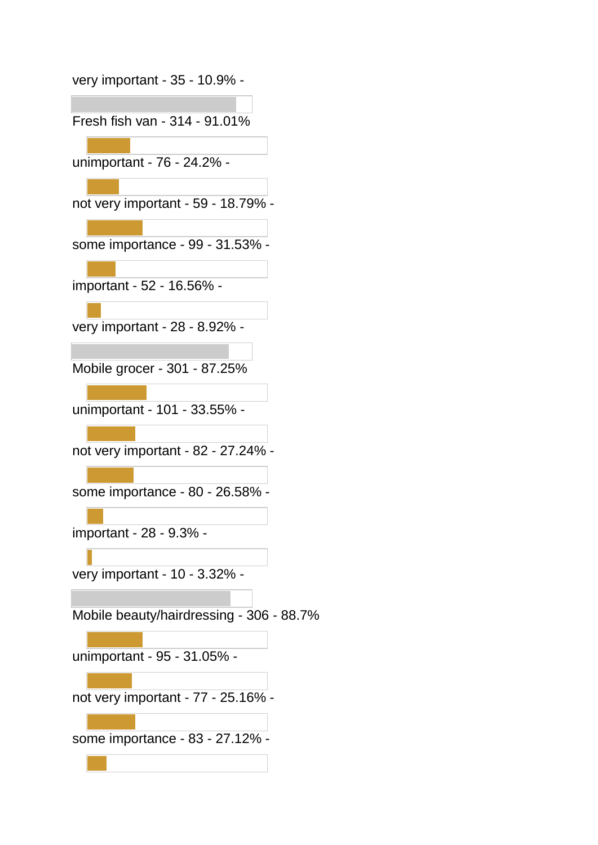| very important - 35 - 10.9% -            |
|------------------------------------------|
| Fresh fish van - 314 - 91.01%            |
| unimportant - 76 - 24.2% -               |
|                                          |
| not very important - 59 - 18.79% -       |
| some importance - 99 - 31.53% -          |
| important - 52 - 16.56% -                |
| very important - 28 - 8.92% -            |
| Mobile grocer - 301 - 87.25%             |
| unimportant - 101 - 33.55% -             |
| not very important - 82 - 27.24% -       |
| some importance - 80 - 26.58% -          |
| important - 28 - 9.3% -                  |
| very important - 10 - 3.32% -            |
| Mobile beauty/hairdressing - 306 - 88.7% |
| unimportant - 95 - 31.05% -              |
|                                          |
| not very important - 77 - 25.16% -       |
| some importance - 83 - 27.12% -          |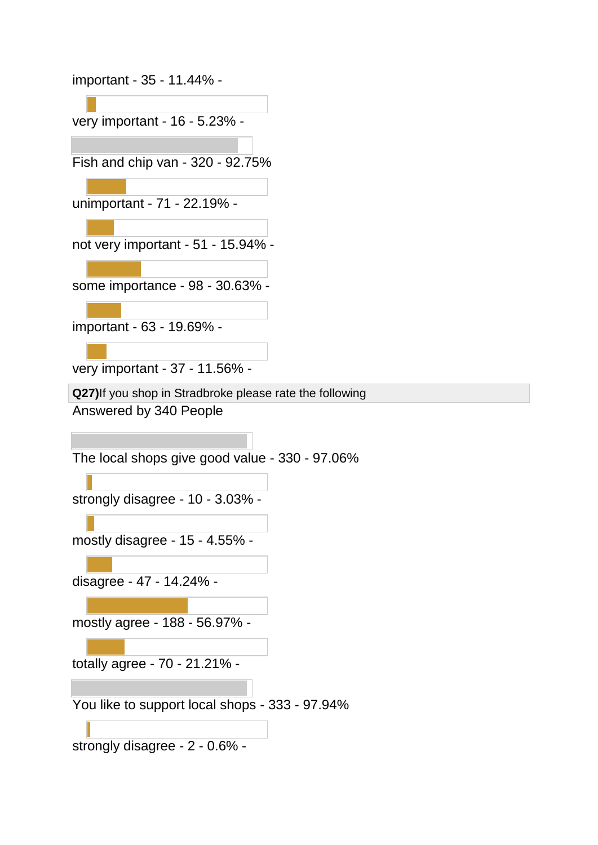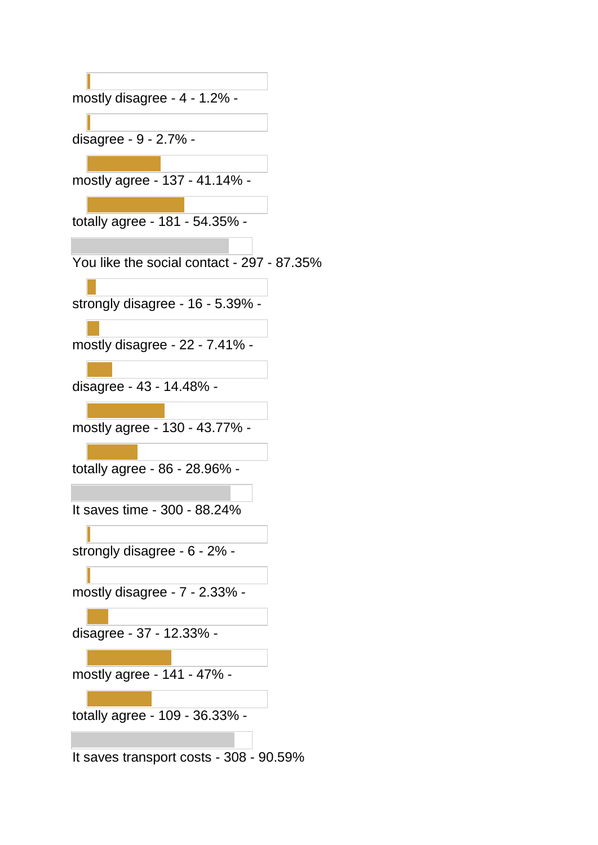mostly disagree - 4 - 1.2% disagree - 9 - 2.7% mostly agree - 137 - 41.14% totally agree - 181 - 54.35% - You like the social contact - 297 - 87.35% strongly disagree - 16 - 5.39% mostly disagree - 22 - 7.41% disagree - 43 - 14.48% mostly agree - 130 - 43.77% totally agree - 86 - 28.96% - It saves time - 300 - 88.24% strongly disagree - 6 - 2% mostly disagree - 7 - 2.33% disagree - 37 - 12.33% mostly agree - 141 - 47% totally agree - 109 - 36.33% - It saves transport costs - 308 - 90.59%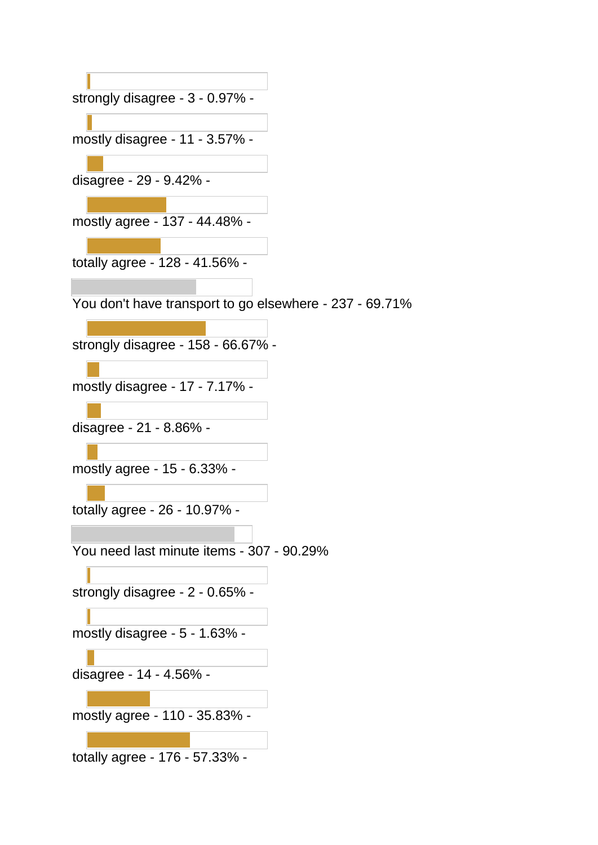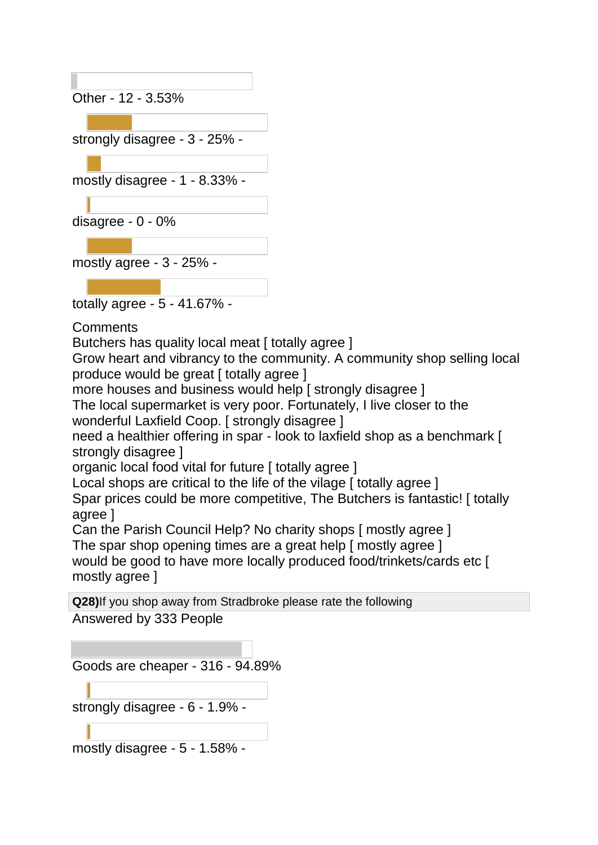Other - 12 - 3.53% strongly disagree - 3 - 25% mostly disagree - 1 - 8.33% disagree - 0 - 0% mostly agree - 3 - 25% -

totally agree - 5 - 41.67% -

**Comments** 

Butchers has quality local meat [ totally agree ]

Grow heart and vibrancy to the community. A community shop selling local produce would be great [ totally agree ]

more houses and business would help [ strongly disagree ]

The local supermarket is very poor. Fortunately, I live closer to the wonderful Laxfield Coop. [ strongly disagree ]

need a healthier offering in spar - look to laxfield shop as a benchmark [ strongly disagree ]

organic local food vital for future [ totally agree ]

Local shops are critical to the life of the vilage [ totally agree ]

Spar prices could be more competitive, The Butchers is fantastic! [ totally agree ]

Can the Parish Council Help? No charity shops [ mostly agree ]

The spar shop opening times are a great help [ mostly agree ] would be good to have more locally produced food/trinkets/cards etc [ mostly agree ]

**Q28)**If you shop away from Stradbroke please rate the following Answered by 333 People

Goods are cheaper - 316 - 94.89% strongly disagree - 6 - 1.9% -

mostly disagree - 5 - 1.58% -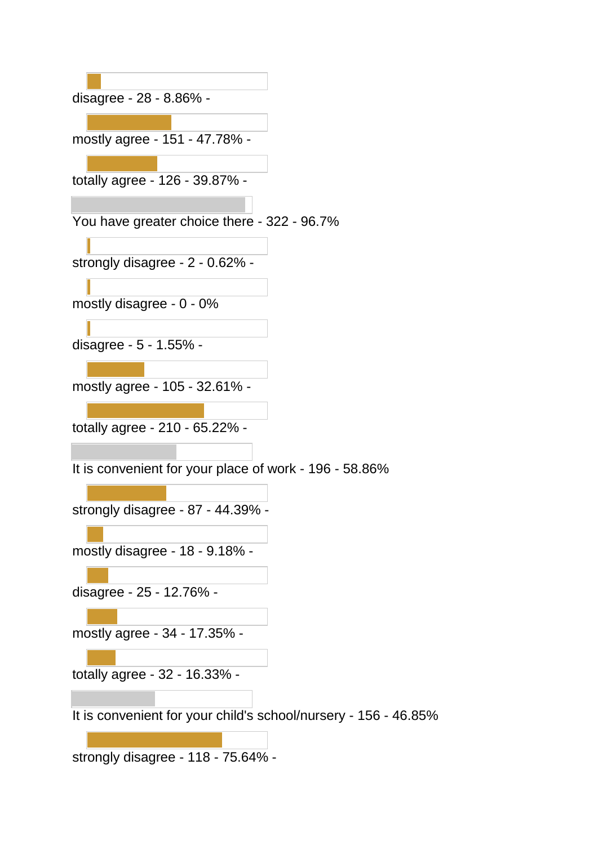| disagree - 28 - 8.86% -                                         |  |
|-----------------------------------------------------------------|--|
|                                                                 |  |
| mostly agree - 151 - 47.78% -                                   |  |
|                                                                 |  |
| totally agree - 126 - 39.87% -                                  |  |
|                                                                 |  |
| You have greater choice there - 322 - 96.7%                     |  |
|                                                                 |  |
| strongly disagree - 2 - 0.62% -                                 |  |
|                                                                 |  |
| mostly disagree - 0 - 0%                                        |  |
|                                                                 |  |
| disagree - 5 - 1.55% -                                          |  |
|                                                                 |  |
| mostly agree - 105 - 32.61% -                                   |  |
|                                                                 |  |
| totally agree - 210 - 65.22% -                                  |  |
|                                                                 |  |
| It is convenient for your place of work - 196 - 58.86%          |  |
|                                                                 |  |
| strongly disagree - 87 - 44.39% -                               |  |
|                                                                 |  |
| mostly disagree - 18 - 9.18% -                                  |  |
|                                                                 |  |
| disagree - 25 - 12.76% -                                        |  |
| mostly agree - 34 - 17.35% -                                    |  |
|                                                                 |  |
| totally agree - 32 - 16.33% -                                   |  |
|                                                                 |  |
| It is convenient for your child's school/nursery - 156 - 46.85% |  |
|                                                                 |  |
| strongly disagree - 118 - 75.64% -                              |  |
|                                                                 |  |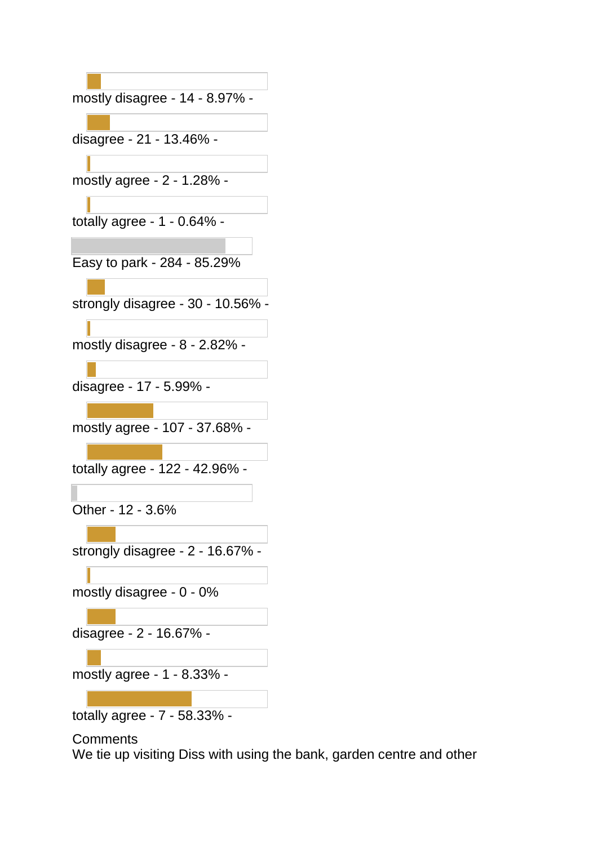| mostly disagree - 14 - 8.97% -   |
|----------------------------------|
|                                  |
| disagree - 21 - 13.46% -         |
|                                  |
| mostly agree - 2 - 1.28% -       |
|                                  |
| totally agree - 1 - 0.64% -      |
|                                  |
| Easy to park - 284 - 85.29%      |
|                                  |
| strongly disagree - 30 - 10.56%  |
|                                  |
| mostly disagree - 8 - 2.82% -    |
|                                  |
| disagree - 17 - 5.99% -          |
| mostly agree - 107 - 37.68% -    |
|                                  |
| totally agree - 122 - 42.96% -   |
|                                  |
| Other - 12 - 3.6%                |
|                                  |
| strongly disagree - 2 - 16.67% - |
|                                  |
| mostly disagree - 0 - 0%         |
|                                  |
| disagree - 2 - 16.67% -          |
|                                  |
| mostly agree - 1 - 8.33% -       |
|                                  |

totally agree - 7 - 58.33% -

## **Comments**

We tie up visiting Diss with using the bank, garden centre and other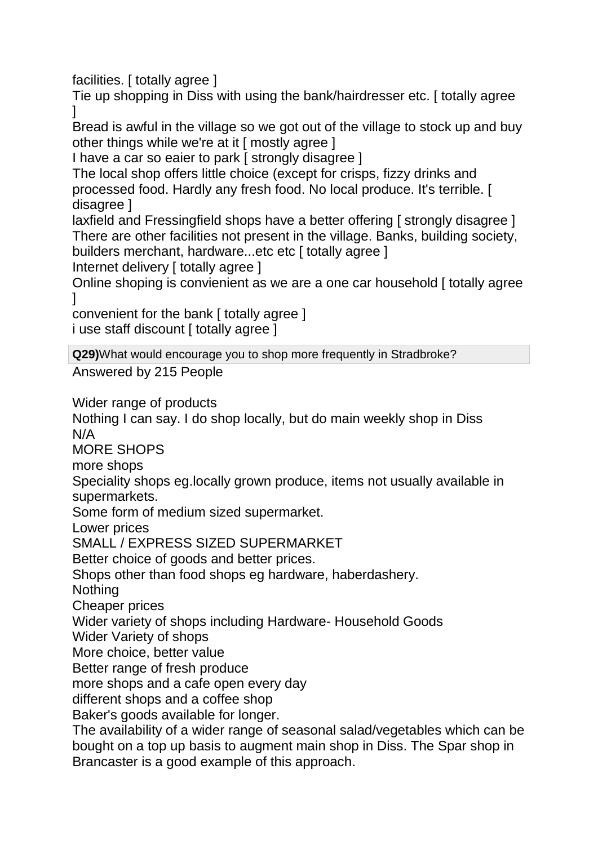facilities. [ totally agree ]

Tie up shopping in Diss with using the bank/hairdresser etc. [ totally agree  $\mathbf{I}$ 

Bread is awful in the village so we got out of the village to stock up and buy other things while we're at it [ mostly agree ]

I have a car so eaier to park [ strongly disagree ]

The local shop offers little choice (except for crisps, fizzy drinks and processed food. Hardly any fresh food. No local produce. It's terrible. [ disagree ]

laxfield and Fressingfield shops have a better offering [ strongly disagree ] There are other facilities not present in the village. Banks, building society, builders merchant, hardware...etc etc [ totally agree ]

Internet delivery [ totally agree ]

Online shoping is convienient as we are a one car household [ totally agree  $\mathbf{I}$ 

convenient for the bank [ totally agree ] i use staff discount [ totally agree ]

**Q29)**What would encourage you to shop more frequently in Stradbroke?

Answered by 215 People

Wider range of products

Nothing I can say. I do shop locally, but do main weekly shop in Diss N/A

MORE SHOPS

more shops

Speciality shops eg.locally grown produce, items not usually available in supermarkets.

Some form of medium sized supermarket.

Lower prices

SMALL / EXPRESS SIZED SUPERMARKET

Better choice of goods and better prices.

Shops other than food shops eg hardware, haberdashery.

**Nothing** 

Cheaper prices

Wider variety of shops including Hardware- Household Goods

Wider Variety of shops

More choice, better value

Better range of fresh produce

more shops and a cafe open every day

different shops and a coffee shop

Baker's goods available for longer.

The availability of a wider range of seasonal salad/vegetables which can be bought on a top up basis to augment main shop in Diss. The Spar shop in Brancaster is a good example of this approach.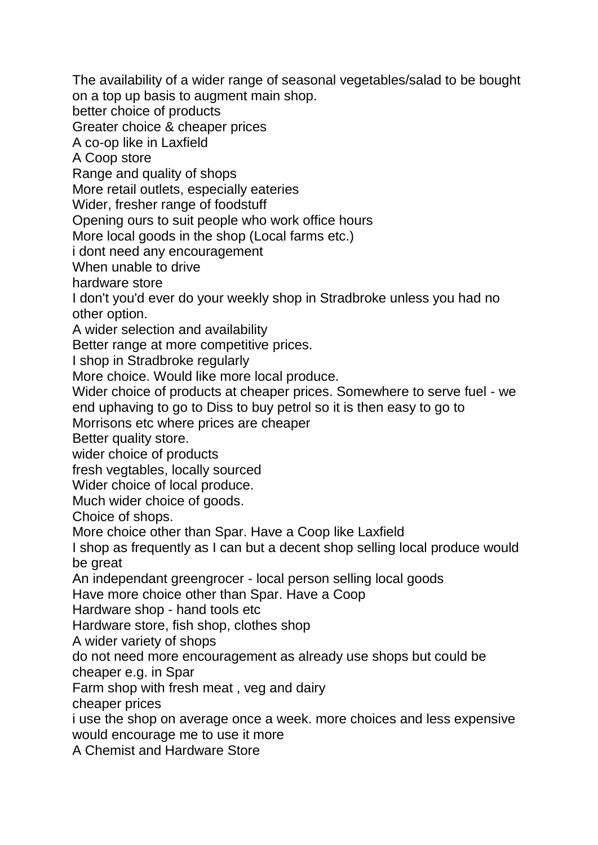The availability of a wider range of seasonal vegetables/salad to be bought on a top up basis to augment main shop.

better choice of products

Greater choice & cheaper prices

A co-op like in Laxfield

A Coop store

Range and quality of shops

More retail outlets, especially eateries

Wider, fresher range of foodstuff

Opening ours to suit people who work office hours

More local goods in the shop (Local farms etc.)

i dont need any encouragement

When unable to drive

hardware store

I don't you'd ever do your weekly shop in Stradbroke unless you had no other option.

A wider selection and availability

Better range at more competitive prices.

I shop in Stradbroke regularly

More choice. Would like more local produce.

Wider choice of products at cheaper prices. Somewhere to serve fuel - we end uphaving to go to Diss to buy petrol so it is then easy to go to

Morrisons etc where prices are cheaper

Better quality store.

wider choice of products

fresh vegtables, locally sourced

Wider choice of local produce.

Much wider choice of goods.

Choice of shops.

More choice other than Spar. Have a Coop like Laxfield

I shop as frequently as I can but a decent shop selling local produce would be great

An independant greengrocer - local person selling local goods

Have more choice other than Spar. Have a Coop

Hardware shop - hand tools etc

Hardware store, fish shop, clothes shop

A wider variety of shops

do not need more encouragement as already use shops but could be

cheaper e.g. in Spar

Farm shop with fresh meat , veg and dairy

cheaper prices

i use the shop on average once a week. more choices and less expensive would encourage me to use it more

A Chemist and Hardware Store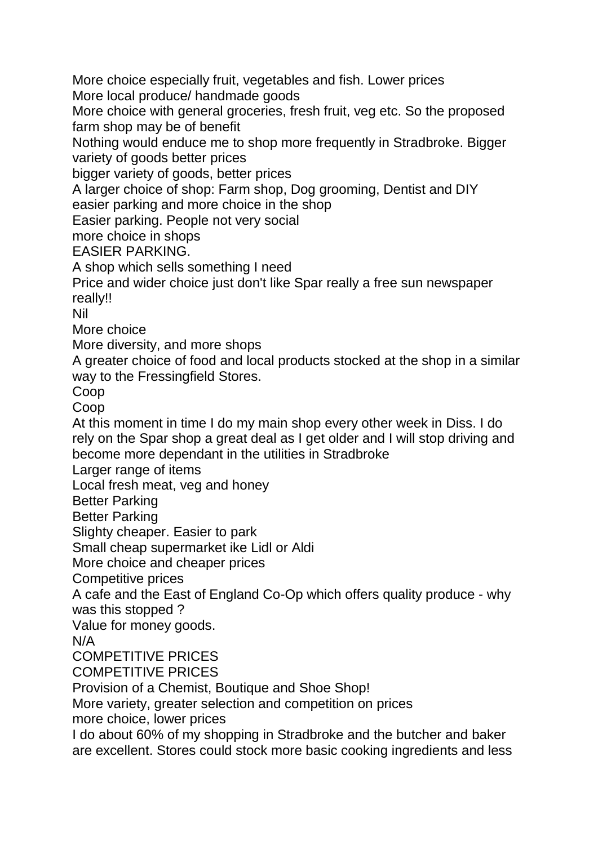More choice especially fruit, vegetables and fish. Lower prices More local produce/ handmade goods

More choice with general groceries, fresh fruit, veg etc. So the proposed farm shop may be of benefit

Nothing would enduce me to shop more frequently in Stradbroke. Bigger variety of goods better prices

bigger variety of goods, better prices

A larger choice of shop: Farm shop, Dog grooming, Dentist and DIY easier parking and more choice in the shop

Easier parking. People not very social

more choice in shops

EASIER PARKING.

A shop which sells something I need

Price and wider choice just don't like Spar really a free sun newspaper really!!

Nil

More choice

More diversity, and more shops

A greater choice of food and local products stocked at the shop in a similar way to the Fressingfield Stores.

Coop

Coop

At this moment in time I do my main shop every other week in Diss. I do rely on the Spar shop a great deal as I get older and I will stop driving and become more dependant in the utilities in Stradbroke

Larger range of items

Local fresh meat, veg and honey

Better Parking

Better Parking

Slighty cheaper. Easier to park

Small cheap supermarket ike Lidl or Aldi

More choice and cheaper prices

Competitive prices

A cafe and the East of England Co-Op which offers quality produce - why was this stopped ?

Value for money goods.

N/A

## COMPETITIVE PRICES

COMPETITIVE PRICES

Provision of a Chemist, Boutique and Shoe Shop!

More variety, greater selection and competition on prices

more choice, lower prices

I do about 60% of my shopping in Stradbroke and the butcher and baker are excellent. Stores could stock more basic cooking ingredients and less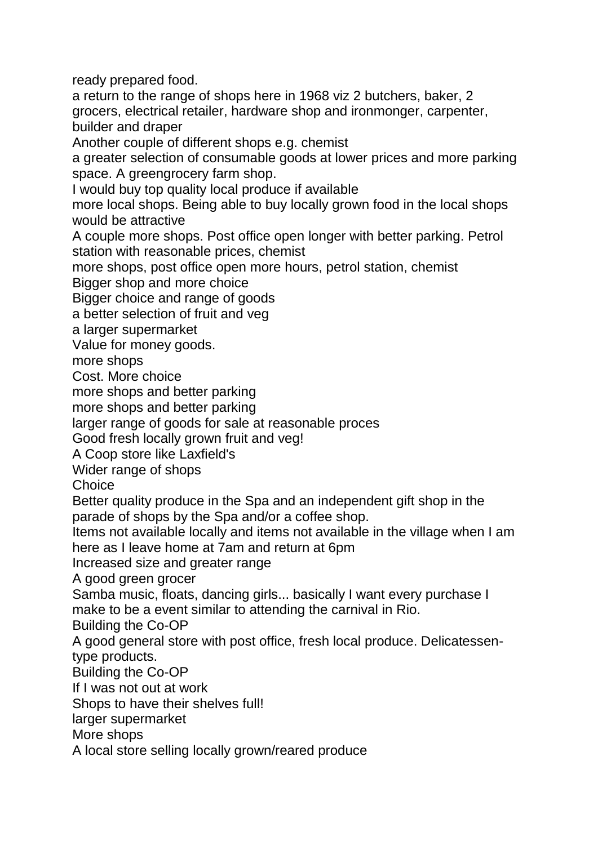ready prepared food.

a return to the range of shops here in 1968 viz 2 butchers, baker, 2 grocers, electrical retailer, hardware shop and ironmonger, carpenter, builder and draper

Another couple of different shops e.g. chemist

a greater selection of consumable goods at lower prices and more parking space. A greengrocery farm shop.

I would buy top quality local produce if available

more local shops. Being able to buy locally grown food in the local shops would be attractive

A couple more shops. Post office open longer with better parking. Petrol station with reasonable prices, chemist

more shops, post office open more hours, petrol station, chemist

Bigger shop and more choice

Bigger choice and range of goods

a better selection of fruit and veg

a larger supermarket

Value for money goods.

more shops

Cost. More choice

more shops and better parking

more shops and better parking

larger range of goods for sale at reasonable proces

Good fresh locally grown fruit and veg!

A Coop store like Laxfield's

Wider range of shops

**Choice** 

Better quality produce in the Spa and an independent gift shop in the parade of shops by the Spa and/or a coffee shop.

Items not available locally and items not available in the village when I am here as I leave home at 7am and return at 6pm

Increased size and greater range

A good green grocer

Samba music, floats, dancing girls... basically I want every purchase I make to be a event similar to attending the carnival in Rio.

Building the Co-OP

A good general store with post office, fresh local produce. Delicatessentype products.

Building the Co-OP

If I was not out at work

Shops to have their shelves full!

larger supermarket

More shops

A local store selling locally grown/reared produce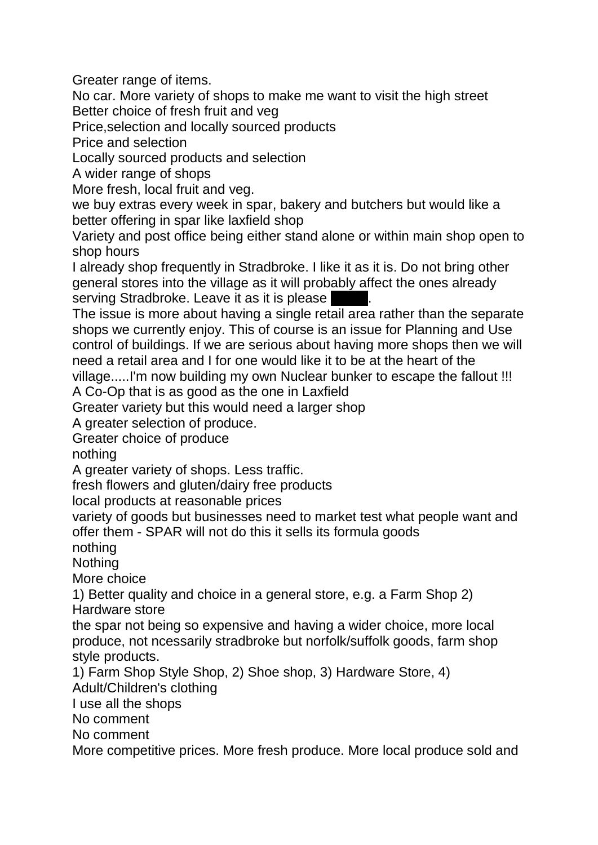Greater range of items.

No car. More variety of shops to make me want to visit the high street Better choice of fresh fruit and veg

Price,selection and locally sourced products

Price and selection

Locally sourced products and selection

A wider range of shops

More fresh, local fruit and veg.

we buy extras every week in spar, bakery and butchers but would like a better offering in spar like laxfield shop

Variety and post office being either stand alone or within main shop open to shop hours

I already shop frequently in Stradbroke. I like it as it is. Do not bring other general stores into the village as it will probably affect the ones already serving Stradbroke. Leave it as it is please

The issue is more about having a single retail area rather than the separate shops we currently enjoy. This of course is an issue for Planning and Use control of buildings. If we are serious about having more shops then we will need a retail area and I for one would like it to be at the heart of the village.....I'm now building my own Nuclear bunker to escape the fallout !!!

A Co-Op that is as good as the one in Laxfield

Greater variety but this would need a larger shop

A greater selection of produce.

Greater choice of produce

nothing

A greater variety of shops. Less traffic.

fresh flowers and gluten/dairy free products

local products at reasonable prices

variety of goods but businesses need to market test what people want and offer them - SPAR will not do this it sells its formula goods

nothing

**Nothing** 

More choice

1) Better quality and choice in a general store, e.g. a Farm Shop 2) Hardware store

the spar not being so expensive and having a wider choice, more local produce, not ncessarily stradbroke but norfolk/suffolk goods, farm shop style products.

1) Farm Shop Style Shop, 2) Shoe shop, 3) Hardware Store, 4) Adult/Children's clothing

I use all the shops

No comment

No comment

More competitive prices. More fresh produce. More local produce sold and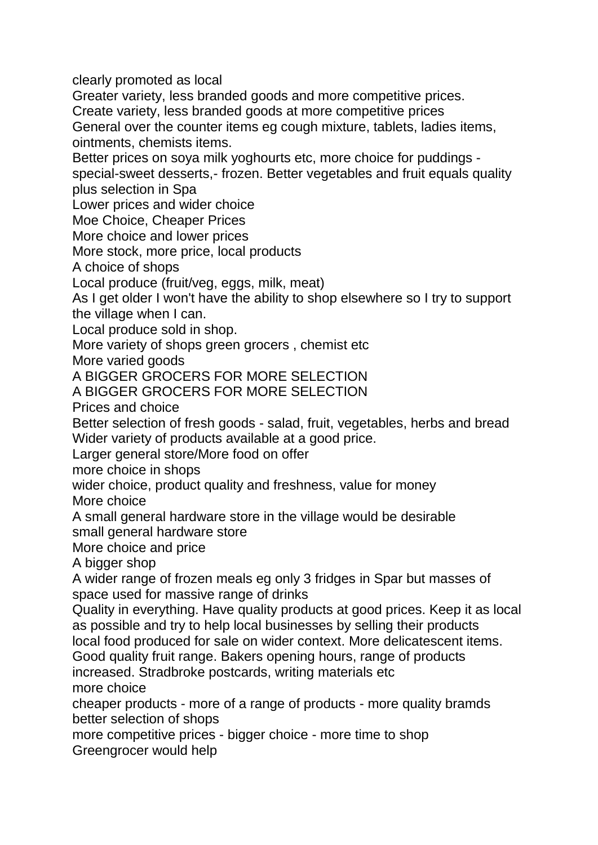clearly promoted as local

Greater variety, less branded goods and more competitive prices. Create variety, less branded goods at more competitive prices

General over the counter items eg cough mixture, tablets, ladies items, ointments, chemists items.

Better prices on soya milk yoghourts etc, more choice for puddings -

special-sweet desserts,- frozen. Better vegetables and fruit equals quality plus selection in Spa

Lower prices and wider choice

Moe Choice, Cheaper Prices

More choice and lower prices

More stock, more price, local products

A choice of shops

Local produce (fruit/veg, eggs, milk, meat)

As I get older I won't have the ability to shop elsewhere so I try to support the village when I can.

Local produce sold in shop.

More variety of shops green grocers , chemist etc

More varied goods

A BIGGER GROCERS FOR MORE SELECTION

A BIGGER GROCERS FOR MORE SELECTION

Prices and choice

Better selection of fresh goods - salad, fruit, vegetables, herbs and bread Wider variety of products available at a good price.

Larger general store/More food on offer

more choice in shops

wider choice, product quality and freshness, value for money

More choice

A small general hardware store in the village would be desirable small general hardware store

More choice and price

A bigger shop

A wider range of frozen meals eg only 3 fridges in Spar but masses of space used for massive range of drinks

Quality in everything. Have quality products at good prices. Keep it as local as possible and try to help local businesses by selling their products

local food produced for sale on wider context. More delicatescent items.

Good quality fruit range. Bakers opening hours, range of products increased. Stradbroke postcards, writing materials etc more choice

cheaper products - more of a range of products - more quality bramds better selection of shops

more competitive prices - bigger choice - more time to shop Greengrocer would help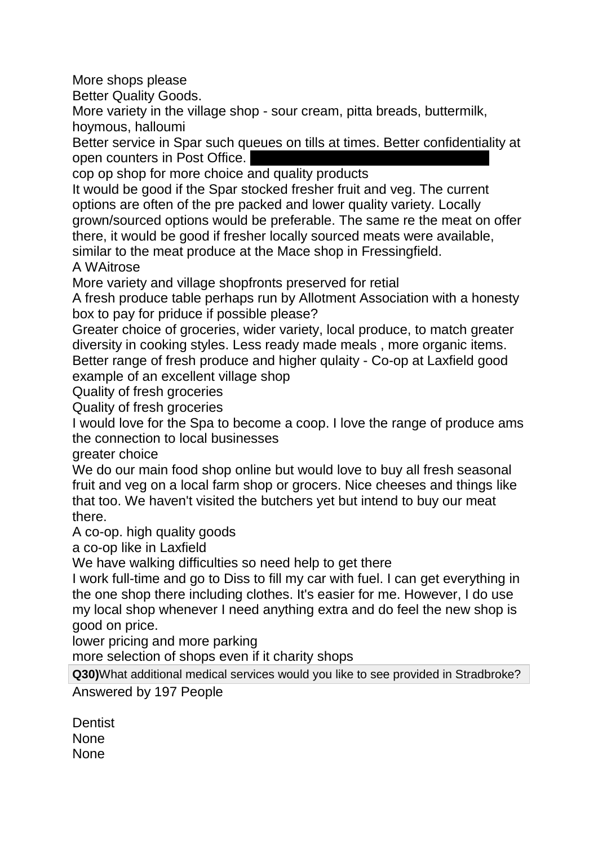More shops please

Better Quality Goods.

More variety in the village shop - sour cream, pitta breads, buttermilk, hoymous, halloumi

Better service in Spar such queues on tills at times. Better confidentiality at open counters in Post Office.

cop op shop for more choice and quality products

It would be good if the Spar stocked fresher fruit and veg. The current options are often of the pre packed and lower quality variety. Locally grown/sourced options would be preferable. The same re the meat on offer there, it would be good if fresher locally sourced meats were available, similar to the meat produce at the Mace shop in Fressingfield.

A WAitrose

More variety and village shopfronts preserved for retial

A fresh produce table perhaps run by Allotment Association with a honesty box to pay for priduce if possible please?

Greater choice of groceries, wider variety, local produce, to match greater diversity in cooking styles. Less ready made meals , more organic items. Better range of fresh produce and higher qulaity - Co-op at Laxfield good example of an excellent village shop

Quality of fresh groceries

Quality of fresh groceries

I would love for the Spa to become a coop. I love the range of produce ams the connection to local businesses

greater choice

We do our main food shop online but would love to buy all fresh seasonal fruit and veg on a local farm shop or grocers. Nice cheeses and things like that too. We haven't visited the butchers yet but intend to buy our meat there.

A co-op. high quality goods

a co-op like in Laxfield

We have walking difficulties so need help to get there

I work full-time and go to Diss to fill my car with fuel. I can get everything in the one shop there including clothes. It's easier for me. However, I do use my local shop whenever I need anything extra and do feel the new shop is good on price.

lower pricing and more parking

more selection of shops even if it charity shops

**Q30)**What additional medical services would you like to see provided in Stradbroke?

Answered by 197 People

**Dentist** None None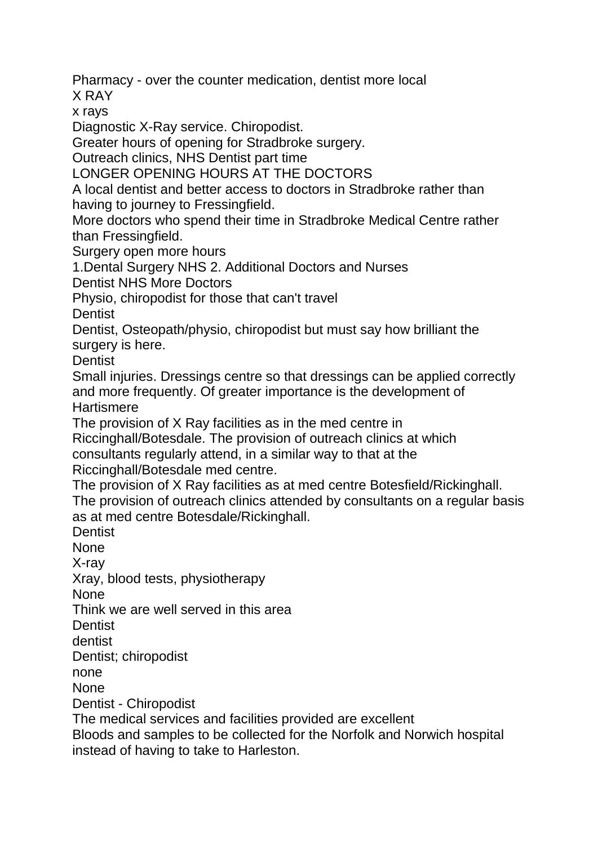Pharmacy - over the counter medication, dentist more local

X RAY

x rays

Diagnostic X-Ray service. Chiropodist.

Greater hours of opening for Stradbroke surgery.

Outreach clinics, NHS Dentist part time

LONGER OPENING HOURS AT THE DOCTORS

A local dentist and better access to doctors in Stradbroke rather than having to journey to Fressingfield.

More doctors who spend their time in Stradbroke Medical Centre rather than Fressingfield.

Surgery open more hours

1.Dental Surgery NHS 2. Additional Doctors and Nurses

Dentist NHS More Doctors

Physio, chiropodist for those that can't travel

**Dentist** 

Dentist, Osteopath/physio, chiropodist but must say how brilliant the surgery is here.

**Dentist** 

Small injuries. Dressings centre so that dressings can be applied correctly and more frequently. Of greater importance is the development of **Hartismere** 

The provision of X Ray facilities as in the med centre in

Riccinghall/Botesdale. The provision of outreach clinics at which

consultants regularly attend, in a similar way to that at the

Riccinghall/Botesdale med centre.

The provision of X Ray facilities as at med centre Botesfield/Rickinghall.

The provision of outreach clinics attended by consultants on a regular basis as at med centre Botesdale/Rickinghall.

**Dentist** 

None

X-ray

Xray, blood tests, physiotherapy

None

Think we are well served in this area

**Dentist** 

dentist

Dentist; chiropodist

none

**None** 

Dentist - Chiropodist

The medical services and facilities provided are excellent

Bloods and samples to be collected for the Norfolk and Norwich hospital instead of having to take to Harleston.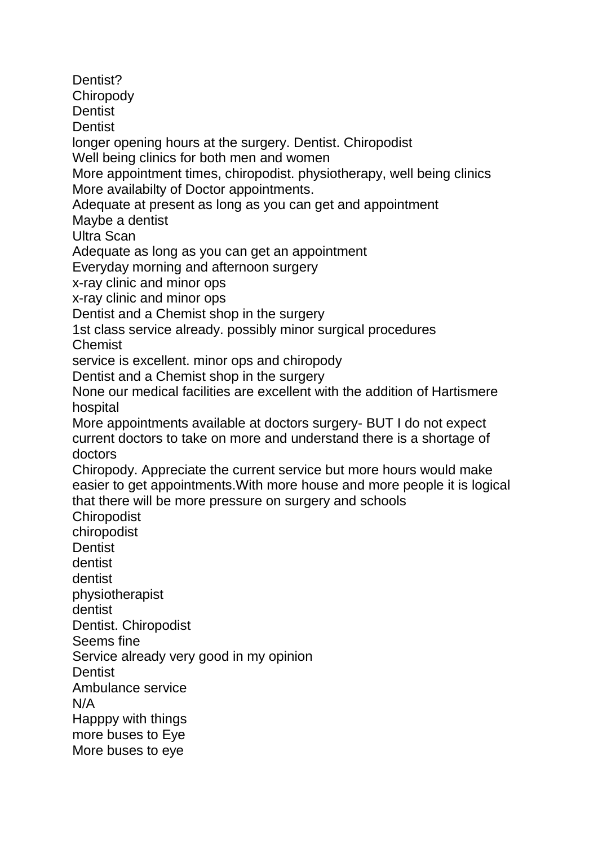Dentist? **Chiropody Dentist Dentist** longer opening hours at the surgery. Dentist. Chiropodist Well being clinics for both men and women More appointment times, chiropodist. physiotherapy, well being clinics More availabilty of Doctor appointments. Adequate at present as long as you can get and appointment Maybe a dentist Ultra Scan Adequate as long as you can get an appointment Everyday morning and afternoon surgery x-ray clinic and minor ops x-ray clinic and minor ops Dentist and a Chemist shop in the surgery 1st class service already. possibly minor surgical procedures **Chemist** service is excellent. minor ops and chiropody Dentist and a Chemist shop in the surgery None our medical facilities are excellent with the addition of Hartismere hospital More appointments available at doctors surgery- BUT I do not expect current doctors to take on more and understand there is a shortage of doctors Chiropody. Appreciate the current service but more hours would make easier to get appointments.With more house and more people it is logical that there will be more pressure on surgery and schools **Chiropodist** chiropodist **Dentist** dentist dentist physiotherapist dentist Dentist. Chiropodist Seems fine Service already very good in my opinion **Dentist** Ambulance service N/A Happpy with things more buses to Eye More buses to eye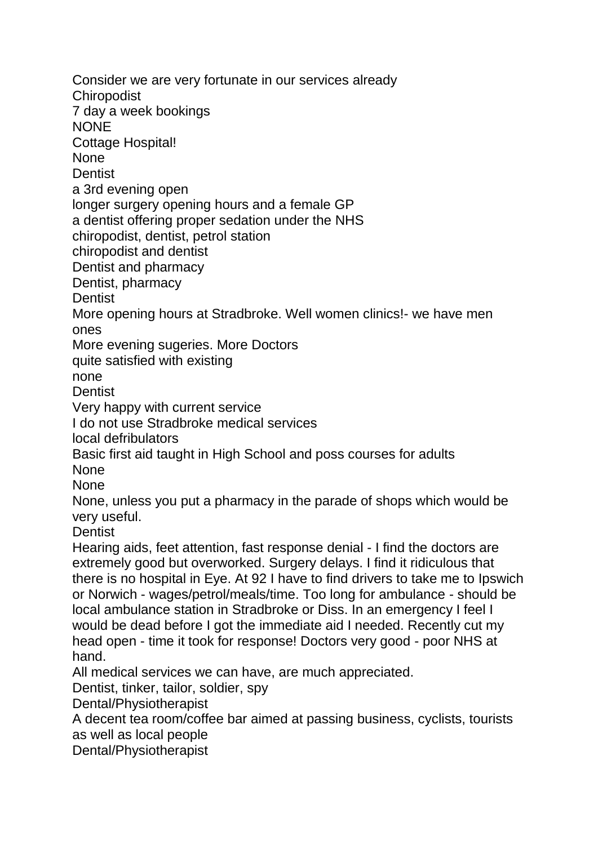Consider we are very fortunate in our services already **Chiropodist** 7 day a week bookings **NONE** Cottage Hospital! **None Dentist** a 3rd evening open longer surgery opening hours and a female GP a dentist offering proper sedation under the NHS chiropodist, dentist, petrol station chiropodist and dentist Dentist and pharmacy Dentist, pharmacy **Dentist** More opening hours at Stradbroke. Well women clinics!- we have men ones More evening sugeries. More Doctors quite satisfied with existing none **Dentist** Very happy with current service I do not use Stradbroke medical services local defribulators Basic first aid taught in High School and poss courses for adults **None** None None, unless you put a pharmacy in the parade of shops which would be very useful. **Dentist** Hearing aids, feet attention, fast response denial - I find the doctors are extremely good but overworked. Surgery delays. I find it ridiculous that there is no hospital in Eye. At 92 I have to find drivers to take me to Ipswich or Norwich - wages/petrol/meals/time. Too long for ambulance - should be local ambulance station in Stradbroke or Diss. In an emergency I feel I would be dead before I got the immediate aid I needed. Recently cut my head open - time it took for response! Doctors very good - poor NHS at hand. All medical services we can have, are much appreciated. Dentist, tinker, tailor, soldier, spy Dental/Physiotherapist A decent tea room/coffee bar aimed at passing business, cyclists, tourists as well as local people

Dental/Physiotherapist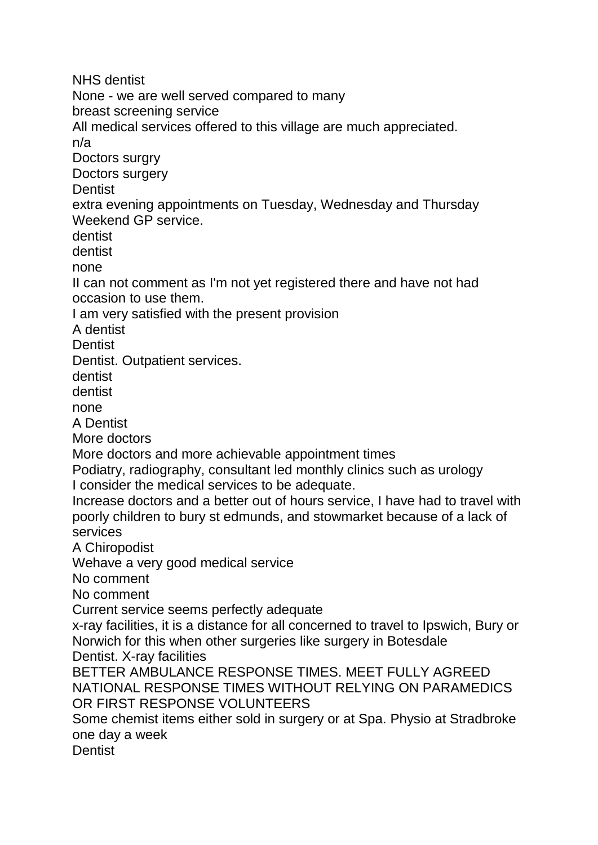NHS dentist

None - we are well served compared to many

breast screening service

All medical services offered to this village are much appreciated.

n/a

Doctors surgry

Doctors surgery

**Dentist** 

extra evening appointments on Tuesday, Wednesday and Thursday Weekend GP service.

dentist

dentist

none

II can not comment as I'm not yet registered there and have not had occasion to use them.

I am very satisfied with the present provision

A dentist

**Dentist** 

Dentist. Outpatient services.

dentist

dentist

none

A Dentist

More doctors

More doctors and more achievable appointment times

Podiatry, radiography, consultant led monthly clinics such as urology I consider the medical services to be adequate.

Increase doctors and a better out of hours service, I have had to travel with poorly children to bury st edmunds, and stowmarket because of a lack of services

A Chiropodist

Wehave a very good medical service

No comment

No comment

Current service seems perfectly adequate

x-ray facilities, it is a distance for all concerned to travel to Ipswich, Bury or Norwich for this when other surgeries like surgery in Botesdale

Dentist. X-ray facilities

BETTER AMBULANCE RESPONSE TIMES. MEET FULLY AGREED NATIONAL RESPONSE TIMES WITHOUT RELYING ON PARAMEDICS OR FIRST RESPONSE VOLUNTEERS

Some chemist items either sold in surgery or at Spa. Physio at Stradbroke one day a week

**Dentist**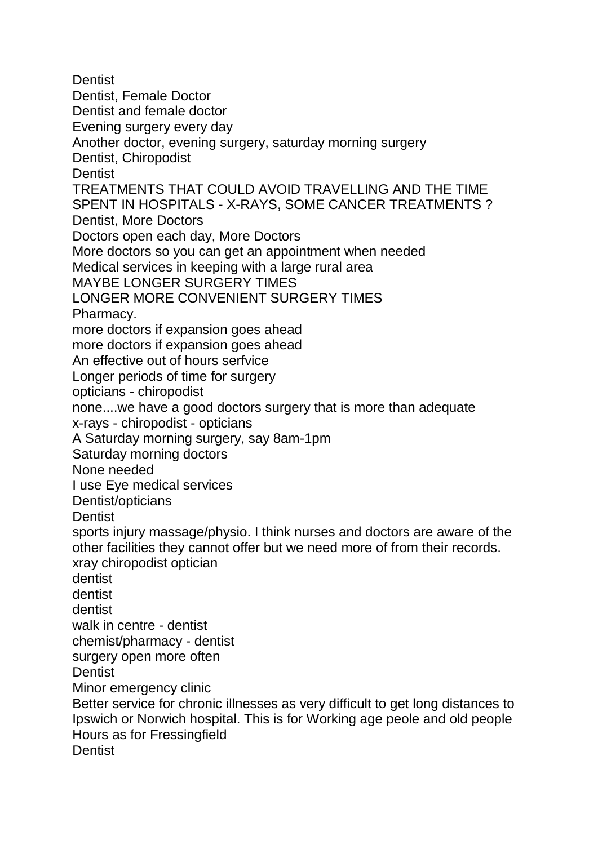**Dentist** Dentist, Female Doctor Dentist and female doctor Evening surgery every day Another doctor, evening surgery, saturday morning surgery Dentist, Chiropodist **Dentist** TREATMENTS THAT COULD AVOID TRAVELLING AND THE TIME SPENT IN HOSPITALS - X-RAYS, SOME CANCER TREATMENTS ? Dentist, More Doctors Doctors open each day, More Doctors More doctors so you can get an appointment when needed Medical services in keeping with a large rural area MAYBE LONGER SURGERY TIMES LONGER MORE CONVENIENT SURGERY TIMES Pharmacy. more doctors if expansion goes ahead more doctors if expansion goes ahead An effective out of hours serfvice Longer periods of time for surgery opticians - chiropodist none....we have a good doctors surgery that is more than adequate x-rays - chiropodist - opticians A Saturday morning surgery, say 8am-1pm Saturday morning doctors None needed I use Eye medical services Dentist/opticians **Dentist** sports injury massage/physio. I think nurses and doctors are aware of the other facilities they cannot offer but we need more of from their records. xray chiropodist optician dentist dentist dentist walk in centre - dentist chemist/pharmacy - dentist surgery open more often **Dentist** Minor emergency clinic Better service for chronic illnesses as very difficult to get long distances to Ipswich or Norwich hospital. This is for Working age peole and old people Hours as for Fressingfield **Dentist**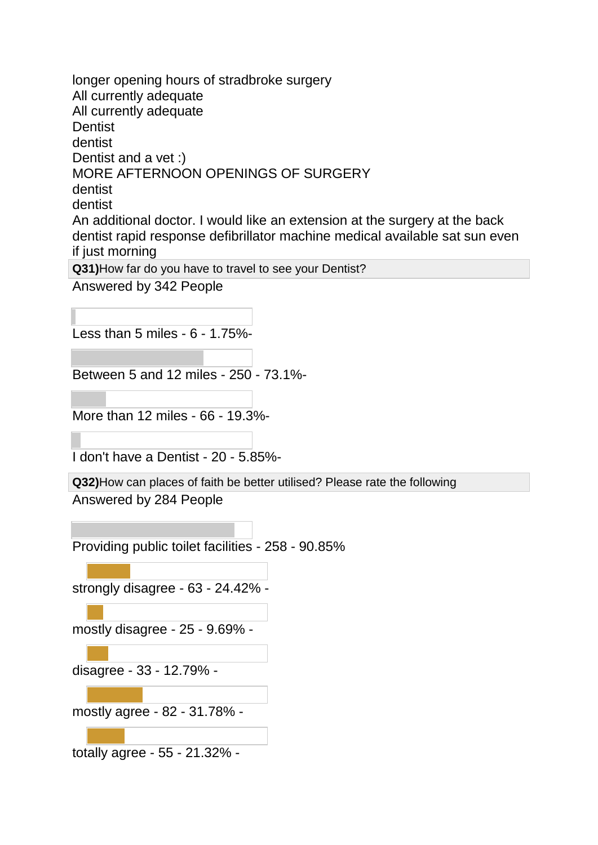longer opening hours of stradbroke surgery All currently adequate All currently adequate **Dentist** dentist Dentist and a vet :) MORE AFTERNOON OPENINGS OF SURGERY dentist dentist An additional doctor. I would like an extension at the surgery at the back dentist rapid response defibrillator machine medical available sat sun even if just morning **Q31)**How far do you have to travel to see your Dentist? Answered by 342 People

Less than 5 miles - 6 - 1.75%-

Between 5 and 12 miles - 250 - 73.1%-

More than 12 miles - 66 - 19.3%-

I don't have a Dentist - 20 - 5.85%-

**Q32)**How can places of faith be better utilised? Please rate the following Answered by 284 People

Providing public toilet facilities - 258 - 90.85%

strongly disagree - 63 - 24.42% -

mostly disagree - 25 - 9.69% -

disagree - 33 - 12.79% -

mostly agree - 82 - 31.78% -

totally agree - 55 - 21.32% -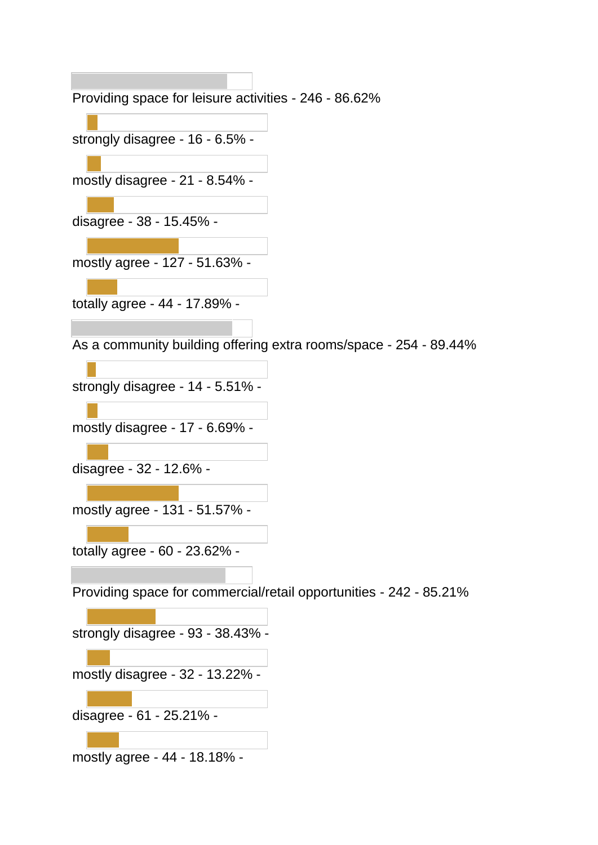Providing space for leisure activities - 246 - 86.62% strongly disagree - 16 - 6.5% mostly disagree - 21 - 8.54% disagree - 38 - 15.45% mostly agree - 127 - 51.63% totally agree - 44 - 17.89% - As a community building offering extra rooms/space - 254 - 89.44% strongly disagree - 14 - 5.51% mostly disagree - 17 - 6.69% disagree - 32 - 12.6% mostly agree - 131 - 51.57% totally agree - 60 - 23.62% - Providing space for commercial/retail opportunities - 242 - 85.21% strongly disagree - 93 - 38.43% mostly disagree - 32 - 13.22% disagree - 61 - 25.21% -

mostly agree - 44 - 18.18% -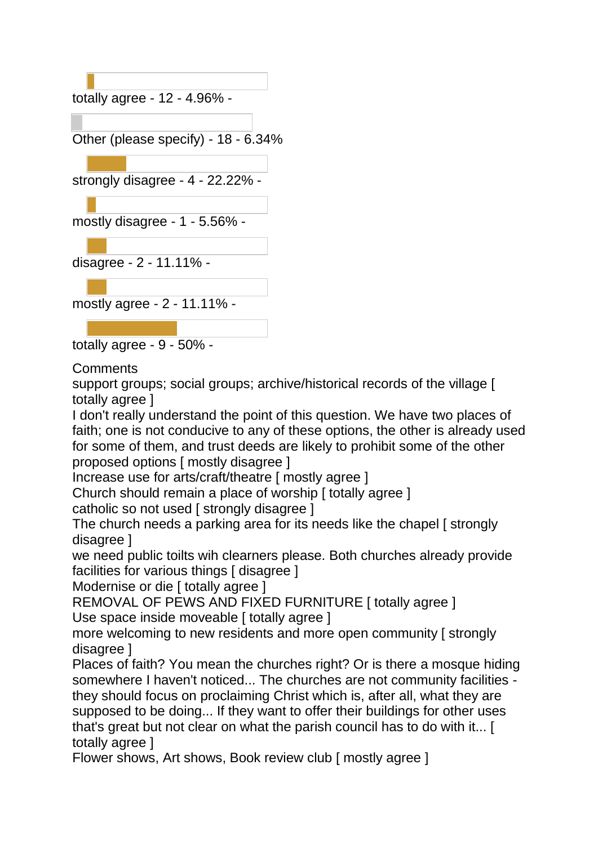

**Comments** 

support groups; social groups; archive/historical records of the village [ totally agree ]

I don't really understand the point of this question. We have two places of faith; one is not conducive to any of these options, the other is already used for some of them, and trust deeds are likely to prohibit some of the other proposed options [ mostly disagree ]

Increase use for arts/craft/theatre [ mostly agree ]

Church should remain a place of worship [ totally agree ]

catholic so not used [ strongly disagree ]

The church needs a parking area for its needs like the chapel [ strongly disagree ]

we need public toilts wih clearners please. Both churches already provide facilities for various things [ disagree ]

Modernise or die [ totally agree ]

REMOVAL OF PEWS AND FIXED FURNITURE I totally agree 1 Use space inside moveable [ totally agree ]

more welcoming to new residents and more open community [ strongly disagree ]

Places of faith? You mean the churches right? Or is there a mosque hiding somewhere I haven't noticed... The churches are not community facilities they should focus on proclaiming Christ which is, after all, what they are supposed to be doing... If they want to offer their buildings for other uses that's great but not clear on what the parish council has to do with it... [ totally agree ]

Flower shows, Art shows, Book review club [ mostly agree ]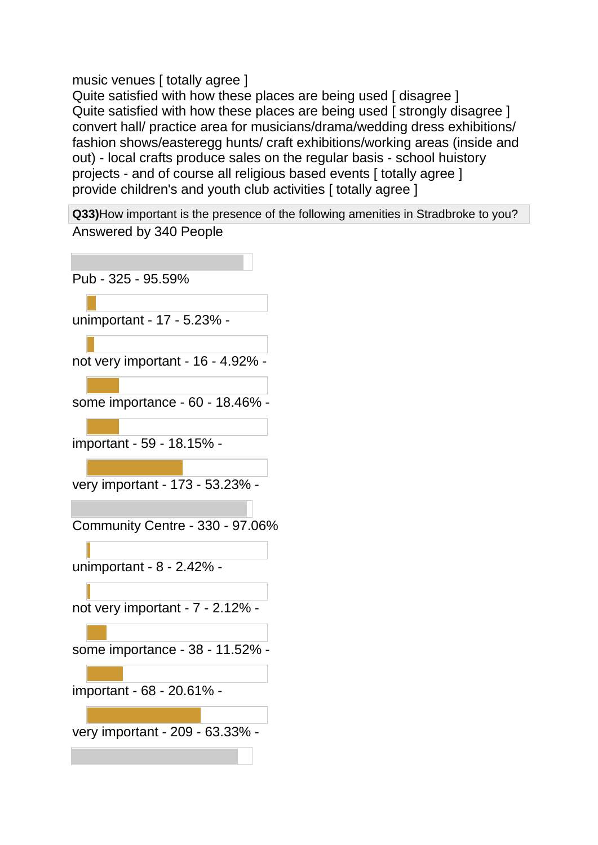music venues [ totally agree ]

Quite satisfied with how these places are being used I disagree 1 Quite satisfied with how these places are being used [ strongly disagree ] convert hall/ practice area for musicians/drama/wedding dress exhibitions/ fashion shows/easteregg hunts/ craft exhibitions/working areas (inside and out) - local crafts produce sales on the regular basis - school huistory projects - and of course all religious based events [ totally agree ] provide children's and youth club activities [ totally agree ]

**Q33)**How important is the presence of the following amenities in Stradbroke to you? Answered by 340 People

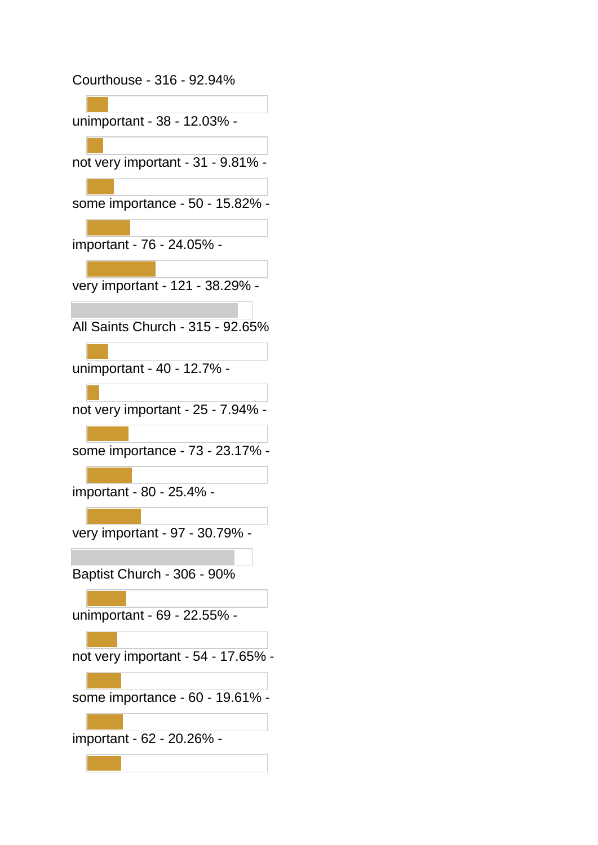Courthouse - 316 - 92.94%

unimportant - 38 - 12.03% -

not very important - 31 - 9.81% -

some importance - 50 - 15.82% -

important - 76 - 24.05% -

very important - 121 - 38.29% -

All Saints Church - 315 - 92.65%

unimportant - 40 - 12.7% -

not very important - 25 - 7.94% -

some importance - 73 - 23.17% -

important - 80 - 25.4% -

very important - 97 - 30.79% -

Baptist Church - 306 - 90%

unimportant - 69 - 22.55% -

not very important - 54 - 17.65% -

some importance - 60 - 19.61% -

important - 62 - 20.26% -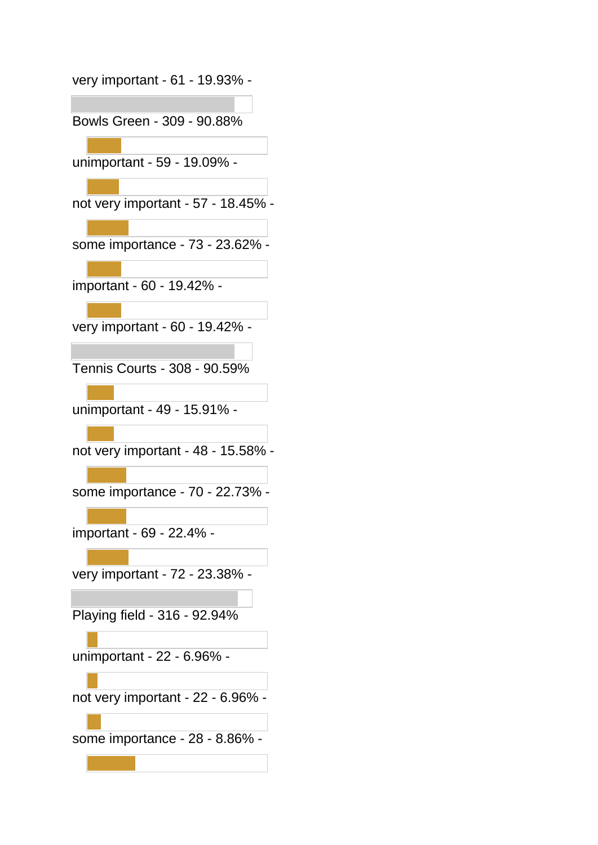| very important - 61 - 19.93% -     |
|------------------------------------|
| Bowls Green - 309 - 90.88%         |
| unimportant - 59 - 19.09% -        |
| not very important - 57 - 18.45% - |
| some importance - 73 - 23.62%      |
| important - 60 - 19.42% -          |
| very important - 60 - 19.42% -     |
| Tennis Courts - 308 - 90.59%       |
| unimportant - 49 - 15.91% -        |
| not very important - 48 - 15.58% - |
| some importance - 70 - 22.73% -    |
| important - 69 - 22.4% -           |
| very important - 72 - 23.38% -     |
| Playing field - 316 - 92.94%       |
| unimportant - 22 - 6.96% -         |
| not very important - 22 - 6.96%    |
| some importance - 28 - 8.86% -     |
|                                    |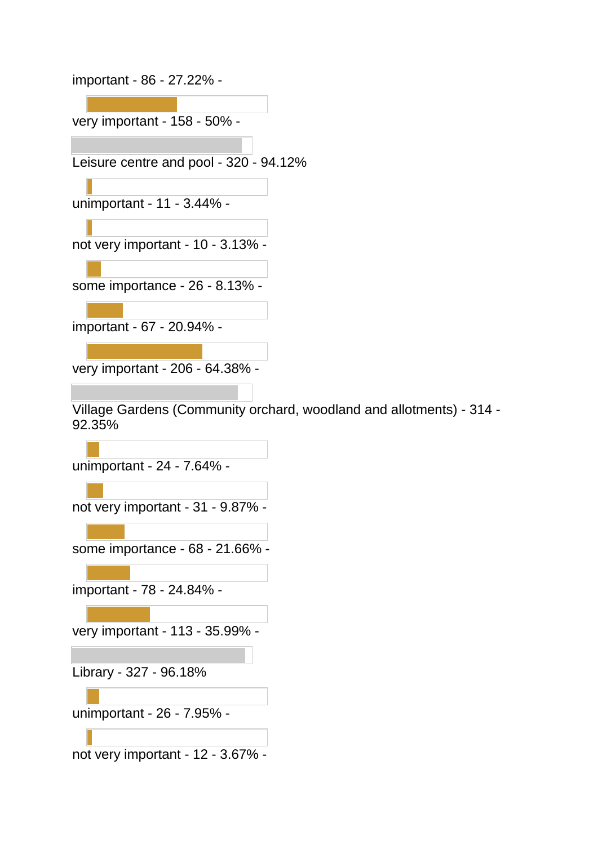important - 86 - 27.22% -

very important - 158 - 50% -

Leisure centre and pool - 320 - 94.12%

unimportant - 11 - 3.44% -

not very important - 10 - 3.13% -

some importance - 26 - 8.13% -

important - 67 - 20.94% -

very important - 206 - 64.38% -

Village Gardens (Community orchard, woodland and allotments) - 314 - 92.35%

unimportant - 24 - 7.64% -

not very important - 31 - 9.87% -

some importance - 68 - 21.66% -

important - 78 - 24.84% -

very important - 113 - 35.99% -

Library - 327 - 96.18%

unimportant - 26 - 7.95% -

not very important - 12 - 3.67% -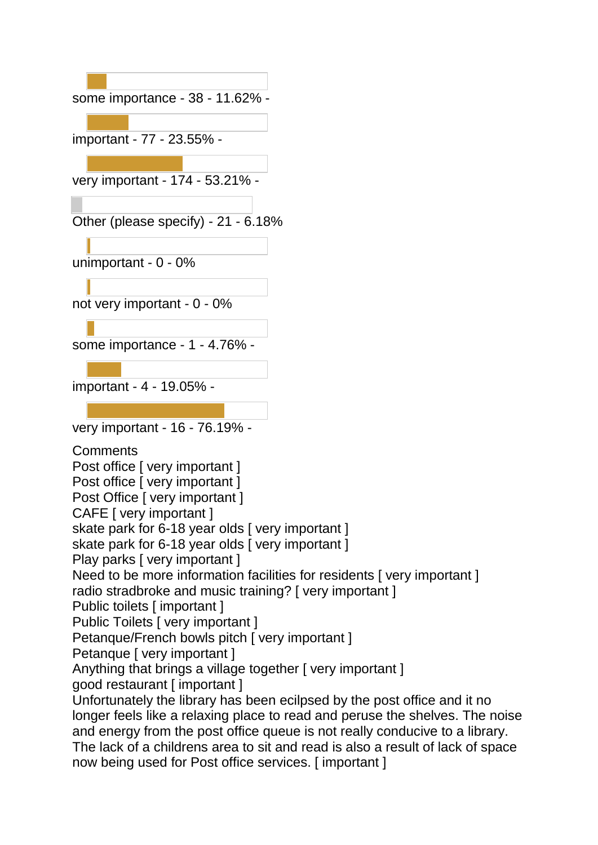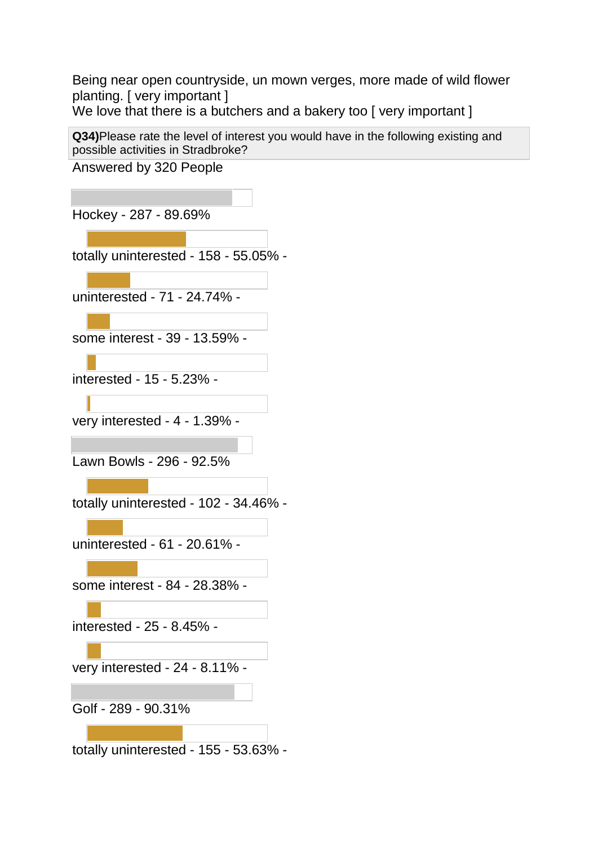Being near open countryside, un mown verges, more made of wild flower planting. [ very important ]

We love that there is a butchers and a bakery too [very important]

**Q34)**Please rate the level of interest you would have in the following existing and possible activities in Stradbroke?

Answered by 320 People

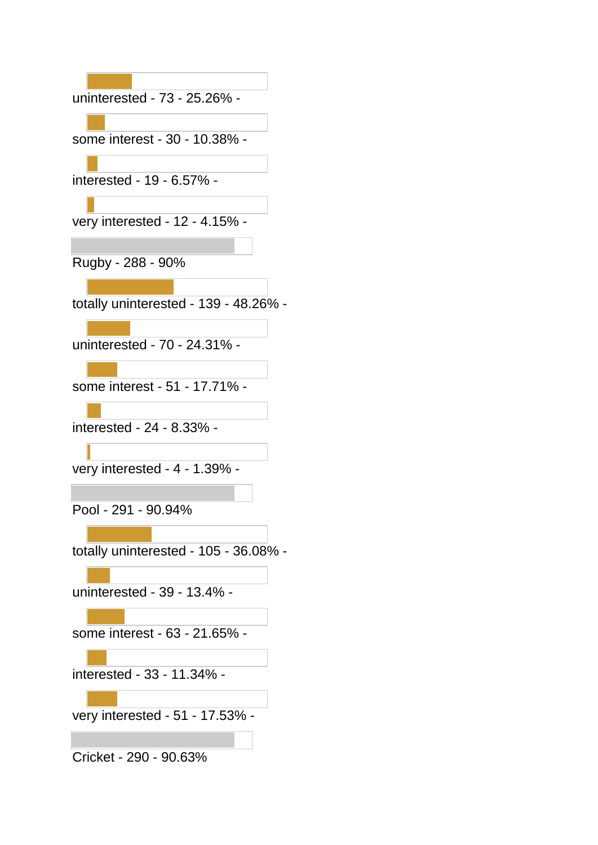| uninterested - 73 - 25.26% -          |
|---------------------------------------|
| some interest - 30 - 10.38% -         |
| interested - 19 - 6.57% -             |
| very interested - 12 - 4.15% -        |
| Rugby - 288 - 90%                     |
| totally uninterested - 139 - 48.26% - |
| uninterested - 70 - 24.31% -          |
| some interest - 51 - 17.71% -         |
| interested - 24 - 8.33% -             |
| very interested - 4 - 1.39% -         |
| Pool - 291 - 90.94%                   |
| totally uninterested - 105 - 36.08% - |
| uninterested - 39 - 13.4% -           |
| some interest - 63 - 21.65% -         |
| interested - 33 - 11.34% -            |
| very interested - 51 - 17.53% -       |
|                                       |

Cricket - 290 - 90.63%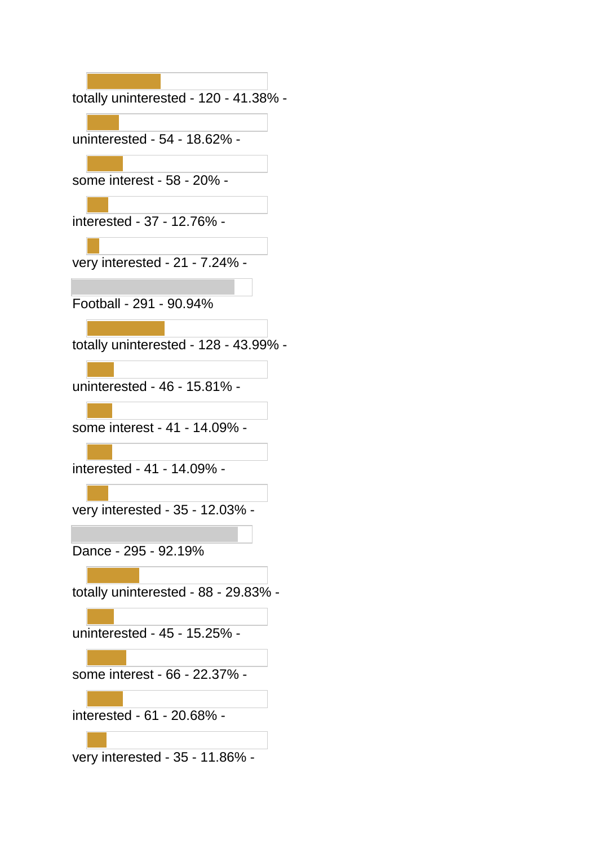| totally uninterested - 120 - 41.38% - |
|---------------------------------------|
|                                       |
| uninterested - 54 - 18.62% -          |
| some interest - 58 - 20% -            |
| interested - 37 - 12.76% -            |
| very interested - 21 - 7.24% -        |
| Football - 291 - 90.94%               |
| totally uninterested - 128 - 43.99% - |
| uninterested - 46 - 15.81% -          |
| some interest - 41 - 14.09% -         |
| interested - 41 - 14.09% -            |
| very interested - 35 - 12.03% -       |
| Dance - 295 - 92.19%                  |
| totally uninterested - 88 - 29.83% -  |
| uninterested - 45 - 15.25% -          |
| some interest - 66 - 22.37% -         |
| interested - 61 - 20.68% -            |
| very interested - 35 - 11.86% -       |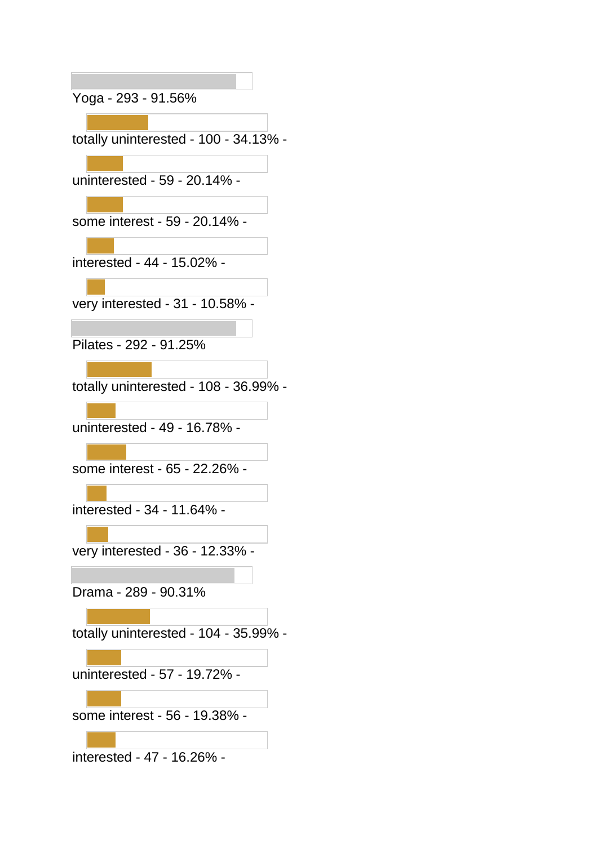Yoga - 293 - 91.56%

totally uninterested - 100 - 34.13% -

uninterested - 59 - 20.14% -

some interest - 59 - 20.14% -

interested - 44 - 15.02% -

very interested - 31 - 10.58% -

Pilates - 292 - 91.25%

totally uninterested - 108 - 36.99% -

uninterested - 49 - 16.78% -

some interest - 65 - 22.26% -

interested - 34 - 11.64% -

very interested - 36 - 12.33% -

Drama - 289 - 90.31%

totally uninterested - 104 - 35.99% -

uninterested - 57 - 19.72% -

some interest - 56 - 19.38% -

interested - 47 - 16.26% -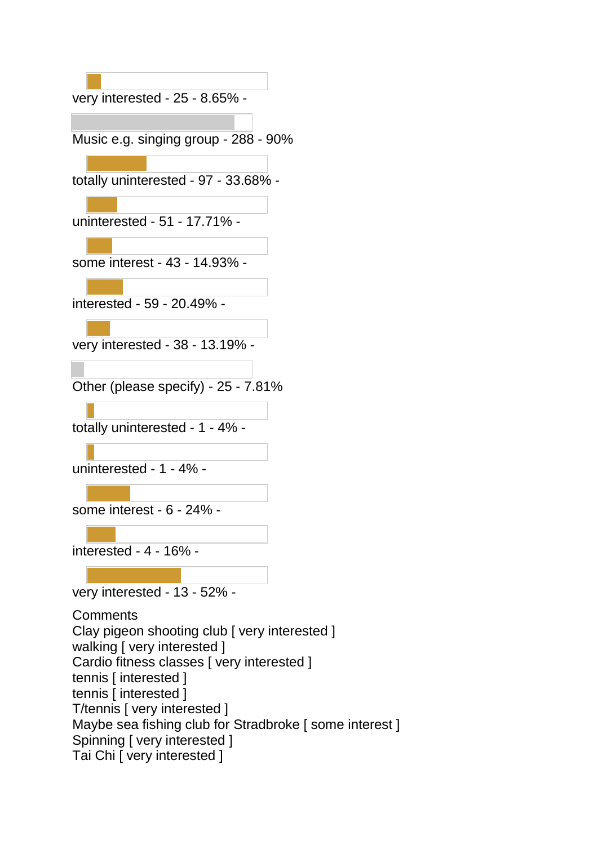very interested - 25 - 8.65% -

Music e.g. singing group - 288 - 90%

totally uninterested - 97 - 33.68% -

uninterested - 51 - 17.71% -

some interest - 43 - 14.93% -

interested - 59 - 20.49% -

very interested - 38 - 13.19% -

Other (please specify) - 25 - 7.81%

totally uninterested - 1 - 4% -

uninterested - 1 - 4% -

some interest - 6 - 24% -

interested - 4 - 16% -

very interested - 13 - 52% -

**Comments** Clay pigeon shooting club [ very interested ] walking [ very interested ] Cardio fitness classes [ very interested ] tennis [ interested ] tennis [ interested ] T/tennis [ very interested ] Maybe sea fishing club for Stradbroke [ some interest ] Spinning [ very interested ] Tai Chi [ very interested ]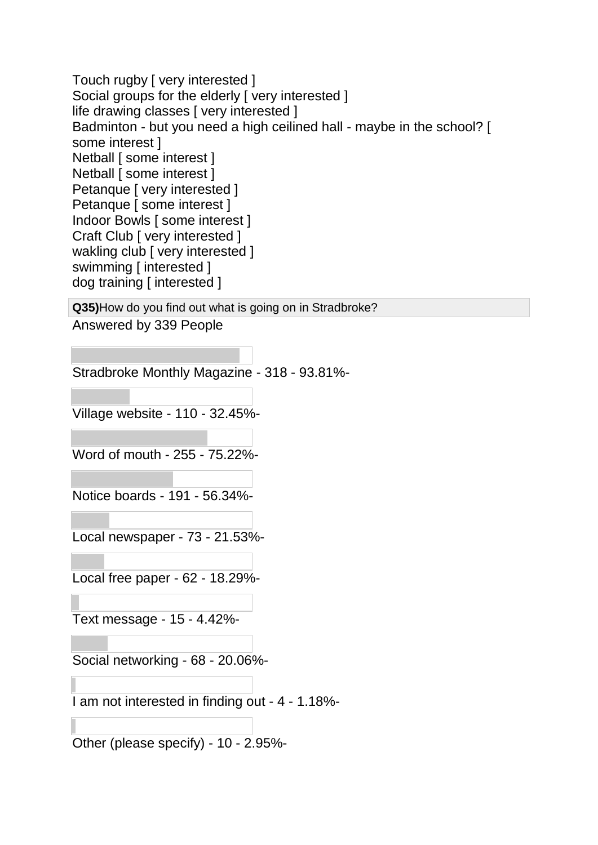Touch rugby [ very interested ] Social groups for the elderly [ very interested ] life drawing classes [ very interested ] Badminton - but you need a high ceilined hall - maybe in the school? [ some interest ] Netball [ some interest ] Netball [ some interest ] Petanque [ very interested ] Petanque [ some interest ] Indoor Bowls [ some interest ] Craft Club [ very interested ] wakling club [ very interested ] swimming [ interested ] dog training [ interested ]

**Q35)**How do you find out what is going on in Stradbroke? Answered by 339 People

Stradbroke Monthly Magazine - 318 - 93.81%-

Village website - 110 - 32.45%-

Word of mouth - 255 - 75.22%-

Notice boards - 191 - 56.34%-

Local newspaper - 73 - 21.53%-

Local free paper - 62 - 18.29%-

Text message - 15 - 4.42%-

Social networking - 68 - 20.06%-

I am not interested in finding out - 4 - 1.18%-

Other (please specify) - 10 - 2.95%-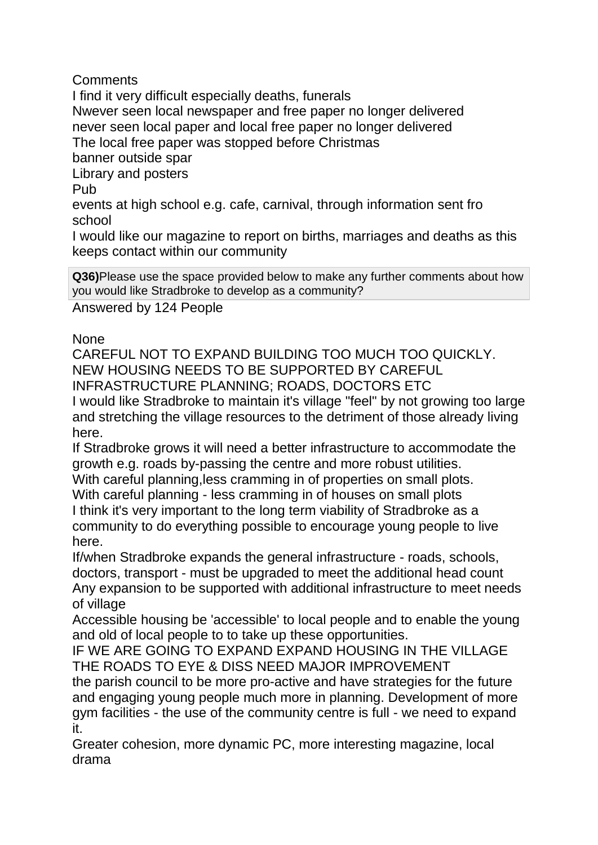**Comments** 

I find it very difficult especially deaths, funerals Nwever seen local newspaper and free paper no longer delivered never seen local paper and local free paper no longer delivered The local free paper was stopped before Christmas banner outside spar Library and posters Pub events at high school e.g. cafe, carnival, through information sent fro school

I would like our magazine to report on births, marriages and deaths as this keeps contact within our community

**Q36)**Please use the space provided below to make any further comments about how you would like Stradbroke to develop as a community?

Answered by 124 People

None

CAREFUL NOT TO EXPAND BUILDING TOO MUCH TOO QUICKLY. NEW HOUSING NEEDS TO BE SUPPORTED BY CAREFUL INFRASTRUCTURE PLANNING; ROADS, DOCTORS ETC I would like Stradbroke to maintain it's village "feel" by not growing too large and stretching the village resources to the detriment of those already living here.

If Stradbroke grows it will need a better infrastructure to accommodate the growth e.g. roads by-passing the centre and more robust utilities.

With careful planning,less cramming in of properties on small plots. With careful planning - less cramming in of houses on small plots I think it's very important to the long term viability of Stradbroke as a community to do everything possible to encourage young people to live here.

If/when Stradbroke expands the general infrastructure - roads, schools, doctors, transport - must be upgraded to meet the additional head count Any expansion to be supported with additional infrastructure to meet needs of village

Accessible housing be 'accessible' to local people and to enable the young and old of local people to to take up these opportunities.

IF WE ARE GOING TO EXPAND EXPAND HOUSING IN THE VILLAGE THE ROADS TO EYE & DISS NEED MAJOR IMPROVEMENT

the parish council to be more pro-active and have strategies for the future and engaging young people much more in planning. Development of more gym facilities - the use of the community centre is full - we need to expand it.

Greater cohesion, more dynamic PC, more interesting magazine, local drama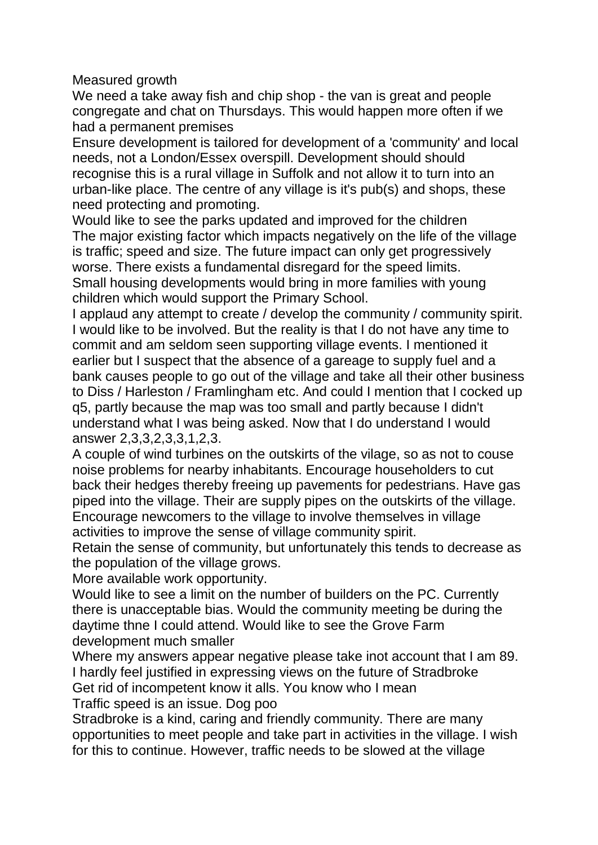Measured growth

We need a take away fish and chip shop - the van is great and people congregate and chat on Thursdays. This would happen more often if we had a permanent premises

Ensure development is tailored for development of a 'community' and local needs, not a London/Essex overspill. Development should should recognise this is a rural village in Suffolk and not allow it to turn into an urban-like place. The centre of any village is it's pub(s) and shops, these need protecting and promoting.

Would like to see the parks updated and improved for the children The major existing factor which impacts negatively on the life of the village is traffic; speed and size. The future impact can only get progressively worse. There exists a fundamental disregard for the speed limits. Small housing developments would bring in more families with young children which would support the Primary School.

I applaud any attempt to create / develop the community / community spirit. I would like to be involved. But the reality is that I do not have any time to commit and am seldom seen supporting village events. I mentioned it earlier but I suspect that the absence of a gareage to supply fuel and a bank causes people to go out of the village and take all their other business to Diss / Harleston / Framlingham etc. And could I mention that I cocked up q5, partly because the map was too small and partly because I didn't understand what I was being asked. Now that I do understand I would answer 2,3,3,2,3,3,1,2,3.

A couple of wind turbines on the outskirts of the vilage, so as not to couse noise problems for nearby inhabitants. Encourage householders to cut back their hedges thereby freeing up pavements for pedestrians. Have gas piped into the village. Their are supply pipes on the outskirts of the village. Encourage newcomers to the village to involve themselves in village activities to improve the sense of village community spirit.

Retain the sense of community, but unfortunately this tends to decrease as the population of the village grows.

More available work opportunity.

Would like to see a limit on the number of builders on the PC. Currently there is unacceptable bias. Would the community meeting be during the daytime thne I could attend. Would like to see the Grove Farm development much smaller

Where my answers appear negative please take inot account that I am 89. I hardly feel justified in expressing views on the future of Stradbroke Get rid of incompetent know it alls. You know who I mean

Traffic speed is an issue. Dog poo

Stradbroke is a kind, caring and friendly community. There are many opportunities to meet people and take part in activities in the village. I wish for this to continue. However, traffic needs to be slowed at the village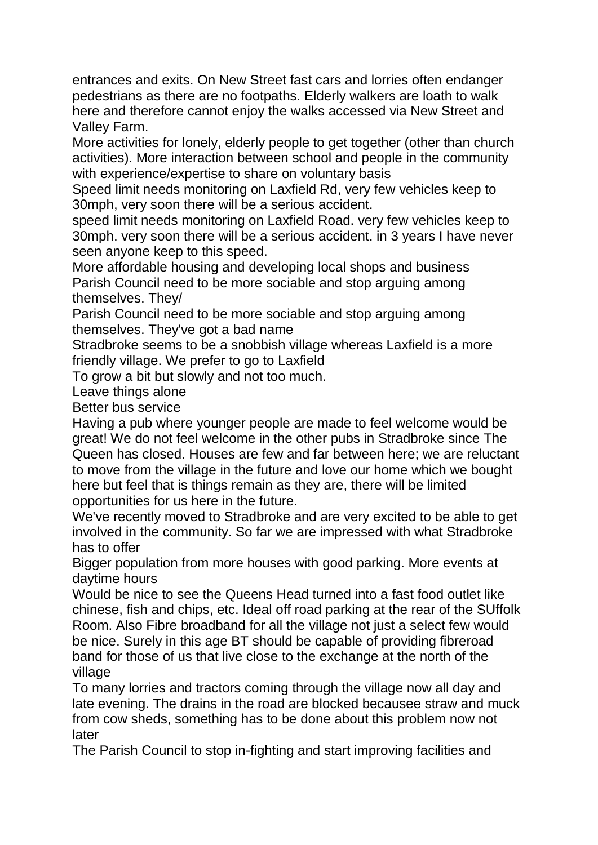entrances and exits. On New Street fast cars and lorries often endanger pedestrians as there are no footpaths. Elderly walkers are loath to walk here and therefore cannot enjoy the walks accessed via New Street and Valley Farm.

More activities for lonely, elderly people to get together (other than church activities). More interaction between school and people in the community with experience/expertise to share on voluntary basis

Speed limit needs monitoring on Laxfield Rd, very few vehicles keep to 30mph, very soon there will be a serious accident.

speed limit needs monitoring on Laxfield Road. very few vehicles keep to 30mph. very soon there will be a serious accident. in 3 years I have never seen anyone keep to this speed.

More affordable housing and developing local shops and business Parish Council need to be more sociable and stop arguing among themselves. They/

Parish Council need to be more sociable and stop arguing among themselves. They've got a bad name

Stradbroke seems to be a snobbish village whereas Laxfield is a more friendly village. We prefer to go to Laxfield

To grow a bit but slowly and not too much.

Leave things alone

Better bus service

Having a pub where younger people are made to feel welcome would be great! We do not feel welcome in the other pubs in Stradbroke since The Queen has closed. Houses are few and far between here; we are reluctant to move from the village in the future and love our home which we bought here but feel that is things remain as they are, there will be limited opportunities for us here in the future.

We've recently moved to Stradbroke and are very excited to be able to get involved in the community. So far we are impressed with what Stradbroke has to offer

Bigger population from more houses with good parking. More events at daytime hours

Would be nice to see the Queens Head turned into a fast food outlet like chinese, fish and chips, etc. Ideal off road parking at the rear of the SUffolk Room. Also Fibre broadband for all the village not just a select few would be nice. Surely in this age BT should be capable of providing fibreroad band for those of us that live close to the exchange at the north of the village

To many lorries and tractors coming through the village now all day and late evening. The drains in the road are blocked becausee straw and muck from cow sheds, something has to be done about this problem now not later

The Parish Council to stop in-fighting and start improving facilities and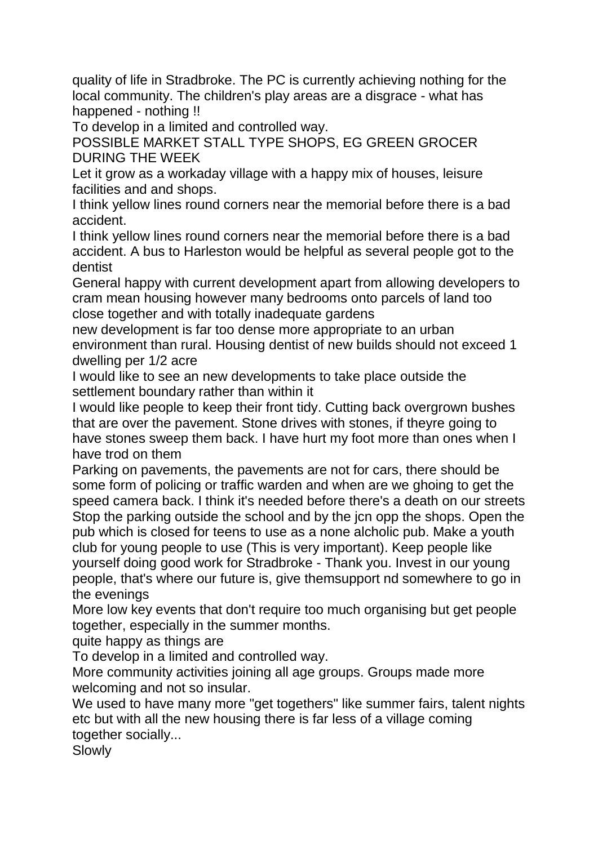quality of life in Stradbroke. The PC is currently achieving nothing for the local community. The children's play areas are a disgrace - what has happened - nothing !!

To develop in a limited and controlled way.

POSSIBLE MARKET STALL TYPE SHOPS, EG GREEN GROCER DURING THE WEEK

Let it grow as a workaday village with a happy mix of houses, leisure facilities and and shops.

I think yellow lines round corners near the memorial before there is a bad accident.

I think yellow lines round corners near the memorial before there is a bad accident. A bus to Harleston would be helpful as several people got to the dentist

General happy with current development apart from allowing developers to cram mean housing however many bedrooms onto parcels of land too close together and with totally inadequate gardens

new development is far too dense more appropriate to an urban environment than rural. Housing dentist of new builds should not exceed 1 dwelling per 1/2 acre

I would like to see an new developments to take place outside the settlement boundary rather than within it

I would like people to keep their front tidy. Cutting back overgrown bushes that are over the pavement. Stone drives with stones, if theyre going to have stones sweep them back. I have hurt my foot more than ones when I have trod on them

Parking on pavements, the pavements are not for cars, there should be some form of policing or traffic warden and when are we ghoing to get the speed camera back. I think it's needed before there's a death on our streets Stop the parking outside the school and by the jcn opp the shops. Open the pub which is closed for teens to use as a none alcholic pub. Make a youth club for young people to use (This is very important). Keep people like yourself doing good work for Stradbroke - Thank you. Invest in our young people, that's where our future is, give themsupport nd somewhere to go in the evenings

More low key events that don't require too much organising but get people together, especially in the summer months.

quite happy as things are

To develop in a limited and controlled way.

More community activities joining all age groups. Groups made more welcoming and not so insular.

We used to have many more "get togethers" like summer fairs, talent nights etc but with all the new housing there is far less of a village coming together socially...

Slowly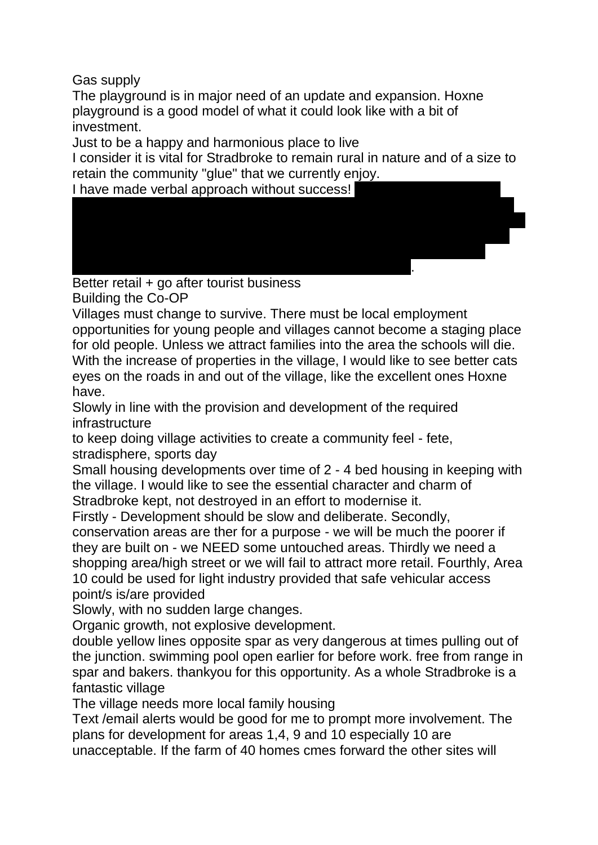Gas supply

The playground is in major need of an update and expansion. Hoxne playground is a good model of what it could look like with a bit of investment.

Just to be a happy and harmonious place to live

I consider it is vital for Stradbroke to remain rural in nature and of a size to retain the community "glue" that we currently enjoy.

aged 93. I would like to give the Council a good quality wooden seat to be erected at the junction of Wilby Road and New Street. If location not agreed I withdraw offer. My wife and I used to watch people carrying often heavy shopping up either street and felt the oldies would like a sit down. My

I have made verbal approach without success!

telephone number, if the Council is interested, if the  $\alpha$ Better retail + go after tourist business Building the Co-OP

Villages must change to survive. There must be local employment opportunities for young people and villages cannot become a staging place for old people. Unless we attract families into the area the schools will die. With the increase of properties in the village, I would like to see better cats eyes on the roads in and out of the village, like the excellent ones Hoxne have.

Slowly in line with the provision and development of the required infrastructure

to keep doing village activities to create a community feel - fete, stradisphere, sports day

Small housing developments over time of 2 - 4 bed housing in keeping with the village. I would like to see the essential character and charm of Stradbroke kept, not destroyed in an effort to modernise it.

Firstly - Development should be slow and deliberate. Secondly, conservation areas are ther for a purpose - we will be much the poorer if they are built on - we NEED some untouched areas. Thirdly we need a shopping area/high street or we will fail to attract more retail. Fourthly, Area 10 could be used for light industry provided that safe vehicular access point/s is/are provided

Slowly, with no sudden large changes.

Organic growth, not explosive development.

double yellow lines opposite spar as very dangerous at times pulling out of the junction. swimming pool open earlier for before work. free from range in spar and bakers. thankyou for this opportunity. As a whole Stradbroke is a fantastic village

The village needs more local family housing

Text /email alerts would be good for me to prompt more involvement. The plans for development for areas 1,4, 9 and 10 especially 10 are unacceptable. If the farm of 40 homes cmes forward the other sites will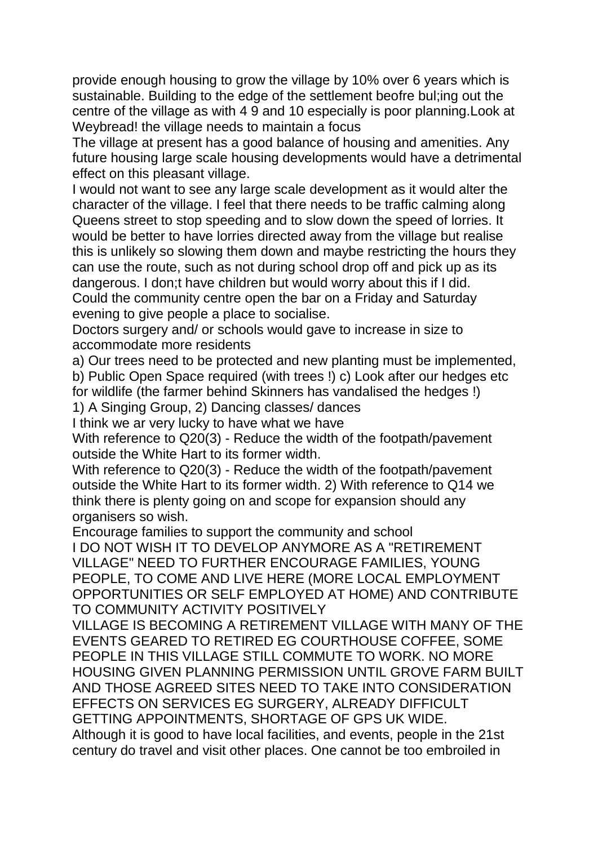provide enough housing to grow the village by 10% over 6 years which is sustainable. Building to the edge of the settlement beofre bul;ing out the centre of the village as with 4 9 and 10 especially is poor planning.Look at Weybread! the village needs to maintain a focus

The village at present has a good balance of housing and amenities. Any future housing large scale housing developments would have a detrimental effect on this pleasant village.

I would not want to see any large scale development as it would alter the character of the village. I feel that there needs to be traffic calming along Queens street to stop speeding and to slow down the speed of lorries. It would be better to have lorries directed away from the village but realise this is unlikely so slowing them down and maybe restricting the hours they can use the route, such as not during school drop off and pick up as its dangerous. I don;t have children but would worry about this if I did. Could the community centre open the bar on a Friday and Saturday evening to give people a place to socialise.

Doctors surgery and/ or schools would gave to increase in size to accommodate more residents

a) Our trees need to be protected and new planting must be implemented,

b) Public Open Space required (with trees !) c) Look after our hedges etc for wildlife (the farmer behind Skinners has vandalised the hedges !)

1) A Singing Group, 2) Dancing classes/ dances

I think we ar very lucky to have what we have

With reference to Q20(3) - Reduce the width of the footpath/pavement outside the White Hart to its former width.

With reference to Q20(3) - Reduce the width of the footpath/pavement outside the White Hart to its former width. 2) With reference to Q14 we think there is plenty going on and scope for expansion should any organisers so wish.

Encourage families to support the community and school

I DO NOT WISH IT TO DEVELOP ANYMORE AS A "RETIREMENT VILLAGE" NEED TO FURTHER ENCOURAGE FAMILIES, YOUNG PEOPLE, TO COME AND LIVE HERE (MORE LOCAL EMPLOYMENT OPPORTUNITIES OR SELF EMPLOYED AT HOME) AND CONTRIBUTE TO COMMUNITY ACTIVITY POSITIVELY

VILLAGE IS BECOMING A RETIREMENT VILLAGE WITH MANY OF THE EVENTS GEARED TO RETIRED EG COURTHOUSE COFFEE, SOME PEOPLE IN THIS VILLAGE STILL COMMUTE TO WORK. NO MORE HOUSING GIVEN PLANNING PERMISSION UNTIL GROVE FARM BUILT AND THOSE AGREED SITES NEED TO TAKE INTO CONSIDERATION EFFECTS ON SERVICES EG SURGERY, ALREADY DIFFICULT GETTING APPOINTMENTS, SHORTAGE OF GPS UK WIDE. Although it is good to have local facilities, and events, people in the 21st century do travel and visit other places. One cannot be too embroiled in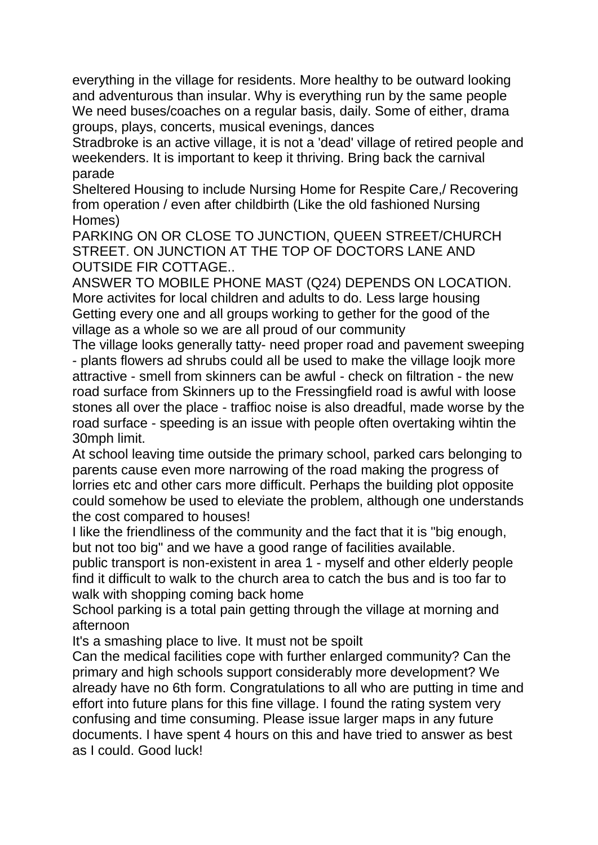everything in the village for residents. More healthy to be outward looking and adventurous than insular. Why is everything run by the same people We need buses/coaches on a regular basis, daily. Some of either, drama groups, plays, concerts, musical evenings, dances

Stradbroke is an active village, it is not a 'dead' village of retired people and weekenders. It is important to keep it thriving. Bring back the carnival parade

Sheltered Housing to include Nursing Home for Respite Care,/ Recovering from operation / even after childbirth (Like the old fashioned Nursing Homes)

PARKING ON OR CLOSE TO JUNCTION, QUEEN STREET/CHURCH STREET. ON JUNCTION AT THE TOP OF DOCTORS LANE AND OUTSIDE FIR COTTAGE..

ANSWER TO MOBILE PHONE MAST (Q24) DEPENDS ON LOCATION. More activites for local children and adults to do. Less large housing Getting every one and all groups working to gether for the good of the village as a whole so we are all proud of our community

The village looks generally tatty- need proper road and pavement sweeping - plants flowers ad shrubs could all be used to make the village loojk more attractive - smell from skinners can be awful - check on filtration - the new road surface from Skinners up to the Fressingfield road is awful with loose stones all over the place - traffioc noise is also dreadful, made worse by the road surface - speeding is an issue with people often overtaking wihtin the 30mph limit.

At school leaving time outside the primary school, parked cars belonging to parents cause even more narrowing of the road making the progress of lorries etc and other cars more difficult. Perhaps the building plot opposite could somehow be used to eleviate the problem, although one understands the cost compared to houses!

I like the friendliness of the community and the fact that it is "big enough, but not too big" and we have a good range of facilities available.

public transport is non-existent in area 1 - myself and other elderly people find it difficult to walk to the church area to catch the bus and is too far to walk with shopping coming back home

School parking is a total pain getting through the village at morning and afternoon

It's a smashing place to live. It must not be spoilt

Can the medical facilities cope with further enlarged community? Can the primary and high schools support considerably more development? We already have no 6th form. Congratulations to all who are putting in time and effort into future plans for this fine village. I found the rating system very confusing and time consuming. Please issue larger maps in any future documents. I have spent 4 hours on this and have tried to answer as best as I could. Good luck!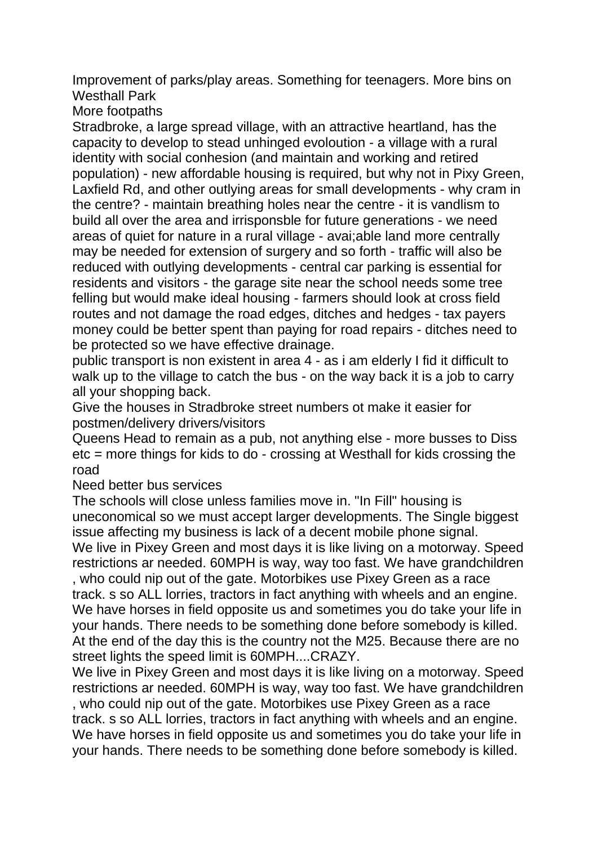Improvement of parks/play areas. Something for teenagers. More bins on Westhall Park

More footpaths

Stradbroke, a large spread village, with an attractive heartland, has the capacity to develop to stead unhinged evoloution - a village with a rural identity with social conhesion (and maintain and working and retired population) - new affordable housing is required, but why not in Pixy Green, Laxfield Rd, and other outlying areas for small developments - why cram in the centre? - maintain breathing holes near the centre - it is vandlism to build all over the area and irrisponsble for future generations - we need areas of quiet for nature in a rural village - avai;able land more centrally may be needed for extension of surgery and so forth - traffic will also be reduced with outlying developments - central car parking is essential for residents and visitors - the garage site near the school needs some tree felling but would make ideal housing - farmers should look at cross field routes and not damage the road edges, ditches and hedges - tax payers money could be better spent than paying for road repairs - ditches need to be protected so we have effective drainage.

public transport is non existent in area 4 - as i am elderly I fid it difficult to walk up to the village to catch the bus - on the way back it is a job to carry all your shopping back.

Give the houses in Stradbroke street numbers ot make it easier for postmen/delivery drivers/visitors

Queens Head to remain as a pub, not anything else - more busses to Diss etc = more things for kids to do - crossing at Westhall for kids crossing the road

Need better bus services

The schools will close unless families move in. "In Fill" housing is uneconomical so we must accept larger developments. The Single biggest issue affecting my business is lack of a decent mobile phone signal.

We live in Pixey Green and most days it is like living on a motorway. Speed restrictions ar needed. 60MPH is way, way too fast. We have grandchildren , who could nip out of the gate. Motorbikes use Pixey Green as a race track. s so ALL lorries, tractors in fact anything with wheels and an engine. We have horses in field opposite us and sometimes you do take your life in your hands. There needs to be something done before somebody is killed. At the end of the day this is the country not the M25. Because there are no street lights the speed limit is 60MPH....CRAZY.

We live in Pixey Green and most days it is like living on a motorway. Speed restrictions ar needed. 60MPH is way, way too fast. We have grandchildren , who could nip out of the gate. Motorbikes use Pixey Green as a race track. s so ALL lorries, tractors in fact anything with wheels and an engine. We have horses in field opposite us and sometimes you do take your life in your hands. There needs to be something done before somebody is killed.